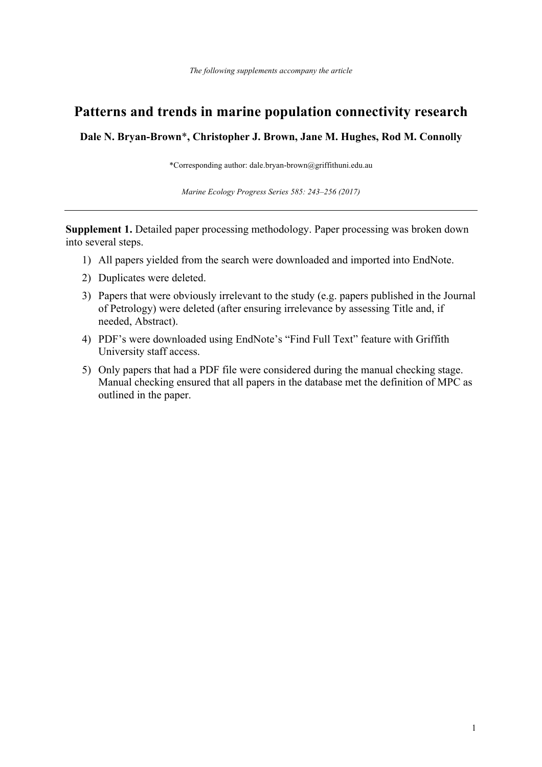# **Patterns and trends in marine population connectivity research**

**Dale N. Bryan-Brown**\***, Christopher J. Brown, Jane M. Hughes, Rod M. Connolly**

\*Corresponding author: dale.bryan-brown@griffithuni.edu.au

*Marine Ecology Progress Series 585: 243–256 (2017)*

**Supplement 1.** Detailed paper processing methodology. Paper processing was broken down into several steps.

- 1) All papers yielded from the search were downloaded and imported into EndNote.
- 2) Duplicates were deleted.
- 3) Papers that were obviously irrelevant to the study (e.g. papers published in the Journal of Petrology) were deleted (after ensuring irrelevance by assessing Title and, if needed, Abstract).
- 4) PDF's were downloaded using EndNote's "Find Full Text" feature with Griffith University staff access.
- 5) Only papers that had a PDF file were considered during the manual checking stage. Manual checking ensured that all papers in the database met the definition of MPC as outlined in the paper.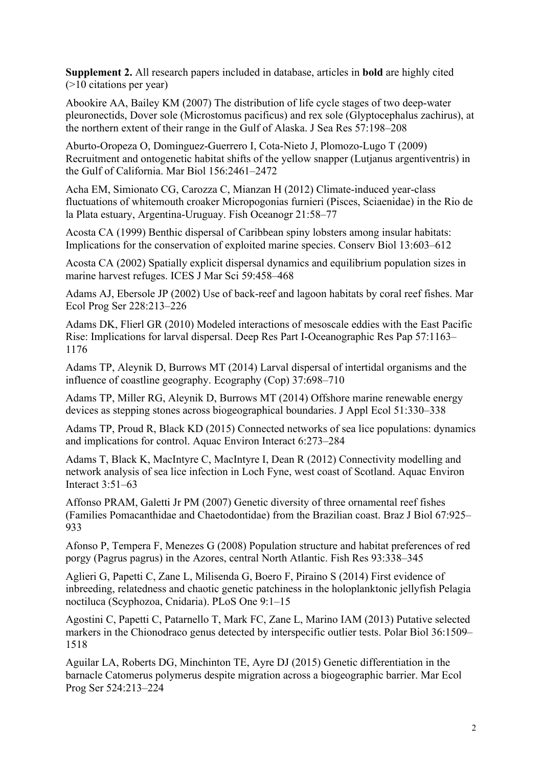**Supplement 2.** All research papers included in database, articles in **bold** are highly cited (>10 citations per year)

Abookire AA, Bailey KM (2007) The distribution of life cycle stages of two deep-water pleuronectids, Dover sole (Microstomus pacificus) and rex sole (Glyptocephalus zachirus), at the northern extent of their range in the Gulf of Alaska. J Sea Res 57:198–208

Aburto-Oropeza O, Dominguez-Guerrero I, Cota-Nieto J, Plomozo-Lugo T (2009) Recruitment and ontogenetic habitat shifts of the yellow snapper (Lutjanus argentiventris) in the Gulf of California. Mar Biol 156:2461–2472

Acha EM, Simionato CG, Carozza C, Mianzan H (2012) Climate-induced year-class fluctuations of whitemouth croaker Micropogonias furnieri (Pisces, Sciaenidae) in the Rio de la Plata estuary, Argentina-Uruguay. Fish Oceanogr 21:58–77

Acosta CA (1999) Benthic dispersal of Caribbean spiny lobsters among insular habitats: Implications for the conservation of exploited marine species. Conserv Biol 13:603–612

Acosta CA (2002) Spatially explicit dispersal dynamics and equilibrium population sizes in marine harvest refuges. ICES J Mar Sci 59:458–468

Adams AJ, Ebersole JP (2002) Use of back-reef and lagoon habitats by coral reef fishes. Mar Ecol Prog Ser 228:213–226

Adams DK, Flierl GR (2010) Modeled interactions of mesoscale eddies with the East Pacific Rise: Implications for larval dispersal. Deep Res Part I-Oceanographic Res Pap 57:1163– 1176

Adams TP, Aleynik D, Burrows MT (2014) Larval dispersal of intertidal organisms and the influence of coastline geography. Ecography (Cop) 37:698–710

Adams TP, Miller RG, Aleynik D, Burrows MT (2014) Offshore marine renewable energy devices as stepping stones across biogeographical boundaries. J Appl Ecol 51:330–338

Adams TP, Proud R, Black KD (2015) Connected networks of sea lice populations: dynamics and implications for control. Aquac Environ Interact 6:273–284

Adams T, Black K, MacIntyre C, MacIntyre I, Dean R (2012) Connectivity modelling and network analysis of sea lice infection in Loch Fyne, west coast of Scotland. Aquac Environ Interact 3:51–63

Affonso PRAM, Galetti Jr PM (2007) Genetic diversity of three ornamental reef fishes (Families Pomacanthidae and Chaetodontidae) from the Brazilian coast. Braz J Biol 67:925– 933

Afonso P, Tempera F, Menezes G (2008) Population structure and habitat preferences of red porgy (Pagrus pagrus) in the Azores, central North Atlantic. Fish Res 93:338–345

Aglieri G, Papetti C, Zane L, Milisenda G, Boero F, Piraino S (2014) First evidence of inbreeding, relatedness and chaotic genetic patchiness in the holoplanktonic jellyfish Pelagia noctiluca (Scyphozoa, Cnidaria). PLoS One 9:1–15

Agostini C, Papetti C, Patarnello T, Mark FC, Zane L, Marino IAM (2013) Putative selected markers in the Chionodraco genus detected by interspecific outlier tests. Polar Biol 36:1509– 1518

Aguilar LA, Roberts DG, Minchinton TE, Ayre DJ (2015) Genetic differentiation in the barnacle Catomerus polymerus despite migration across a biogeographic barrier. Mar Ecol Prog Ser 524:213–224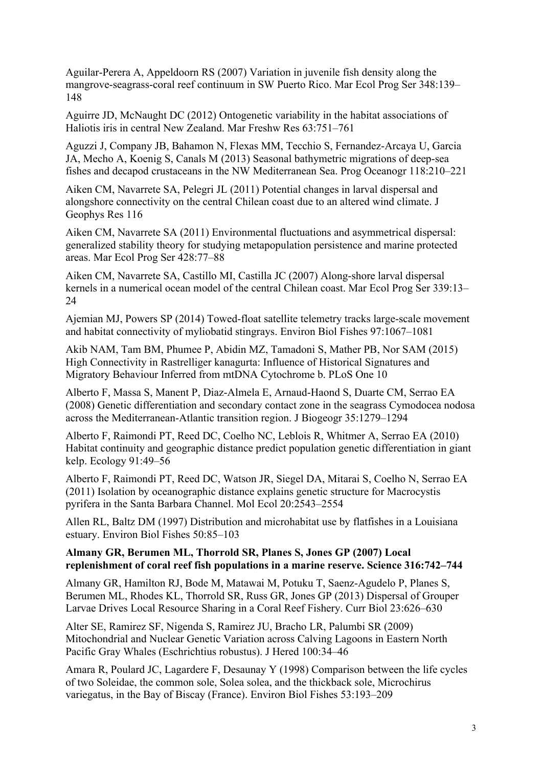Aguilar-Perera A, Appeldoorn RS (2007) Variation in juvenile fish density along the mangrove-seagrass-coral reef continuum in SW Puerto Rico. Mar Ecol Prog Ser 348:139– 148

Aguirre JD, McNaught DC (2012) Ontogenetic variability in the habitat associations of Haliotis iris in central New Zealand. Mar Freshw Res 63:751–761

Aguzzi J, Company JB, Bahamon N, Flexas MM, Tecchio S, Fernandez-Arcaya U, Garcia JA, Mecho A, Koenig S, Canals M (2013) Seasonal bathymetric migrations of deep-sea fishes and decapod crustaceans in the NW Mediterranean Sea. Prog Oceanogr 118:210–221

Aiken CM, Navarrete SA, Pelegri JL (2011) Potential changes in larval dispersal and alongshore connectivity on the central Chilean coast due to an altered wind climate. J Geophys Res 116

Aiken CM, Navarrete SA (2011) Environmental fluctuations and asymmetrical dispersal: generalized stability theory for studying metapopulation persistence and marine protected areas. Mar Ecol Prog Ser 428:77–88

Aiken CM, Navarrete SA, Castillo MI, Castilla JC (2007) Along-shore larval dispersal kernels in a numerical ocean model of the central Chilean coast. Mar Ecol Prog Ser 339:13– 24

Ajemian MJ, Powers SP (2014) Towed-float satellite telemetry tracks large-scale movement and habitat connectivity of myliobatid stingrays. Environ Biol Fishes 97:1067–1081

Akib NAM, Tam BM, Phumee P, Abidin MZ, Tamadoni S, Mather PB, Nor SAM (2015) High Connectivity in Rastrelliger kanagurta: Influence of Historical Signatures and Migratory Behaviour Inferred from mtDNA Cytochrome b. PLoS One 10

Alberto F, Massa S, Manent P, Diaz-Almela E, Arnaud-Haond S, Duarte CM, Serrao EA (2008) Genetic differentiation and secondary contact zone in the seagrass Cymodocea nodosa across the Mediterranean-Atlantic transition region. J Biogeogr 35:1279–1294

Alberto F, Raimondi PT, Reed DC, Coelho NC, Leblois R, Whitmer A, Serrao EA (2010) Habitat continuity and geographic distance predict population genetic differentiation in giant kelp. Ecology 91:49–56

Alberto F, Raimondi PT, Reed DC, Watson JR, Siegel DA, Mitarai S, Coelho N, Serrao EA (2011) Isolation by oceanographic distance explains genetic structure for Macrocystis pyrifera in the Santa Barbara Channel. Mol Ecol 20:2543–2554

Allen RL, Baltz DM (1997) Distribution and microhabitat use by flatfishes in a Louisiana estuary. Environ Biol Fishes 50:85–103

#### **Almany GR, Berumen ML, Thorrold SR, Planes S, Jones GP (2007) Local replenishment of coral reef fish populations in a marine reserve. Science 316:742–744**

Almany GR, Hamilton RJ, Bode M, Matawai M, Potuku T, Saenz-Agudelo P, Planes S, Berumen ML, Rhodes KL, Thorrold SR, Russ GR, Jones GP (2013) Dispersal of Grouper Larvae Drives Local Resource Sharing in a Coral Reef Fishery. Curr Biol 23:626–630

Alter SE, Ramirez SF, Nigenda S, Ramirez JU, Bracho LR, Palumbi SR (2009) Mitochondrial and Nuclear Genetic Variation across Calving Lagoons in Eastern North Pacific Gray Whales (Eschrichtius robustus). J Hered 100:34–46

Amara R, Poulard JC, Lagardere F, Desaunay Y (1998) Comparison between the life cycles of two Soleidae, the common sole, Solea solea, and the thickback sole, Microchirus variegatus, in the Bay of Biscay (France). Environ Biol Fishes 53:193–209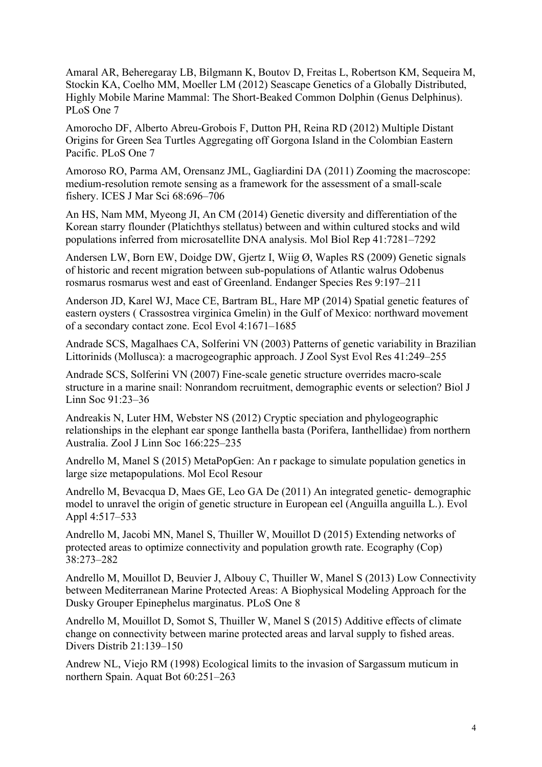Amaral AR, Beheregaray LB, Bilgmann K, Boutov D, Freitas L, Robertson KM, Sequeira M, Stockin KA, Coelho MM, Moeller LM (2012) Seascape Genetics of a Globally Distributed, Highly Mobile Marine Mammal: The Short-Beaked Common Dolphin (Genus Delphinus). PLoS One 7

Amorocho DF, Alberto Abreu-Grobois F, Dutton PH, Reina RD (2012) Multiple Distant Origins for Green Sea Turtles Aggregating off Gorgona Island in the Colombian Eastern Pacific. PLoS One 7

Amoroso RO, Parma AM, Orensanz JML, Gagliardini DA (2011) Zooming the macroscope: medium-resolution remote sensing as a framework for the assessment of a small-scale fishery. ICES J Mar Sci 68:696–706

An HS, Nam MM, Myeong JI, An CM (2014) Genetic diversity and differentiation of the Korean starry flounder (Platichthys stellatus) between and within cultured stocks and wild populations inferred from microsatellite DNA analysis. Mol Biol Rep 41:7281–7292

Andersen LW, Born EW, Doidge DW, Gjertz I, Wiig Ø, Waples RS (2009) Genetic signals of historic and recent migration between sub-populations of Atlantic walrus Odobenus rosmarus rosmarus west and east of Greenland. Endanger Species Res 9:197–211

Anderson JD, Karel WJ, Mace CE, Bartram BL, Hare MP (2014) Spatial genetic features of eastern oysters ( Crassostrea virginica Gmelin) in the Gulf of Mexico: northward movement of a secondary contact zone. Ecol Evol 4:1671–1685

Andrade SCS, Magalhaes CA, Solferini VN (2003) Patterns of genetic variability in Brazilian Littorinids (Mollusca): a macrogeographic approach. J Zool Syst Evol Res 41:249–255

Andrade SCS, Solferini VN (2007) Fine-scale genetic structure overrides macro-scale structure in a marine snail: Nonrandom recruitment, demographic events or selection? Biol J Linn Soc 91:23–36

Andreakis N, Luter HM, Webster NS (2012) Cryptic speciation and phylogeographic relationships in the elephant ear sponge Ianthella basta (Porifera, Ianthellidae) from northern Australia. Zool J Linn Soc 166:225–235

Andrello M, Manel S (2015) MetaPopGen: An r package to simulate population genetics in large size metapopulations. Mol Ecol Resour

Andrello M, Bevacqua D, Maes GE, Leo GA De (2011) An integrated genetic- demographic model to unravel the origin of genetic structure in European eel (Anguilla anguilla L.). Evol Appl 4:517–533

Andrello M, Jacobi MN, Manel S, Thuiller W, Mouillot D (2015) Extending networks of protected areas to optimize connectivity and population growth rate. Ecography (Cop) 38:273–282

Andrello M, Mouillot D, Beuvier J, Albouy C, Thuiller W, Manel S (2013) Low Connectivity between Mediterranean Marine Protected Areas: A Biophysical Modeling Approach for the Dusky Grouper Epinephelus marginatus. PLoS One 8

Andrello M, Mouillot D, Somot S, Thuiller W, Manel S (2015) Additive effects of climate change on connectivity between marine protected areas and larval supply to fished areas. Divers Distrib 21:139–150

Andrew NL, Viejo RM (1998) Ecological limits to the invasion of Sargassum muticum in northern Spain. Aquat Bot 60:251–263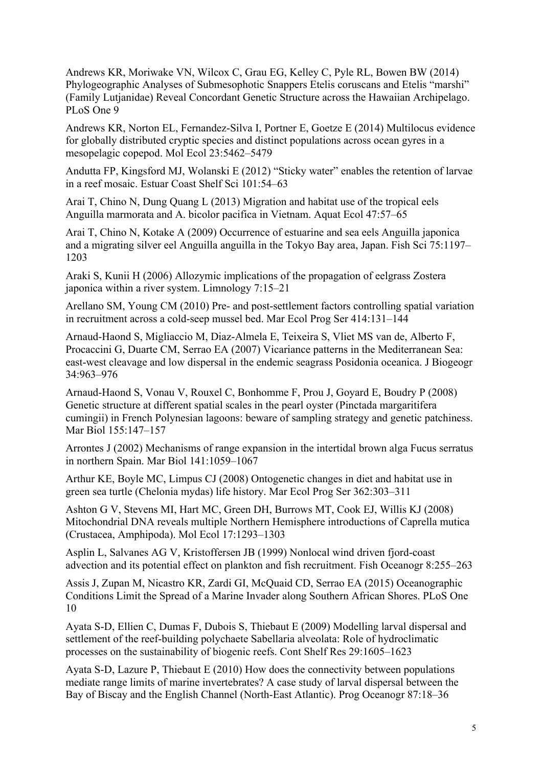Andrews KR, Moriwake VN, Wilcox C, Grau EG, Kelley C, Pyle RL, Bowen BW (2014) Phylogeographic Analyses of Submesophotic Snappers Etelis coruscans and Etelis "marshi" (Family Lutjanidae) Reveal Concordant Genetic Structure across the Hawaiian Archipelago. PLoS One 9

Andrews KR, Norton EL, Fernandez-Silva I, Portner E, Goetze E (2014) Multilocus evidence for globally distributed cryptic species and distinct populations across ocean gyres in a mesopelagic copepod. Mol Ecol 23:5462–5479

Andutta FP, Kingsford MJ, Wolanski E (2012) "Sticky water" enables the retention of larvae in a reef mosaic. Estuar Coast Shelf Sci 101:54–63

Arai T, Chino N, Dung Quang L (2013) Migration and habitat use of the tropical eels Anguilla marmorata and A. bicolor pacifica in Vietnam. Aquat Ecol 47:57–65

Arai T, Chino N, Kotake A (2009) Occurrence of estuarine and sea eels Anguilla japonica and a migrating silver eel Anguilla anguilla in the Tokyo Bay area, Japan. Fish Sci 75:1197– 1203

Araki S, Kunii H (2006) Allozymic implications of the propagation of eelgrass Zostera japonica within a river system. Limnology 7:15–21

Arellano SM, Young CM (2010) Pre- and post-settlement factors controlling spatial variation in recruitment across a cold-seep mussel bed. Mar Ecol Prog Ser 414:131–144

Arnaud-Haond S, Migliaccio M, Diaz-Almela E, Teixeira S, Vliet MS van de, Alberto F, Procaccini G, Duarte CM, Serrao EA (2007) Vicariance patterns in the Mediterranean Sea: east-west cleavage and low dispersal in the endemic seagrass Posidonia oceanica. J Biogeogr 34:963–976

Arnaud-Haond S, Vonau V, Rouxel C, Bonhomme F, Prou J, Goyard E, Boudry P (2008) Genetic structure at different spatial scales in the pearl oyster (Pinctada margaritifera cumingii) in French Polynesian lagoons: beware of sampling strategy and genetic patchiness. Mar Biol 155:147–157

Arrontes J (2002) Mechanisms of range expansion in the intertidal brown alga Fucus serratus in northern Spain. Mar Biol 141:1059–1067

Arthur KE, Boyle MC, Limpus CJ (2008) Ontogenetic changes in diet and habitat use in green sea turtle (Chelonia mydas) life history. Mar Ecol Prog Ser 362:303–311

Ashton G V, Stevens MI, Hart MC, Green DH, Burrows MT, Cook EJ, Willis KJ (2008) Mitochondrial DNA reveals multiple Northern Hemisphere introductions of Caprella mutica (Crustacea, Amphipoda). Mol Ecol 17:1293–1303

Asplin L, Salvanes AG V, Kristoffersen JB (1999) Nonlocal wind driven fjord-coast advection and its potential effect on plankton and fish recruitment. Fish Oceanogr 8:255–263

Assis J, Zupan M, Nicastro KR, Zardi GI, McQuaid CD, Serrao EA (2015) Oceanographic Conditions Limit the Spread of a Marine Invader along Southern African Shores. PLoS One 10

Ayata S-D, Ellien C, Dumas F, Dubois S, Thiebaut E (2009) Modelling larval dispersal and settlement of the reef-building polychaete Sabellaria alveolata: Role of hydroclimatic processes on the sustainability of biogenic reefs. Cont Shelf Res 29:1605–1623

Ayata S-D, Lazure P, Thiebaut E (2010) How does the connectivity between populations mediate range limits of marine invertebrates? A case study of larval dispersal between the Bay of Biscay and the English Channel (North-East Atlantic). Prog Oceanogr 87:18–36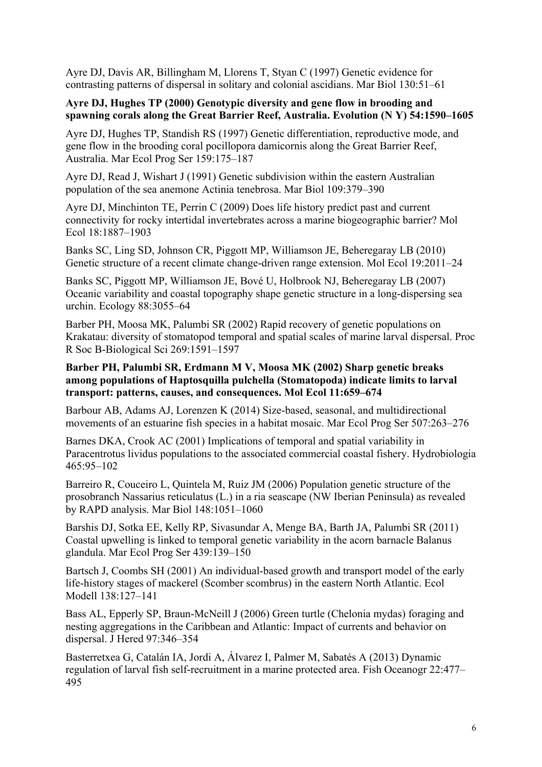Ayre DJ, Davis AR, Billingham M, Llorens T, Styan C (1997) Genetic evidence for contrasting patterns of dispersal in solitary and colonial ascidians. Mar Biol 130:51–61

# **Ayre DJ, Hughes TP (2000) Genotypic diversity and gene flow in brooding and spawning corals along the Great Barrier Reef, Australia. Evolution (N Y) 54:1590–1605**

Ayre DJ, Hughes TP, Standish RS (1997) Genetic differentiation, reproductive mode, and gene flow in the brooding coral pocillopora damicornis along the Great Barrier Reef, Australia. Mar Ecol Prog Ser 159:175–187

Ayre DJ, Read J, Wishart J (1991) Genetic subdivision within the eastern Australian population of the sea anemone Actinia tenebrosa. Mar Biol 109:379–390

Ayre DJ, Minchinton TE, Perrin C (2009) Does life history predict past and current connectivity for rocky intertidal invertebrates across a marine biogeographic barrier? Mol Ecol 18:1887–1903

Banks SC, Ling SD, Johnson CR, Piggott MP, Williamson JE, Beheregaray LB (2010) Genetic structure of a recent climate change-driven range extension. Mol Ecol 19:2011–24

Banks SC, Piggott MP, Williamson JE, Bové U, Holbrook NJ, Beheregaray LB (2007) Oceanic variability and coastal topography shape genetic structure in a long-dispersing sea urchin. Ecology 88:3055–64

Barber PH, Moosa MK, Palumbi SR (2002) Rapid recovery of genetic populations on Krakatau: diversity of stomatopod temporal and spatial scales of marine larval dispersal. Proc R Soc B-Biological Sci 269:1591–1597

## **Barber PH, Palumbi SR, Erdmann M V, Moosa MK (2002) Sharp genetic breaks among populations of Haptosquilla pulchella (Stomatopoda) indicate limits to larval transport: patterns, causes, and consequences. Mol Ecol 11:659–674**

Barbour AB, Adams AJ, Lorenzen K (2014) Size-based, seasonal, and multidirectional movements of an estuarine fish species in a habitat mosaic. Mar Ecol Prog Ser 507:263–276

Barnes DKA, Crook AC (2001) Implications of temporal and spatial variability in Paracentrotus lividus populations to the associated commercial coastal fishery. Hydrobiologia 465:95–102

Barreiro R, Couceiro L, Quintela M, Ruiz JM (2006) Population genetic structure of the prosobranch Nassarius reticulatus (L.) in a ria seascape (NW Iberian Peninsula) as revealed by RAPD analysis. Mar Biol 148:1051–1060

Barshis DJ, Sotka EE, Kelly RP, Sivasundar A, Menge BA, Barth JA, Palumbi SR (2011) Coastal upwelling is linked to temporal genetic variability in the acorn barnacle Balanus glandula. Mar Ecol Prog Ser 439:139–150

Bartsch J, Coombs SH (2001) An individual-based growth and transport model of the early life-history stages of mackerel (Scomber scombrus) in the eastern North Atlantic. Ecol Modell 138:127–141

Bass AL, Epperly SP, Braun-McNeill J (2006) Green turtle (Chelonia mydas) foraging and nesting aggregations in the Caribbean and Atlantic: Impact of currents and behavior on dispersal. J Hered 97:346–354

Basterretxea G, Catalán IA, Jordi A, Álvarez I, Palmer M, Sabatés A (2013) Dynamic regulation of larval fish self-recruitment in a marine protected area. Fish Oceanogr 22:477– 495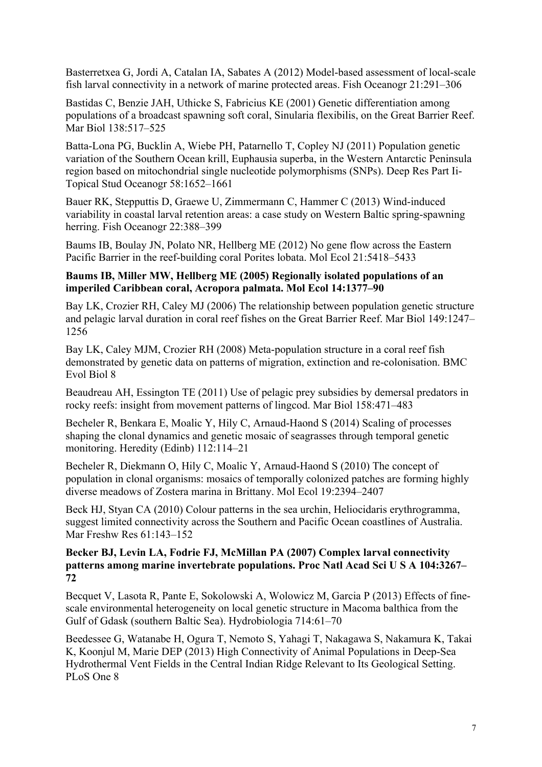Basterretxea G, Jordi A, Catalan IA, Sabates A (2012) Model-based assessment of local-scale fish larval connectivity in a network of marine protected areas. Fish Oceanogr 21:291–306

Bastidas C, Benzie JAH, Uthicke S, Fabricius KE (2001) Genetic differentiation among populations of a broadcast spawning soft coral, Sinularia flexibilis, on the Great Barrier Reef. Mar Biol 138:517–525

Batta-Lona PG, Bucklin A, Wiebe PH, Patarnello T, Copley NJ (2011) Population genetic variation of the Southern Ocean krill, Euphausia superba, in the Western Antarctic Peninsula region based on mitochondrial single nucleotide polymorphisms (SNPs). Deep Res Part Ii-Topical Stud Oceanogr 58:1652–1661

Bauer RK, Stepputtis D, Graewe U, Zimmermann C, Hammer C (2013) Wind-induced variability in coastal larval retention areas: a case study on Western Baltic spring-spawning herring. Fish Oceanogr 22:388–399

Baums IB, Boulay JN, Polato NR, Hellberg ME (2012) No gene flow across the Eastern Pacific Barrier in the reef-building coral Porites lobata. Mol Ecol 21:5418–5433

#### **Baums IB, Miller MW, Hellberg ME (2005) Regionally isolated populations of an imperiled Caribbean coral, Acropora palmata. Mol Ecol 14:1377–90**

Bay LK, Crozier RH, Caley MJ (2006) The relationship between population genetic structure and pelagic larval duration in coral reef fishes on the Great Barrier Reef. Mar Biol 149:1247– 1256

Bay LK, Caley MJM, Crozier RH (2008) Meta-population structure in a coral reef fish demonstrated by genetic data on patterns of migration, extinction and re-colonisation. BMC Evol Biol 8

Beaudreau AH, Essington TE (2011) Use of pelagic prey subsidies by demersal predators in rocky reefs: insight from movement patterns of lingcod. Mar Biol 158:471–483

Becheler R, Benkara E, Moalic Y, Hily C, Arnaud-Haond S (2014) Scaling of processes shaping the clonal dynamics and genetic mosaic of seagrasses through temporal genetic monitoring. Heredity (Edinb) 112:114–21

Becheler R, Diekmann O, Hily C, Moalic Y, Arnaud-Haond S (2010) The concept of population in clonal organisms: mosaics of temporally colonized patches are forming highly diverse meadows of Zostera marina in Brittany. Mol Ecol 19:2394–2407

Beck HJ, Styan CA (2010) Colour patterns in the sea urchin, Heliocidaris erythrogramma, suggest limited connectivity across the Southern and Pacific Ocean coastlines of Australia. Mar Freshw Res 61:143–152

#### **Becker BJ, Levin LA, Fodrie FJ, McMillan PA (2007) Complex larval connectivity patterns among marine invertebrate populations. Proc Natl Acad Sci U S A 104:3267– 72**

Becquet V, Lasota R, Pante E, Sokolowski A, Wolowicz M, Garcia P (2013) Effects of finescale environmental heterogeneity on local genetic structure in Macoma balthica from the Gulf of Gdask (southern Baltic Sea). Hydrobiologia 714:61–70

Beedessee G, Watanabe H, Ogura T, Nemoto S, Yahagi T, Nakagawa S, Nakamura K, Takai K, Koonjul M, Marie DEP (2013) High Connectivity of Animal Populations in Deep-Sea Hydrothermal Vent Fields in the Central Indian Ridge Relevant to Its Geological Setting. PLoS One 8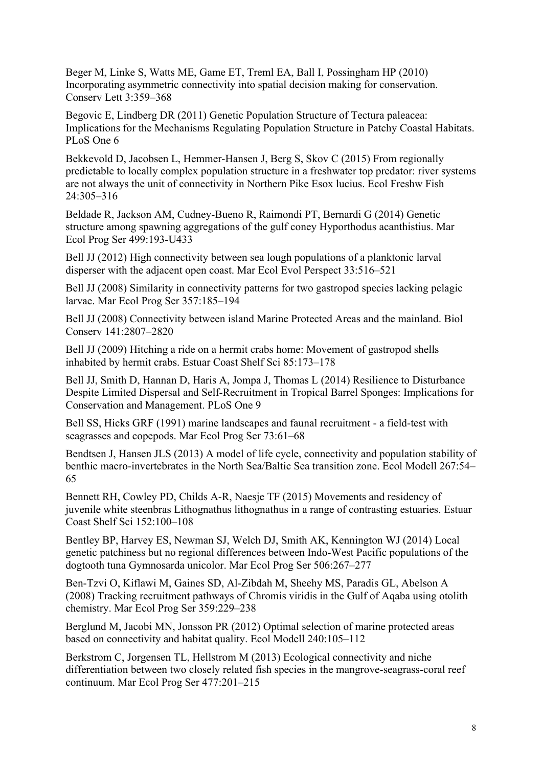Beger M, Linke S, Watts ME, Game ET, Treml EA, Ball I, Possingham HP (2010) Incorporating asymmetric connectivity into spatial decision making for conservation. Conserv Lett 3:359–368

Begovic E, Lindberg DR (2011) Genetic Population Structure of Tectura paleacea: Implications for the Mechanisms Regulating Population Structure in Patchy Coastal Habitats. PLoS One 6

Bekkevold D, Jacobsen L, Hemmer-Hansen J, Berg S, Skov C (2015) From regionally predictable to locally complex population structure in a freshwater top predator: river systems are not always the unit of connectivity in Northern Pike Esox lucius. Ecol Freshw Fish 24:305–316

Beldade R, Jackson AM, Cudney-Bueno R, Raimondi PT, Bernardi G (2014) Genetic structure among spawning aggregations of the gulf coney Hyporthodus acanthistius. Mar Ecol Prog Ser 499:193-U433

Bell JJ (2012) High connectivity between sea lough populations of a planktonic larval disperser with the adjacent open coast. Mar Ecol Evol Perspect 33:516–521

Bell JJ (2008) Similarity in connectivity patterns for two gastropod species lacking pelagic larvae. Mar Ecol Prog Ser 357:185–194

Bell JJ (2008) Connectivity between island Marine Protected Areas and the mainland. Biol Conserv 141:2807–2820

Bell JJ (2009) Hitching a ride on a hermit crabs home: Movement of gastropod shells inhabited by hermit crabs. Estuar Coast Shelf Sci 85:173–178

Bell JJ, Smith D, Hannan D, Haris A, Jompa J, Thomas L (2014) Resilience to Disturbance Despite Limited Dispersal and Self-Recruitment in Tropical Barrel Sponges: Implications for Conservation and Management. PLoS One 9

Bell SS, Hicks GRF (1991) marine landscapes and faunal recruitment - a field-test with seagrasses and copepods. Mar Ecol Prog Ser 73:61–68

Bendtsen J, Hansen JLS (2013) A model of life cycle, connectivity and population stability of benthic macro-invertebrates in the North Sea/Baltic Sea transition zone. Ecol Modell 267:54– 65

Bennett RH, Cowley PD, Childs A-R, Naesje TF (2015) Movements and residency of juvenile white steenbras Lithognathus lithognathus in a range of contrasting estuaries. Estuar Coast Shelf Sci 152:100–108

Bentley BP, Harvey ES, Newman SJ, Welch DJ, Smith AK, Kennington WJ (2014) Local genetic patchiness but no regional differences between Indo-West Pacific populations of the dogtooth tuna Gymnosarda unicolor. Mar Ecol Prog Ser 506:267–277

Ben-Tzvi O, Kiflawi M, Gaines SD, Al-Zibdah M, Sheehy MS, Paradis GL, Abelson A (2008) Tracking recruitment pathways of Chromis viridis in the Gulf of Aqaba using otolith chemistry. Mar Ecol Prog Ser 359:229–238

Berglund M, Jacobi MN, Jonsson PR (2012) Optimal selection of marine protected areas based on connectivity and habitat quality. Ecol Modell 240:105–112

Berkstrom C, Jorgensen TL, Hellstrom M (2013) Ecological connectivity and niche differentiation between two closely related fish species in the mangrove-seagrass-coral reef continuum. Mar Ecol Prog Ser 477:201–215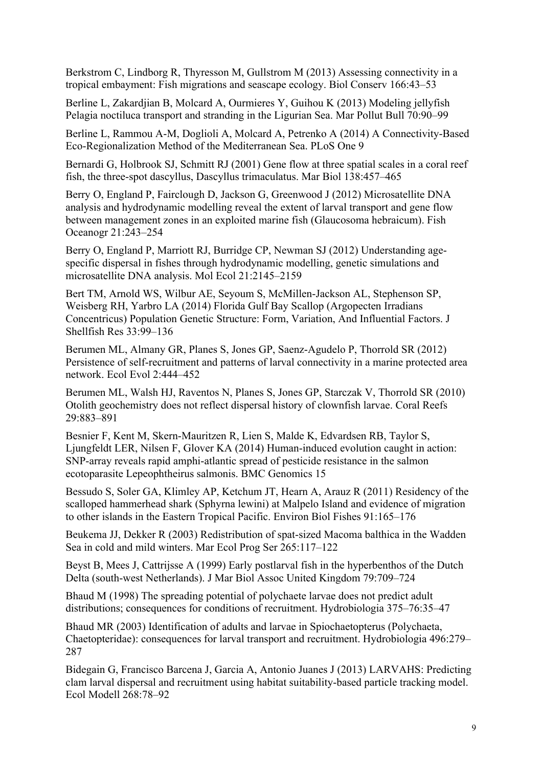Berkstrom C, Lindborg R, Thyresson M, Gullstrom M (2013) Assessing connectivity in a tropical embayment: Fish migrations and seascape ecology. Biol Conserv 166:43–53

Berline L, Zakardjian B, Molcard A, Ourmieres Y, Guihou K (2013) Modeling jellyfish Pelagia noctiluca transport and stranding in the Ligurian Sea. Mar Pollut Bull 70:90–99

Berline L, Rammou A-M, Doglioli A, Molcard A, Petrenko A (2014) A Connectivity-Based Eco-Regionalization Method of the Mediterranean Sea. PLoS One 9

Bernardi G, Holbrook SJ, Schmitt RJ (2001) Gene flow at three spatial scales in a coral reef fish, the three-spot dascyllus, Dascyllus trimaculatus. Mar Biol 138:457–465

Berry O, England P, Fairclough D, Jackson G, Greenwood J (2012) Microsatellite DNA analysis and hydrodynamic modelling reveal the extent of larval transport and gene flow between management zones in an exploited marine fish (Glaucosoma hebraicum). Fish Oceanogr 21:243–254

Berry O, England P, Marriott RJ, Burridge CP, Newman SJ (2012) Understanding agespecific dispersal in fishes through hydrodynamic modelling, genetic simulations and microsatellite DNA analysis. Mol Ecol 21:2145–2159

Bert TM, Arnold WS, Wilbur AE, Seyoum S, McMillen-Jackson AL, Stephenson SP, Weisberg RH, Yarbro LA (2014) Florida Gulf Bay Scallop (Argopecten Irradians Concentricus) Population Genetic Structure: Form, Variation, And Influential Factors. J Shellfish Res 33:99–136

Berumen ML, Almany GR, Planes S, Jones GP, Saenz-Agudelo P, Thorrold SR (2012) Persistence of self-recruitment and patterns of larval connectivity in a marine protected area network. Ecol Evol 2:444–452

Berumen ML, Walsh HJ, Raventos N, Planes S, Jones GP, Starczak V, Thorrold SR (2010) Otolith geochemistry does not reflect dispersal history of clownfish larvae. Coral Reefs 29:883–891

Besnier F, Kent M, Skern-Mauritzen R, Lien S, Malde K, Edvardsen RB, Taylor S, Ljungfeldt LER, Nilsen F, Glover KA (2014) Human-induced evolution caught in action: SNP-array reveals rapid amphi-atlantic spread of pesticide resistance in the salmon ecotoparasite Lepeophtheirus salmonis. BMC Genomics 15

Bessudo S, Soler GA, Klimley AP, Ketchum JT, Hearn A, Arauz R (2011) Residency of the scalloped hammerhead shark (Sphyrna lewini) at Malpelo Island and evidence of migration to other islands in the Eastern Tropical Pacific. Environ Biol Fishes 91:165–176

Beukema JJ, Dekker R (2003) Redistribution of spat-sized Macoma balthica in the Wadden Sea in cold and mild winters. Mar Ecol Prog Ser 265:117–122

Beyst B, Mees J, Cattrijsse A (1999) Early postlarval fish in the hyperbenthos of the Dutch Delta (south-west Netherlands). J Mar Biol Assoc United Kingdom 79:709–724

Bhaud M (1998) The spreading potential of polychaete larvae does not predict adult distributions; consequences for conditions of recruitment. Hydrobiologia 375–76:35–47

Bhaud MR (2003) Identification of adults and larvae in Spiochaetopterus (Polychaeta, Chaetopteridae): consequences for larval transport and recruitment. Hydrobiologia 496:279– 287

Bidegain G, Francisco Barcena J, Garcia A, Antonio Juanes J (2013) LARVAHS: Predicting clam larval dispersal and recruitment using habitat suitability-based particle tracking model. Ecol Modell 268:78–92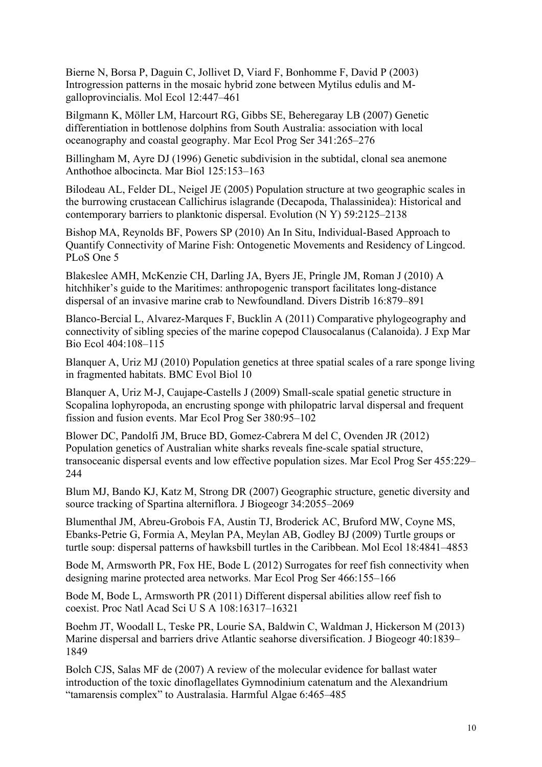Bierne N, Borsa P, Daguin C, Jollivet D, Viard F, Bonhomme F, David P (2003) Introgression patterns in the mosaic hybrid zone between Mytilus edulis and Mgalloprovincialis. Mol Ecol 12:447–461

Bilgmann K, Möller LM, Harcourt RG, Gibbs SE, Beheregaray LB (2007) Genetic differentiation in bottlenose dolphins from South Australia: association with local oceanography and coastal geography. Mar Ecol Prog Ser 341:265–276

Billingham M, Ayre DJ (1996) Genetic subdivision in the subtidal, clonal sea anemone Anthothoe albocincta. Mar Biol 125:153–163

Bilodeau AL, Felder DL, Neigel JE (2005) Population structure at two geographic scales in the burrowing crustacean Callichirus islagrande (Decapoda, Thalassinidea): Historical and contemporary barriers to planktonic dispersal. Evolution (N Y) 59:2125–2138

Bishop MA, Reynolds BF, Powers SP (2010) An In Situ, Individual-Based Approach to Quantify Connectivity of Marine Fish: Ontogenetic Movements and Residency of Lingcod. PLoS One 5

Blakeslee AMH, McKenzie CH, Darling JA, Byers JE, Pringle JM, Roman J (2010) A hitchhiker's guide to the Maritimes: anthropogenic transport facilitates long-distance dispersal of an invasive marine crab to Newfoundland. Divers Distrib 16:879–891

Blanco-Bercial L, Alvarez-Marques F, Bucklin A (2011) Comparative phylogeography and connectivity of sibling species of the marine copepod Clausocalanus (Calanoida). J Exp Mar Bio Ecol 404:108–115

Blanquer A, Uriz MJ (2010) Population genetics at three spatial scales of a rare sponge living in fragmented habitats. BMC Evol Biol 10

Blanquer A, Uriz M-J, Caujape-Castells J (2009) Small-scale spatial genetic structure in Scopalina lophyropoda, an encrusting sponge with philopatric larval dispersal and frequent fission and fusion events. Mar Ecol Prog Ser 380:95–102

Blower DC, Pandolfi JM, Bruce BD, Gomez-Cabrera M del C, Ovenden JR (2012) Population genetics of Australian white sharks reveals fine-scale spatial structure, transoceanic dispersal events and low effective population sizes. Mar Ecol Prog Ser 455:229– 244

Blum MJ, Bando KJ, Katz M, Strong DR (2007) Geographic structure, genetic diversity and source tracking of Spartina alterniflora. J Biogeogr 34:2055–2069

Blumenthal JM, Abreu-Grobois FA, Austin TJ, Broderick AC, Bruford MW, Coyne MS, Ebanks-Petrie G, Formia A, Meylan PA, Meylan AB, Godley BJ (2009) Turtle groups or turtle soup: dispersal patterns of hawksbill turtles in the Caribbean. Mol Ecol 18:4841–4853

Bode M, Armsworth PR, Fox HE, Bode L (2012) Surrogates for reef fish connectivity when designing marine protected area networks. Mar Ecol Prog Ser 466:155–166

Bode M, Bode L, Armsworth PR (2011) Different dispersal abilities allow reef fish to coexist. Proc Natl Acad Sci U S A 108:16317–16321

Boehm JT, Woodall L, Teske PR, Lourie SA, Baldwin C, Waldman J, Hickerson M (2013) Marine dispersal and barriers drive Atlantic seahorse diversification. J Biogeogr 40:1839– 1849

Bolch CJS, Salas MF de (2007) A review of the molecular evidence for ballast water introduction of the toxic dinoflagellates Gymnodinium catenatum and the Alexandrium "tamarensis complex" to Australasia. Harmful Algae 6:465–485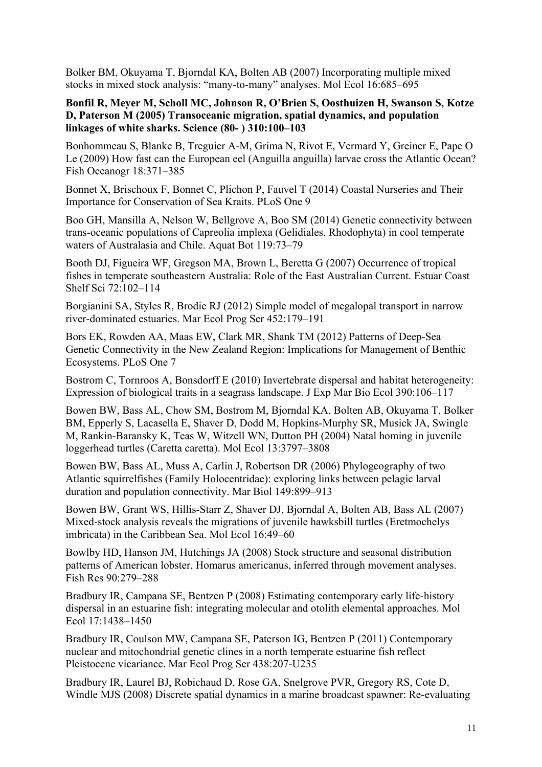Bolker BM, Okuyama T, Bjorndal KA, Bolten AB (2007) Incorporating multiple mixed stocks in mixed stock analysis: "many-to-many" analyses. Mol Ecol 16:685–695

#### **Bonfil R, Meyer M, Scholl MC, Johnson R, O'Brien S, Oosthuizen H, Swanson S, Kotze D, Paterson M (2005) Transoceanic migration, spatial dynamics, and population linkages of white sharks. Science (80- ) 310:100–103**

Bonhommeau S, Blanke B, Treguier A-M, Grima N, Rivot E, Vermard Y, Greiner E, Pape O Le (2009) How fast can the European eel (Anguilla anguilla) larvae cross the Atlantic Ocean? Fish Oceanogr 18:371–385

Bonnet X, Brischoux F, Bonnet C, Plichon P, Fauvel T (2014) Coastal Nurseries and Their Importance for Conservation of Sea Kraits. PLoS One 9

Boo GH, Mansilla A, Nelson W, Bellgrove A, Boo SM (2014) Genetic connectivity between trans-oceanic populations of Capreolia implexa (Gelidiales, Rhodophyta) in cool temperate waters of Australasia and Chile. Aquat Bot 119:73–79

Booth DJ, Figueira WF, Gregson MA, Brown L, Beretta G (2007) Occurrence of tropical fishes in temperate southeastern Australia: Role of the East Australian Current. Estuar Coast Shelf Sci 72:102–114

Borgianini SA, Styles R, Brodie RJ (2012) Simple model of megalopal transport in narrow river-dominated estuaries. Mar Ecol Prog Ser 452:179–191

Bors EK, Rowden AA, Maas EW, Clark MR, Shank TM (2012) Patterns of Deep-Sea Genetic Connectivity in the New Zealand Region: Implications for Management of Benthic Ecosystems. PLoS One 7

Bostrom C, Tornroos A, Bonsdorff E (2010) Invertebrate dispersal and habitat heterogeneity: Expression of biological traits in a seagrass landscape. J Exp Mar Bio Ecol 390:106–117

Bowen BW, Bass AL, Chow SM, Bostrom M, Bjorndal KA, Bolten AB, Okuyama T, Bolker BM, Epperly S, Lacasella E, Shaver D, Dodd M, Hopkins-Murphy SR, Musick JA, Swingle M, Rankin-Baransky K, Teas W, Witzell WN, Dutton PH (2004) Natal homing in juvenile loggerhead turtles (Caretta caretta). Mol Ecol 13:3797–3808

Bowen BW, Bass AL, Muss A, Carlin J, Robertson DR (2006) Phylogeography of two Atlantic squirrelfishes (Family Holocentridae): exploring links between pelagic larval duration and population connectivity. Mar Biol 149:899–913

Bowen BW, Grant WS, Hillis-Starr Z, Shaver DJ, Bjorndal A, Bolten AB, Bass AL (2007) Mixed-stock analysis reveals the migrations of juvenile hawksbill turtles (Eretmochelys imbricata) in the Caribbean Sea. Mol Ecol 16:49–60

Bowlby HD, Hanson JM, Hutchings JA (2008) Stock structure and seasonal distribution patterns of American lobster, Homarus americanus, inferred through movement analyses. Fish Res 90:279–288

Bradbury IR, Campana SE, Bentzen P (2008) Estimating contemporary early life-history dispersal in an estuarine fish: integrating molecular and otolith elemental approaches. Mol Ecol 17:1438–1450

Bradbury IR, Coulson MW, Campana SE, Paterson IG, Bentzen P (2011) Contemporary nuclear and mitochondrial genetic clines in a north temperate estuarine fish reflect Pleistocene vicariance. Mar Ecol Prog Ser 438:207-U235

Bradbury IR, Laurel BJ, Robichaud D, Rose GA, Snelgrove PVR, Gregory RS, Cote D, Windle MJS (2008) Discrete spatial dynamics in a marine broadcast spawner: Re-evaluating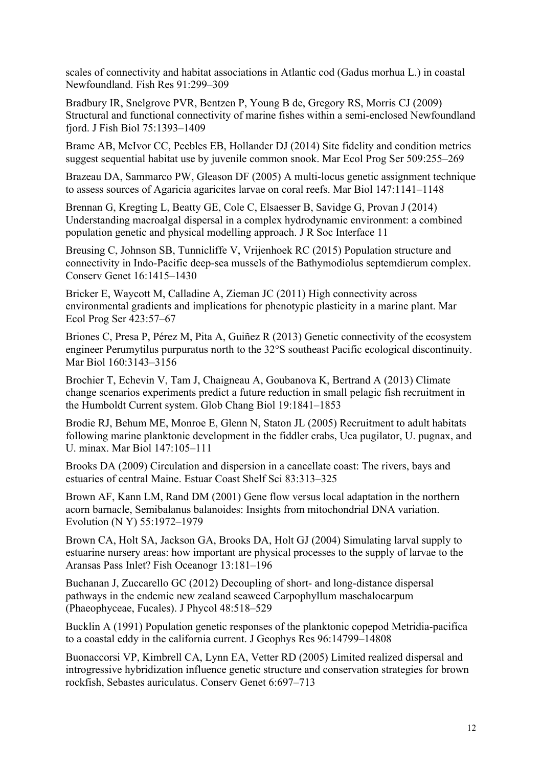scales of connectivity and habitat associations in Atlantic cod (Gadus morhua L.) in coastal Newfoundland. Fish Res 91:299–309

Bradbury IR, Snelgrove PVR, Bentzen P, Young B de, Gregory RS, Morris CJ (2009) Structural and functional connectivity of marine fishes within a semi-enclosed Newfoundland fjord. J Fish Biol 75:1393–1409

Brame AB, McIvor CC, Peebles EB, Hollander DJ (2014) Site fidelity and condition metrics suggest sequential habitat use by juvenile common snook. Mar Ecol Prog Ser 509:255–269

Brazeau DA, Sammarco PW, Gleason DF (2005) A multi-locus genetic assignment technique to assess sources of Agaricia agaricites larvae on coral reefs. Mar Biol 147:1141–1148

Brennan G, Kregting L, Beatty GE, Cole C, Elsaesser B, Savidge G, Provan J (2014) Understanding macroalgal dispersal in a complex hydrodynamic environment: a combined population genetic and physical modelling approach. J R Soc Interface 11

Breusing C, Johnson SB, Tunnicliffe V, Vrijenhoek RC (2015) Population structure and connectivity in Indo-Pacific deep-sea mussels of the Bathymodiolus septemdierum complex. Conserv Genet 16:1415–1430

Bricker E, Waycott M, Calladine A, Zieman JC (2011) High connectivity across environmental gradients and implications for phenotypic plasticity in a marine plant. Mar Ecol Prog Ser 423:57–67

Briones C, Presa P, Pérez M, Pita A, Guiñez R (2013) Genetic connectivity of the ecosystem engineer Perumytilus purpuratus north to the 32°S southeast Pacific ecological discontinuity. Mar Biol 160:3143–3156

Brochier T, Echevin V, Tam J, Chaigneau A, Goubanova K, Bertrand A (2013) Climate change scenarios experiments predict a future reduction in small pelagic fish recruitment in the Humboldt Current system. Glob Chang Biol 19:1841–1853

Brodie RJ, Behum ME, Monroe E, Glenn N, Staton JL (2005) Recruitment to adult habitats following marine planktonic development in the fiddler crabs, Uca pugilator, U. pugnax, and U. minax. Mar Biol 147:105–111

Brooks DA (2009) Circulation and dispersion in a cancellate coast: The rivers, bays and estuaries of central Maine. Estuar Coast Shelf Sci 83:313–325

Brown AF, Kann LM, Rand DM (2001) Gene flow versus local adaptation in the northern acorn barnacle, Semibalanus balanoides: Insights from mitochondrial DNA variation. Evolution (N Y) 55:1972–1979

Brown CA, Holt SA, Jackson GA, Brooks DA, Holt GJ (2004) Simulating larval supply to estuarine nursery areas: how important are physical processes to the supply of larvae to the Aransas Pass Inlet? Fish Oceanogr 13:181–196

Buchanan J, Zuccarello GC (2012) Decoupling of short- and long-distance dispersal pathways in the endemic new zealand seaweed Carpophyllum maschalocarpum (Phaeophyceae, Fucales). J Phycol 48:518–529

Bucklin A (1991) Population genetic responses of the planktonic copepod Metridia-pacifica to a coastal eddy in the california current. J Geophys Res 96:14799–14808

Buonaccorsi VP, Kimbrell CA, Lynn EA, Vetter RD (2005) Limited realized dispersal and introgressive hybridization influence genetic structure and conservation strategies for brown rockfish, Sebastes auriculatus. Conserv Genet 6:697–713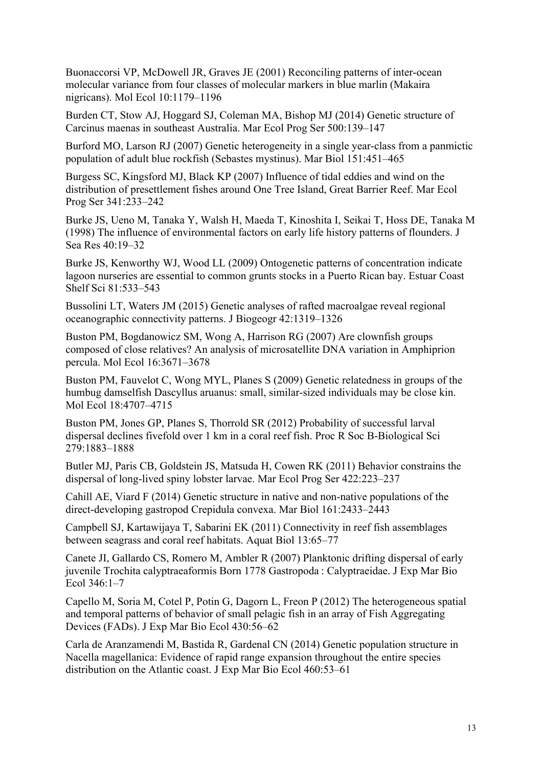Buonaccorsi VP, McDowell JR, Graves JE (2001) Reconciling patterns of inter-ocean molecular variance from four classes of molecular markers in blue marlin (Makaira nigricans). Mol Ecol 10:1179–1196

Burden CT, Stow AJ, Hoggard SJ, Coleman MA, Bishop MJ (2014) Genetic structure of Carcinus maenas in southeast Australia. Mar Ecol Prog Ser 500:139–147

Burford MO, Larson RJ (2007) Genetic heterogeneity in a single year-class from a panmictic population of adult blue rockfish (Sebastes mystinus). Mar Biol 151:451–465

Burgess SC, Kingsford MJ, Black KP (2007) Influence of tidal eddies and wind on the distribution of presettlement fishes around One Tree Island, Great Barrier Reef. Mar Ecol Prog Ser 341:233–242

Burke JS, Ueno M, Tanaka Y, Walsh H, Maeda T, Kinoshita I, Seikai T, Hoss DE, Tanaka M (1998) The influence of environmental factors on early life history patterns of flounders. J Sea Res 40:19–32

Burke JS, Kenworthy WJ, Wood LL (2009) Ontogenetic patterns of concentration indicate lagoon nurseries are essential to common grunts stocks in a Puerto Rican bay. Estuar Coast Shelf Sci 81:533–543

Bussolini LT, Waters JM (2015) Genetic analyses of rafted macroalgae reveal regional oceanographic connectivity patterns. J Biogeogr 42:1319–1326

Buston PM, Bogdanowicz SM, Wong A, Harrison RG (2007) Are clownfish groups composed of close relatives? An analysis of microsatellite DNA variation in Amphiprion percula. Mol Ecol 16:3671–3678

Buston PM, Fauvelot C, Wong MYL, Planes S (2009) Genetic relatedness in groups of the humbug damselfish Dascyllus aruanus: small, similar-sized individuals may be close kin. Mol Ecol 18:4707–4715

Buston PM, Jones GP, Planes S, Thorrold SR (2012) Probability of successful larval dispersal declines fivefold over 1 km in a coral reef fish. Proc R Soc B-Biological Sci 279:1883–1888

Butler MJ, Paris CB, Goldstein JS, Matsuda H, Cowen RK (2011) Behavior constrains the dispersal of long-lived spiny lobster larvae. Mar Ecol Prog Ser 422:223–237

Cahill AE, Viard F (2014) Genetic structure in native and non-native populations of the direct-developing gastropod Crepidula convexa. Mar Biol 161:2433–2443

Campbell SJ, Kartawijaya T, Sabarini EK (2011) Connectivity in reef fish assemblages between seagrass and coral reef habitats. Aquat Biol 13:65–77

Canete JI, Gallardo CS, Romero M, Ambler R (2007) Planktonic drifting dispersal of early juvenile Trochita calyptraeaformis Born 1778 Gastropoda : Calyptraeidae. J Exp Mar Bio Ecol 346:1–7

Capello M, Soria M, Cotel P, Potin G, Dagorn L, Freon P (2012) The heterogeneous spatial and temporal patterns of behavior of small pelagic fish in an array of Fish Aggregating Devices (FADs). J Exp Mar Bio Ecol 430:56–62

Carla de Aranzamendi M, Bastida R, Gardenal CN (2014) Genetic population structure in Nacella magellanica: Evidence of rapid range expansion throughout the entire species distribution on the Atlantic coast. J Exp Mar Bio Ecol 460:53–61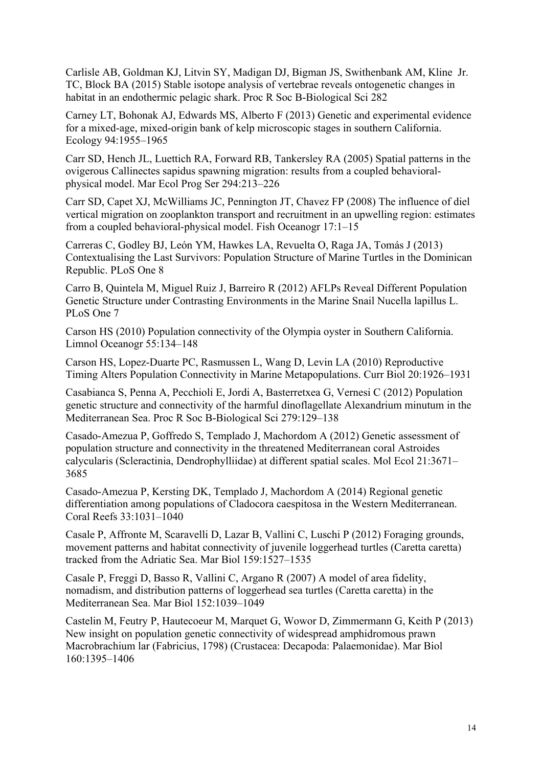Carlisle AB, Goldman KJ, Litvin SY, Madigan DJ, Bigman JS, Swithenbank AM, Kline Jr. TC, Block BA (2015) Stable isotope analysis of vertebrae reveals ontogenetic changes in habitat in an endothermic pelagic shark. Proc R Soc B-Biological Sci 282

Carney LT, Bohonak AJ, Edwards MS, Alberto F (2013) Genetic and experimental evidence for a mixed-age, mixed-origin bank of kelp microscopic stages in southern California. Ecology 94:1955–1965

Carr SD, Hench JL, Luettich RA, Forward RB, Tankersley RA (2005) Spatial patterns in the ovigerous Callinectes sapidus spawning migration: results from a coupled behavioralphysical model. Mar Ecol Prog Ser 294:213–226

Carr SD, Capet XJ, McWilliams JC, Pennington JT, Chavez FP (2008) The influence of diel vertical migration on zooplankton transport and recruitment in an upwelling region: estimates from a coupled behavioral-physical model. Fish Oceanogr 17:1–15

Carreras C, Godley BJ, León YM, Hawkes LA, Revuelta O, Raga JA, Tomás J (2013) Contextualising the Last Survivors: Population Structure of Marine Turtles in the Dominican Republic. PLoS One 8

Carro B, Quintela M, Miguel Ruiz J, Barreiro R (2012) AFLPs Reveal Different Population Genetic Structure under Contrasting Environments in the Marine Snail Nucella lapillus L. PLoS One 7

Carson HS (2010) Population connectivity of the Olympia oyster in Southern California. Limnol Oceanogr 55:134–148

Carson HS, Lopez-Duarte PC, Rasmussen L, Wang D, Levin LA (2010) Reproductive Timing Alters Population Connectivity in Marine Metapopulations. Curr Biol 20:1926–1931

Casabianca S, Penna A, Pecchioli E, Jordi A, Basterretxea G, Vernesi C (2012) Population genetic structure and connectivity of the harmful dinoflagellate Alexandrium minutum in the Mediterranean Sea. Proc R Soc B-Biological Sci 279:129–138

Casado-Amezua P, Goffredo S, Templado J, Machordom A (2012) Genetic assessment of population structure and connectivity in the threatened Mediterranean coral Astroides calycularis (Scleractinia, Dendrophylliidae) at different spatial scales. Mol Ecol 21:3671– 3685

Casado-Amezua P, Kersting DK, Templado J, Machordom A (2014) Regional genetic differentiation among populations of Cladocora caespitosa in the Western Mediterranean. Coral Reefs 33:1031–1040

Casale P, Affronte M, Scaravelli D, Lazar B, Vallini C, Luschi P (2012) Foraging grounds, movement patterns and habitat connectivity of juvenile loggerhead turtles (Caretta caretta) tracked from the Adriatic Sea. Mar Biol 159:1527–1535

Casale P, Freggi D, Basso R, Vallini C, Argano R (2007) A model of area fidelity, nomadism, and distribution patterns of loggerhead sea turtles (Caretta caretta) in the Mediterranean Sea. Mar Biol 152:1039–1049

Castelin M, Feutry P, Hautecoeur M, Marquet G, Wowor D, Zimmermann G, Keith P (2013) New insight on population genetic connectivity of widespread amphidromous prawn Macrobrachium lar (Fabricius, 1798) (Crustacea: Decapoda: Palaemonidae). Mar Biol 160:1395–1406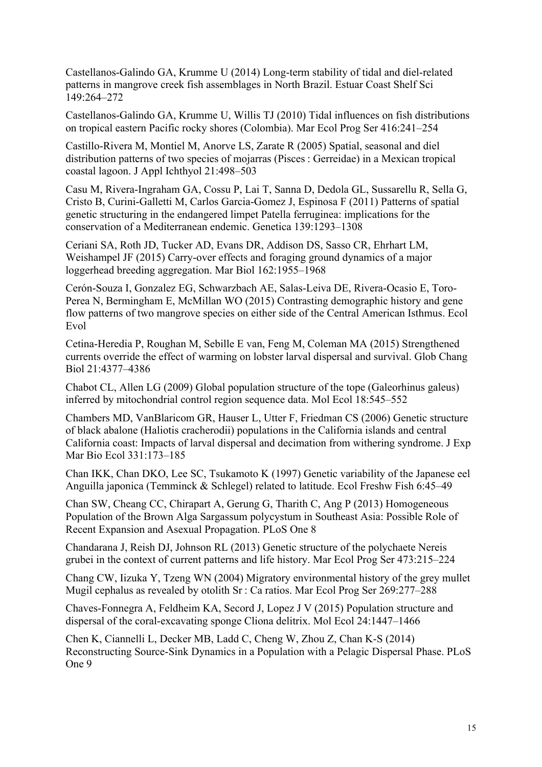Castellanos-Galindo GA, Krumme U (2014) Long-term stability of tidal and diel-related patterns in mangrove creek fish assemblages in North Brazil. Estuar Coast Shelf Sci 149:264–272

Castellanos-Galindo GA, Krumme U, Willis TJ (2010) Tidal influences on fish distributions on tropical eastern Pacific rocky shores (Colombia). Mar Ecol Prog Ser 416:241–254

Castillo-Rivera M, Montiel M, Anorve LS, Zarate R (2005) Spatial, seasonal and diel distribution patterns of two species of mojarras (Pisces : Gerreidae) in a Mexican tropical coastal lagoon. J Appl Ichthyol 21:498–503

Casu M, Rivera-Ingraham GA, Cossu P, Lai T, Sanna D, Dedola GL, Sussarellu R, Sella G, Cristo B, Curini-Galletti M, Carlos Garcia-Gomez J, Espinosa F (2011) Patterns of spatial genetic structuring in the endangered limpet Patella ferruginea: implications for the conservation of a Mediterranean endemic. Genetica 139:1293–1308

Ceriani SA, Roth JD, Tucker AD, Evans DR, Addison DS, Sasso CR, Ehrhart LM, Weishampel JF (2015) Carry-over effects and foraging ground dynamics of a major loggerhead breeding aggregation. Mar Biol 162:1955–1968

Cerón-Souza I, Gonzalez EG, Schwarzbach AE, Salas-Leiva DE, Rivera-Ocasio E, Toro-Perea N, Bermingham E, McMillan WO (2015) Contrasting demographic history and gene flow patterns of two mangrove species on either side of the Central American Isthmus. Ecol Evol

Cetina-Heredia P, Roughan M, Sebille E van, Feng M, Coleman MA (2015) Strengthened currents override the effect of warming on lobster larval dispersal and survival. Glob Chang Biol 21:4377–4386

Chabot CL, Allen LG (2009) Global population structure of the tope (Galeorhinus galeus) inferred by mitochondrial control region sequence data. Mol Ecol 18:545–552

Chambers MD, VanBlaricom GR, Hauser L, Utter F, Friedman CS (2006) Genetic structure of black abalone (Haliotis cracherodii) populations in the California islands and central California coast: Impacts of larval dispersal and decimation from withering syndrome. J Exp Mar Bio Ecol 331:173–185

Chan IKK, Chan DKO, Lee SC, Tsukamoto K (1997) Genetic variability of the Japanese eel Anguilla japonica (Temminck & Schlegel) related to latitude. Ecol Freshw Fish 6:45–49

Chan SW, Cheang CC, Chirapart A, Gerung G, Tharith C, Ang P (2013) Homogeneous Population of the Brown Alga Sargassum polycystum in Southeast Asia: Possible Role of Recent Expansion and Asexual Propagation. PLoS One 8

Chandarana J, Reish DJ, Johnson RL (2013) Genetic structure of the polychaete Nereis grubei in the context of current patterns and life history. Mar Ecol Prog Ser 473:215–224

Chang CW, Iizuka Y, Tzeng WN (2004) Migratory environmental history of the grey mullet Mugil cephalus as revealed by otolith Sr : Ca ratios. Mar Ecol Prog Ser 269:277–288

Chaves-Fonnegra A, Feldheim KA, Secord J, Lopez J V (2015) Population structure and dispersal of the coral-excavating sponge Cliona delitrix. Mol Ecol 24:1447–1466

Chen K, Ciannelli L, Decker MB, Ladd C, Cheng W, Zhou Z, Chan K-S (2014) Reconstructing Source-Sink Dynamics in a Population with a Pelagic Dispersal Phase. PLoS One 9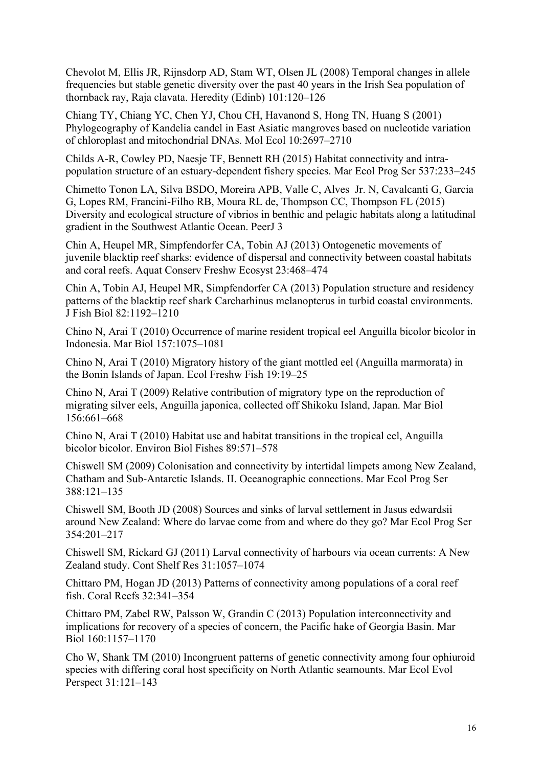Chevolot M, Ellis JR, Rijnsdorp AD, Stam WT, Olsen JL (2008) Temporal changes in allele frequencies but stable genetic diversity over the past 40 years in the Irish Sea population of thornback ray, Raja clavata. Heredity (Edinb) 101:120–126

Chiang TY, Chiang YC, Chen YJ, Chou CH, Havanond S, Hong TN, Huang S (2001) Phylogeography of Kandelia candel in East Asiatic mangroves based on nucleotide variation of chloroplast and mitochondrial DNAs. Mol Ecol 10:2697–2710

Childs A-R, Cowley PD, Naesje TF, Bennett RH (2015) Habitat connectivity and intrapopulation structure of an estuary-dependent fishery species. Mar Ecol Prog Ser 537:233–245

Chimetto Tonon LA, Silva BSDO, Moreira APB, Valle C, Alves Jr. N, Cavalcanti G, Garcia G, Lopes RM, Francini-Filho RB, Moura RL de, Thompson CC, Thompson FL (2015) Diversity and ecological structure of vibrios in benthic and pelagic habitats along a latitudinal gradient in the Southwest Atlantic Ocean. PeerJ 3

Chin A, Heupel MR, Simpfendorfer CA, Tobin AJ (2013) Ontogenetic movements of juvenile blacktip reef sharks: evidence of dispersal and connectivity between coastal habitats and coral reefs. Aquat Conserv Freshw Ecosyst 23:468–474

Chin A, Tobin AJ, Heupel MR, Simpfendorfer CA (2013) Population structure and residency patterns of the blacktip reef shark Carcharhinus melanopterus in turbid coastal environments. J Fish Biol 82:1192–1210

Chino N, Arai T (2010) Occurrence of marine resident tropical eel Anguilla bicolor bicolor in Indonesia. Mar Biol 157:1075–1081

Chino N, Arai T (2010) Migratory history of the giant mottled eel (Anguilla marmorata) in the Bonin Islands of Japan. Ecol Freshw Fish 19:19–25

Chino N, Arai T (2009) Relative contribution of migratory type on the reproduction of migrating silver eels, Anguilla japonica, collected off Shikoku Island, Japan. Mar Biol 156:661–668

Chino N, Arai T (2010) Habitat use and habitat transitions in the tropical eel, Anguilla bicolor bicolor. Environ Biol Fishes 89:571–578

Chiswell SM (2009) Colonisation and connectivity by intertidal limpets among New Zealand, Chatham and Sub-Antarctic Islands. II. Oceanographic connections. Mar Ecol Prog Ser 388:121–135

Chiswell SM, Booth JD (2008) Sources and sinks of larval settlement in Jasus edwardsii around New Zealand: Where do larvae come from and where do they go? Mar Ecol Prog Ser 354:201–217

Chiswell SM, Rickard GJ (2011) Larval connectivity of harbours via ocean currents: A New Zealand study. Cont Shelf Res 31:1057–1074

Chittaro PM, Hogan JD (2013) Patterns of connectivity among populations of a coral reef fish. Coral Reefs 32:341–354

Chittaro PM, Zabel RW, Palsson W, Grandin C (2013) Population interconnectivity and implications for recovery of a species of concern, the Pacific hake of Georgia Basin. Mar Biol 160:1157–1170

Cho W, Shank TM (2010) Incongruent patterns of genetic connectivity among four ophiuroid species with differing coral host specificity on North Atlantic seamounts. Mar Ecol Evol Perspect 31:121–143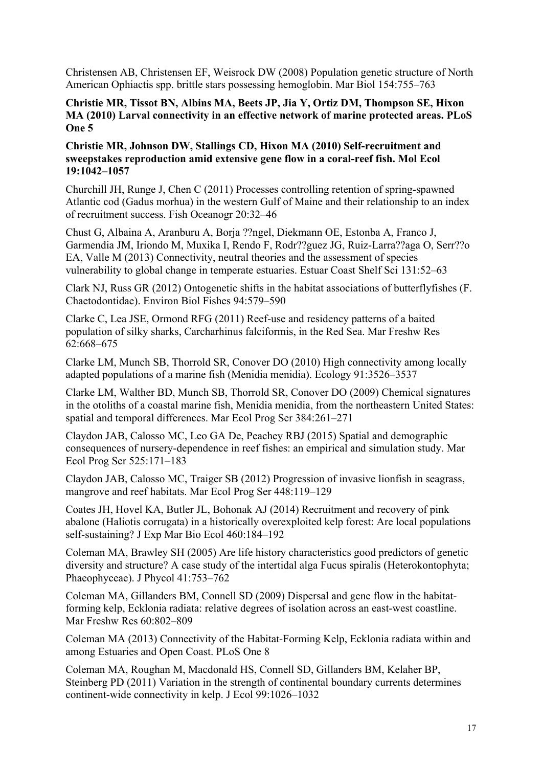Christensen AB, Christensen EF, Weisrock DW (2008) Population genetic structure of North American Ophiactis spp. brittle stars possessing hemoglobin. Mar Biol 154:755–763

#### **Christie MR, Tissot BN, Albins MA, Beets JP, Jia Y, Ortiz DM, Thompson SE, Hixon MA (2010) Larval connectivity in an effective network of marine protected areas. PLoS One 5**

## **Christie MR, Johnson DW, Stallings CD, Hixon MA (2010) Self-recruitment and sweepstakes reproduction amid extensive gene flow in a coral-reef fish. Mol Ecol 19:1042–1057**

Churchill JH, Runge J, Chen C (2011) Processes controlling retention of spring-spawned Atlantic cod (Gadus morhua) in the western Gulf of Maine and their relationship to an index of recruitment success. Fish Oceanogr 20:32–46

Chust G, Albaina A, Aranburu A, Borja ??ngel, Diekmann OE, Estonba A, Franco J, Garmendia JM, Iriondo M, Muxika I, Rendo F, Rodr??guez JG, Ruiz-Larra??aga O, Serr??o EA, Valle M (2013) Connectivity, neutral theories and the assessment of species vulnerability to global change in temperate estuaries. Estuar Coast Shelf Sci 131:52–63

Clark NJ, Russ GR (2012) Ontogenetic shifts in the habitat associations of butterflyfishes (F. Chaetodontidae). Environ Biol Fishes 94:579–590

Clarke C, Lea JSE, Ormond RFG (2011) Reef-use and residency patterns of a baited population of silky sharks, Carcharhinus falciformis, in the Red Sea. Mar Freshw Res 62:668–675

Clarke LM, Munch SB, Thorrold SR, Conover DO (2010) High connectivity among locally adapted populations of a marine fish (Menidia menidia). Ecology 91:3526–3537

Clarke LM, Walther BD, Munch SB, Thorrold SR, Conover DO (2009) Chemical signatures in the otoliths of a coastal marine fish, Menidia menidia, from the northeastern United States: spatial and temporal differences. Mar Ecol Prog Ser 384:261–271

Claydon JAB, Calosso MC, Leo GA De, Peachey RBJ (2015) Spatial and demographic consequences of nursery-dependence in reef fishes: an empirical and simulation study. Mar Ecol Prog Ser 525:171–183

Claydon JAB, Calosso MC, Traiger SB (2012) Progression of invasive lionfish in seagrass, mangrove and reef habitats. Mar Ecol Prog Ser 448:119–129

Coates JH, Hovel KA, Butler JL, Bohonak AJ (2014) Recruitment and recovery of pink abalone (Haliotis corrugata) in a historically overexploited kelp forest: Are local populations self-sustaining? J Exp Mar Bio Ecol 460:184–192

Coleman MA, Brawley SH (2005) Are life history characteristics good predictors of genetic diversity and structure? A case study of the intertidal alga Fucus spiralis (Heterokontophyta; Phaeophyceae). J Phycol 41:753–762

Coleman MA, Gillanders BM, Connell SD (2009) Dispersal and gene flow in the habitatforming kelp, Ecklonia radiata: relative degrees of isolation across an east-west coastline. Mar Freshw Res 60:802–809

Coleman MA (2013) Connectivity of the Habitat-Forming Kelp, Ecklonia radiata within and among Estuaries and Open Coast. PLoS One 8

Coleman MA, Roughan M, Macdonald HS, Connell SD, Gillanders BM, Kelaher BP, Steinberg PD (2011) Variation in the strength of continental boundary currents determines continent-wide connectivity in kelp. J Ecol 99:1026–1032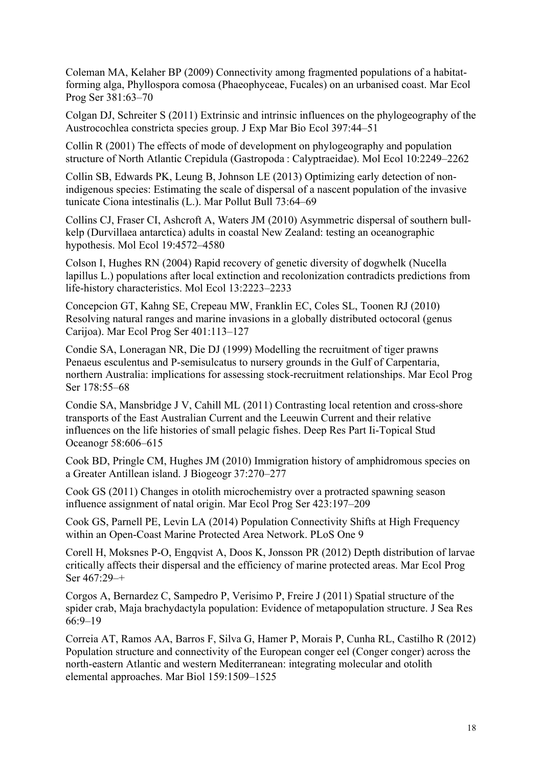Coleman MA, Kelaher BP (2009) Connectivity among fragmented populations of a habitatforming alga, Phyllospora comosa (Phaeophyceae, Fucales) on an urbanised coast. Mar Ecol Prog Ser 381:63–70

Colgan DJ, Schreiter S (2011) Extrinsic and intrinsic influences on the phylogeography of the Austrocochlea constricta species group. J Exp Mar Bio Ecol 397:44–51

Collin R (2001) The effects of mode of development on phylogeography and population structure of North Atlantic Crepidula (Gastropoda : Calyptraeidae). Mol Ecol 10:2249–2262

Collin SB, Edwards PK, Leung B, Johnson LE (2013) Optimizing early detection of nonindigenous species: Estimating the scale of dispersal of a nascent population of the invasive tunicate Ciona intestinalis (L.). Mar Pollut Bull 73:64–69

Collins CJ, Fraser CI, Ashcroft A, Waters JM (2010) Asymmetric dispersal of southern bullkelp (Durvillaea antarctica) adults in coastal New Zealand: testing an oceanographic hypothesis. Mol Ecol 19:4572–4580

Colson I, Hughes RN (2004) Rapid recovery of genetic diversity of dogwhelk (Nucella lapillus L.) populations after local extinction and recolonization contradicts predictions from life-history characteristics. Mol Ecol 13:2223–2233

Concepcion GT, Kahng SE, Crepeau MW, Franklin EC, Coles SL, Toonen RJ (2010) Resolving natural ranges and marine invasions in a globally distributed octocoral (genus Carijoa). Mar Ecol Prog Ser 401:113–127

Condie SA, Loneragan NR, Die DJ (1999) Modelling the recruitment of tiger prawns Penaeus esculentus and P-semisulcatus to nursery grounds in the Gulf of Carpentaria, northern Australia: implications for assessing stock-recruitment relationships. Mar Ecol Prog Ser 178:55–68

Condie SA, Mansbridge J V, Cahill ML (2011) Contrasting local retention and cross-shore transports of the East Australian Current and the Leeuwin Current and their relative influences on the life histories of small pelagic fishes. Deep Res Part Ii-Topical Stud Oceanogr 58:606–615

Cook BD, Pringle CM, Hughes JM (2010) Immigration history of amphidromous species on a Greater Antillean island. J Biogeogr 37:270–277

Cook GS (2011) Changes in otolith microchemistry over a protracted spawning season influence assignment of natal origin. Mar Ecol Prog Ser 423:197–209

Cook GS, Parnell PE, Levin LA (2014) Population Connectivity Shifts at High Frequency within an Open-Coast Marine Protected Area Network. PLoS One 9

Corell H, Moksnes P-O, Engqvist A, Doos K, Jonsson PR (2012) Depth distribution of larvae critically affects their dispersal and the efficiency of marine protected areas. Mar Ecol Prog Ser 467:29–+

Corgos A, Bernardez C, Sampedro P, Verisimo P, Freire J (2011) Spatial structure of the spider crab, Maja brachydactyla population: Evidence of metapopulation structure. J Sea Res 66:9–19

Correia AT, Ramos AA, Barros F, Silva G, Hamer P, Morais P, Cunha RL, Castilho R (2012) Population structure and connectivity of the European conger eel (Conger conger) across the north-eastern Atlantic and western Mediterranean: integrating molecular and otolith elemental approaches. Mar Biol 159:1509–1525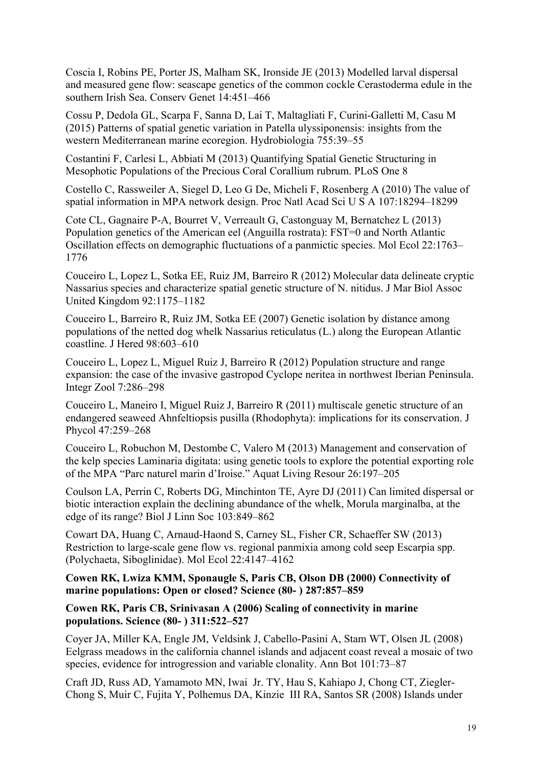Coscia I, Robins PE, Porter JS, Malham SK, Ironside JE (2013) Modelled larval dispersal and measured gene flow: seascape genetics of the common cockle Cerastoderma edule in the southern Irish Sea. Conserv Genet 14:451–466

Cossu P, Dedola GL, Scarpa F, Sanna D, Lai T, Maltagliati F, Curini-Galletti M, Casu M (2015) Patterns of spatial genetic variation in Patella ulyssiponensis: insights from the western Mediterranean marine ecoregion. Hydrobiologia 755:39–55

Costantini F, Carlesi L, Abbiati M (2013) Quantifying Spatial Genetic Structuring in Mesophotic Populations of the Precious Coral Corallium rubrum. PLoS One 8

Costello C, Rassweiler A, Siegel D, Leo G De, Micheli F, Rosenberg A (2010) The value of spatial information in MPA network design. Proc Natl Acad Sci U S A 107:18294–18299

Cote CL, Gagnaire P-A, Bourret V, Verreault G, Castonguay M, Bernatchez L (2013) Population genetics of the American eel (Anguilla rostrata): FST=0 and North Atlantic Oscillation effects on demographic fluctuations of a panmictic species. Mol Ecol 22:1763– 1776

Couceiro L, Lopez L, Sotka EE, Ruiz JM, Barreiro R (2012) Molecular data delineate cryptic Nassarius species and characterize spatial genetic structure of N. nitidus. J Mar Biol Assoc United Kingdom 92:1175–1182

Couceiro L, Barreiro R, Ruiz JM, Sotka EE (2007) Genetic isolation by distance among populations of the netted dog whelk Nassarius reticulatus (L.) along the European Atlantic coastline. J Hered 98:603–610

Couceiro L, Lopez L, Miguel Ruiz J, Barreiro R (2012) Population structure and range expansion: the case of the invasive gastropod Cyclope neritea in northwest Iberian Peninsula. Integr Zool 7:286–298

Couceiro L, Maneiro I, Miguel Ruiz J, Barreiro R (2011) multiscale genetic structure of an endangered seaweed Ahnfeltiopsis pusilla (Rhodophyta): implications for its conservation. J Phycol 47:259–268

Couceiro L, Robuchon M, Destombe C, Valero M (2013) Management and conservation of the kelp species Laminaria digitata: using genetic tools to explore the potential exporting role of the MPA "Parc naturel marin d'Iroise." Aquat Living Resour 26:197–205

Coulson LA, Perrin C, Roberts DG, Minchinton TE, Ayre DJ (2011) Can limited dispersal or biotic interaction explain the declining abundance of the whelk, Morula marginalba, at the edge of its range? Biol J Linn Soc 103:849–862

Cowart DA, Huang C, Arnaud-Haond S, Carney SL, Fisher CR, Schaeffer SW (2013) Restriction to large-scale gene flow vs. regional panmixia among cold seep Escarpia spp. (Polychaeta, Siboglinidae). Mol Ecol 22:4147–4162

**Cowen RK, Lwiza KMM, Sponaugle S, Paris CB, Olson DB (2000) Connectivity of marine populations: Open or closed? Science (80- ) 287:857–859**

#### **Cowen RK, Paris CB, Srinivasan A (2006) Scaling of connectivity in marine populations. Science (80- ) 311:522–527**

Coyer JA, Miller KA, Engle JM, Veldsink J, Cabello-Pasini A, Stam WT, Olsen JL (2008) Eelgrass meadows in the california channel islands and adjacent coast reveal a mosaic of two species, evidence for introgression and variable clonality. Ann Bot 101:73–87

Craft JD, Russ AD, Yamamoto MN, Iwai Jr. TY, Hau S, Kahiapo J, Chong CT, Ziegler-Chong S, Muir C, Fujita Y, Polhemus DA, Kinzie III RA, Santos SR (2008) Islands under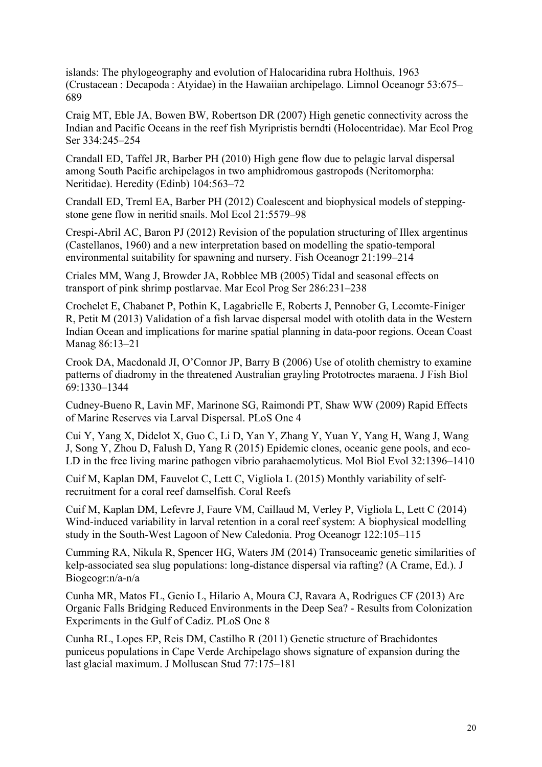islands: The phylogeography and evolution of Halocaridina rubra Holthuis, 1963 (Crustacean : Decapoda : Atyidae) in the Hawaiian archipelago. Limnol Oceanogr 53:675– 689

Craig MT, Eble JA, Bowen BW, Robertson DR (2007) High genetic connectivity across the Indian and Pacific Oceans in the reef fish Myripristis berndti (Holocentridae). Mar Ecol Prog Ser 334:245–254

Crandall ED, Taffel JR, Barber PH (2010) High gene flow due to pelagic larval dispersal among South Pacific archipelagos in two amphidromous gastropods (Neritomorpha: Neritidae). Heredity (Edinb) 104:563–72

Crandall ED, Treml EA, Barber PH (2012) Coalescent and biophysical models of steppingstone gene flow in neritid snails. Mol Ecol 21:5579–98

Crespi-Abril AC, Baron PJ (2012) Revision of the population structuring of Illex argentinus (Castellanos, 1960) and a new interpretation based on modelling the spatio-temporal environmental suitability for spawning and nursery. Fish Oceanogr 21:199–214

Criales MM, Wang J, Browder JA, Robblee MB (2005) Tidal and seasonal effects on transport of pink shrimp postlarvae. Mar Ecol Prog Ser 286:231–238

Crochelet E, Chabanet P, Pothin K, Lagabrielle E, Roberts J, Pennober G, Lecomte-Finiger R, Petit M (2013) Validation of a fish larvae dispersal model with otolith data in the Western Indian Ocean and implications for marine spatial planning in data-poor regions. Ocean Coast Manag 86:13–21

Crook DA, Macdonald JI, O'Connor JP, Barry B (2006) Use of otolith chemistry to examine patterns of diadromy in the threatened Australian grayling Prototroctes maraena. J Fish Biol 69:1330–1344

Cudney-Bueno R, Lavin MF, Marinone SG, Raimondi PT, Shaw WW (2009) Rapid Effects of Marine Reserves via Larval Dispersal. PLoS One 4

Cui Y, Yang X, Didelot X, Guo C, Li D, Yan Y, Zhang Y, Yuan Y, Yang H, Wang J, Wang J, Song Y, Zhou D, Falush D, Yang R (2015) Epidemic clones, oceanic gene pools, and eco-LD in the free living marine pathogen vibrio parahaemolyticus. Mol Biol Evol 32:1396–1410

Cuif M, Kaplan DM, Fauvelot C, Lett C, Vigliola L (2015) Monthly variability of selfrecruitment for a coral reef damselfish. Coral Reefs

Cuif M, Kaplan DM, Lefevre J, Faure VM, Caillaud M, Verley P, Vigliola L, Lett C (2014) Wind-induced variability in larval retention in a coral reef system: A biophysical modelling study in the South-West Lagoon of New Caledonia. Prog Oceanogr 122:105–115

Cumming RA, Nikula R, Spencer HG, Waters JM (2014) Transoceanic genetic similarities of kelp-associated sea slug populations: long-distance dispersal via rafting? (A Crame, Ed.). J Biogeogr:n/a-n/a

Cunha MR, Matos FL, Genio L, Hilario A, Moura CJ, Ravara A, Rodrigues CF (2013) Are Organic Falls Bridging Reduced Environments in the Deep Sea? - Results from Colonization Experiments in the Gulf of Cadiz. PLoS One 8

Cunha RL, Lopes EP, Reis DM, Castilho R (2011) Genetic structure of Brachidontes puniceus populations in Cape Verde Archipelago shows signature of expansion during the last glacial maximum. J Molluscan Stud 77:175–181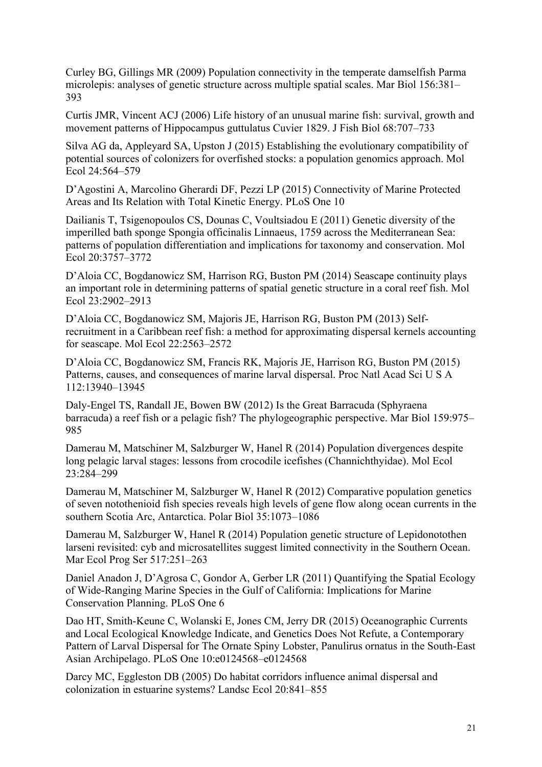Curley BG, Gillings MR (2009) Population connectivity in the temperate damselfish Parma microlepis: analyses of genetic structure across multiple spatial scales. Mar Biol 156:381– 393

Curtis JMR, Vincent ACJ (2006) Life history of an unusual marine fish: survival, growth and movement patterns of Hippocampus guttulatus Cuvier 1829. J Fish Biol 68:707–733

Silva AG da, Appleyard SA, Upston J (2015) Establishing the evolutionary compatibility of potential sources of colonizers for overfished stocks: a population genomics approach. Mol Ecol 24:564–579

D'Agostini A, Marcolino Gherardi DF, Pezzi LP (2015) Connectivity of Marine Protected Areas and Its Relation with Total Kinetic Energy. PLoS One 10

Dailianis T, Tsigenopoulos CS, Dounas C, Voultsiadou E (2011) Genetic diversity of the imperilled bath sponge Spongia officinalis Linnaeus, 1759 across the Mediterranean Sea: patterns of population differentiation and implications for taxonomy and conservation. Mol Ecol 20:3757–3772

D'Aloia CC, Bogdanowicz SM, Harrison RG, Buston PM (2014) Seascape continuity plays an important role in determining patterns of spatial genetic structure in a coral reef fish. Mol Ecol 23:2902–2913

D'Aloia CC, Bogdanowicz SM, Majoris JE, Harrison RG, Buston PM (2013) Selfrecruitment in a Caribbean reef fish: a method for approximating dispersal kernels accounting for seascape. Mol Ecol 22:2563–2572

D'Aloia CC, Bogdanowicz SM, Francis RK, Majoris JE, Harrison RG, Buston PM (2015) Patterns, causes, and consequences of marine larval dispersal. Proc Natl Acad Sci U S A 112:13940–13945

Daly-Engel TS, Randall JE, Bowen BW (2012) Is the Great Barracuda (Sphyraena barracuda) a reef fish or a pelagic fish? The phylogeographic perspective. Mar Biol 159:975– 985

Damerau M, Matschiner M, Salzburger W, Hanel R (2014) Population divergences despite long pelagic larval stages: lessons from crocodile icefishes (Channichthyidae). Mol Ecol 23:284–299

Damerau M, Matschiner M, Salzburger W, Hanel R (2012) Comparative population genetics of seven notothenioid fish species reveals high levels of gene flow along ocean currents in the southern Scotia Arc, Antarctica. Polar Biol 35:1073–1086

Damerau M, Salzburger W, Hanel R (2014) Population genetic structure of Lepidonotothen larseni revisited: cyb and microsatellites suggest limited connectivity in the Southern Ocean. Mar Ecol Prog Ser 517:251–263

Daniel Anadon J, D'Agrosa C, Gondor A, Gerber LR (2011) Quantifying the Spatial Ecology of Wide-Ranging Marine Species in the Gulf of California: Implications for Marine Conservation Planning. PLoS One 6

Dao HT, Smith-Keune C, Wolanski E, Jones CM, Jerry DR (2015) Oceanographic Currents and Local Ecological Knowledge Indicate, and Genetics Does Not Refute, a Contemporary Pattern of Larval Dispersal for The Ornate Spiny Lobster, Panulirus ornatus in the South-East Asian Archipelago. PLoS One 10:e0124568–e0124568

Darcy MC, Eggleston DB (2005) Do habitat corridors influence animal dispersal and colonization in estuarine systems? Landsc Ecol 20:841–855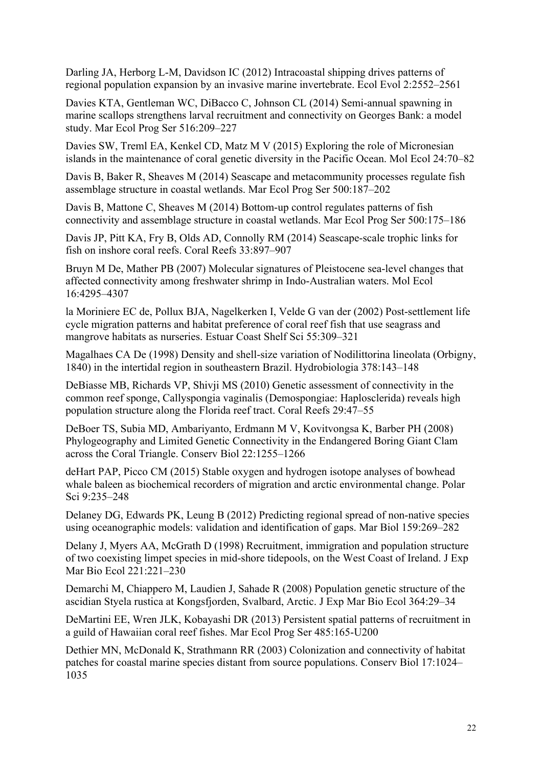Darling JA, Herborg L-M, Davidson IC (2012) Intracoastal shipping drives patterns of regional population expansion by an invasive marine invertebrate. Ecol Evol 2:2552–2561

Davies KTA, Gentleman WC, DiBacco C, Johnson CL (2014) Semi-annual spawning in marine scallops strengthens larval recruitment and connectivity on Georges Bank: a model study. Mar Ecol Prog Ser 516:209–227

Davies SW, Treml EA, Kenkel CD, Matz M V (2015) Exploring the role of Micronesian islands in the maintenance of coral genetic diversity in the Pacific Ocean. Mol Ecol 24:70–82

Davis B, Baker R, Sheaves M (2014) Seascape and metacommunity processes regulate fish assemblage structure in coastal wetlands. Mar Ecol Prog Ser 500:187–202

Davis B, Mattone C, Sheaves M (2014) Bottom-up control regulates patterns of fish connectivity and assemblage structure in coastal wetlands. Mar Ecol Prog Ser 500:175–186

Davis JP, Pitt KA, Fry B, Olds AD, Connolly RM (2014) Seascape-scale trophic links for fish on inshore coral reefs. Coral Reefs 33:897–907

Bruyn M De, Mather PB (2007) Molecular signatures of Pleistocene sea-level changes that affected connectivity among freshwater shrimp in Indo-Australian waters. Mol Ecol 16:4295–4307

la Moriniere EC de, Pollux BJA, Nagelkerken I, Velde G van der (2002) Post-settlement life cycle migration patterns and habitat preference of coral reef fish that use seagrass and mangrove habitats as nurseries. Estuar Coast Shelf Sci 55:309–321

Magalhaes CA De (1998) Density and shell-size variation of Nodilittorina lineolata (Orbigny, 1840) in the intertidal region in southeastern Brazil. Hydrobiologia 378:143–148

DeBiasse MB, Richards VP, Shivji MS (2010) Genetic assessment of connectivity in the common reef sponge, Callyspongia vaginalis (Demospongiae: Haplosclerida) reveals high population structure along the Florida reef tract. Coral Reefs 29:47–55

DeBoer TS, Subia MD, Ambariyanto, Erdmann M V, Kovitvongsa K, Barber PH (2008) Phylogeography and Limited Genetic Connectivity in the Endangered Boring Giant Clam across the Coral Triangle. Conserv Biol 22:1255–1266

deHart PAP, Picco CM (2015) Stable oxygen and hydrogen isotope analyses of bowhead whale baleen as biochemical recorders of migration and arctic environmental change. Polar Sci 9:235–248

Delaney DG, Edwards PK, Leung B (2012) Predicting regional spread of non-native species using oceanographic models: validation and identification of gaps. Mar Biol 159:269–282

Delany J, Myers AA, McGrath D (1998) Recruitment, immigration and population structure of two coexisting limpet species in mid-shore tidepools, on the West Coast of Ireland. J Exp Mar Bio Ecol 221:221–230

Demarchi M, Chiappero M, Laudien J, Sahade R (2008) Population genetic structure of the ascidian Styela rustica at Kongsfjorden, Svalbard, Arctic. J Exp Mar Bio Ecol 364:29–34

DeMartini EE, Wren JLK, Kobayashi DR (2013) Persistent spatial patterns of recruitment in a guild of Hawaiian coral reef fishes. Mar Ecol Prog Ser 485:165-U200

Dethier MN, McDonald K, Strathmann RR (2003) Colonization and connectivity of habitat patches for coastal marine species distant from source populations. Conserv Biol 17:1024– 1035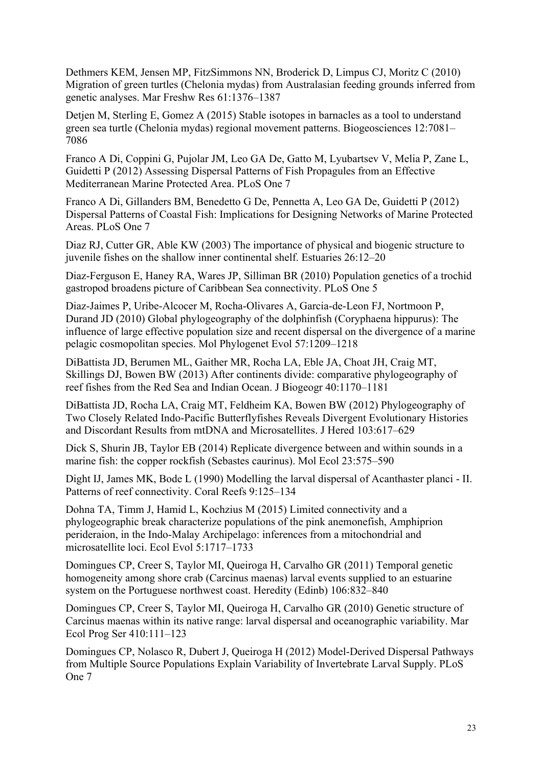Dethmers KEM, Jensen MP, FitzSimmons NN, Broderick D, Limpus CJ, Moritz C (2010) Migration of green turtles (Chelonia mydas) from Australasian feeding grounds inferred from genetic analyses. Mar Freshw Res 61:1376–1387

Detjen M, Sterling E, Gomez A (2015) Stable isotopes in barnacles as a tool to understand green sea turtle (Chelonia mydas) regional movement patterns. Biogeosciences 12:7081– 7086

Franco A Di, Coppini G, Pujolar JM, Leo GA De, Gatto M, Lyubartsev V, Melia P, Zane L, Guidetti P (2012) Assessing Dispersal Patterns of Fish Propagules from an Effective Mediterranean Marine Protected Area. PLoS One 7

Franco A Di, Gillanders BM, Benedetto G De, Pennetta A, Leo GA De, Guidetti P (2012) Dispersal Patterns of Coastal Fish: Implications for Designing Networks of Marine Protected Areas. PLoS One 7

Diaz RJ, Cutter GR, Able KW (2003) The importance of physical and biogenic structure to juvenile fishes on the shallow inner continental shelf. Estuaries 26:12–20

Diaz-Ferguson E, Haney RA, Wares JP, Silliman BR (2010) Population genetics of a trochid gastropod broadens picture of Caribbean Sea connectivity. PLoS One 5

Diaz-Jaimes P, Uribe-Alcocer M, Rocha-Olivares A, Garcia-de-Leon FJ, Nortmoon P, Durand JD (2010) Global phylogeography of the dolphinfish (Coryphaena hippurus): The influence of large effective population size and recent dispersal on the divergence of a marine pelagic cosmopolitan species. Mol Phylogenet Evol 57:1209–1218

DiBattista JD, Berumen ML, Gaither MR, Rocha LA, Eble JA, Choat JH, Craig MT, Skillings DJ, Bowen BW (2013) After continents divide: comparative phylogeography of reef fishes from the Red Sea and Indian Ocean. J Biogeogr 40:1170–1181

DiBattista JD, Rocha LA, Craig MT, Feldheim KA, Bowen BW (2012) Phylogeography of Two Closely Related Indo-Pacific Butterflyfishes Reveals Divergent Evolutionary Histories and Discordant Results from mtDNA and Microsatellites. J Hered 103:617–629

Dick S, Shurin JB, Taylor EB (2014) Replicate divergence between and within sounds in a marine fish: the copper rockfish (Sebastes caurinus). Mol Ecol 23:575–590

Dight IJ, James MK, Bode L (1990) Modelling the larval dispersal of Acanthaster planci - II. Patterns of reef connectivity. Coral Reefs 9:125–134

Dohna TA, Timm J, Hamid L, Kochzius M (2015) Limited connectivity and a phylogeographic break characterize populations of the pink anemonefish, Amphiprion perideraion, in the Indo-Malay Archipelago: inferences from a mitochondrial and microsatellite loci. Ecol Evol 5:1717–1733

Domingues CP, Creer S, Taylor MI, Queiroga H, Carvalho GR (2011) Temporal genetic homogeneity among shore crab (Carcinus maenas) larval events supplied to an estuarine system on the Portuguese northwest coast. Heredity (Edinb) 106:832–840

Domingues CP, Creer S, Taylor MI, Queiroga H, Carvalho GR (2010) Genetic structure of Carcinus maenas within its native range: larval dispersal and oceanographic variability. Mar Ecol Prog Ser 410:111–123

Domingues CP, Nolasco R, Dubert J, Queiroga H (2012) Model-Derived Dispersal Pathways from Multiple Source Populations Explain Variability of Invertebrate Larval Supply. PLoS One 7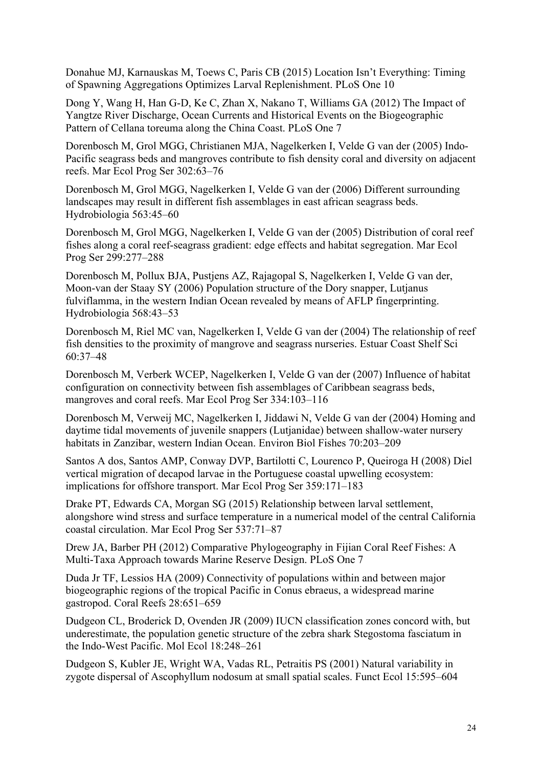Donahue MJ, Karnauskas M, Toews C, Paris CB (2015) Location Isn't Everything: Timing of Spawning Aggregations Optimizes Larval Replenishment. PLoS One 10

Dong Y, Wang H, Han G-D, Ke C, Zhan X, Nakano T, Williams GA (2012) The Impact of Yangtze River Discharge, Ocean Currents and Historical Events on the Biogeographic Pattern of Cellana toreuma along the China Coast. PLoS One 7

Dorenbosch M, Grol MGG, Christianen MJA, Nagelkerken I, Velde G van der (2005) Indo-Pacific seagrass beds and mangroves contribute to fish density coral and diversity on adjacent reefs. Mar Ecol Prog Ser 302:63–76

Dorenbosch M, Grol MGG, Nagelkerken I, Velde G van der (2006) Different surrounding landscapes may result in different fish assemblages in east african seagrass beds. Hydrobiologia 563:45–60

Dorenbosch M, Grol MGG, Nagelkerken I, Velde G van der (2005) Distribution of coral reef fishes along a coral reef-seagrass gradient: edge effects and habitat segregation. Mar Ecol Prog Ser 299:277–288

Dorenbosch M, Pollux BJA, Pustjens AZ, Rajagopal S, Nagelkerken I, Velde G van der, Moon-van der Staay SY (2006) Population structure of the Dory snapper, Lutjanus fulviflamma, in the western Indian Ocean revealed by means of AFLP fingerprinting. Hydrobiologia 568:43–53

Dorenbosch M, Riel MC van, Nagelkerken I, Velde G van der (2004) The relationship of reef fish densities to the proximity of mangrove and seagrass nurseries. Estuar Coast Shelf Sci 60:37–48

Dorenbosch M, Verberk WCEP, Nagelkerken I, Velde G van der (2007) Influence of habitat configuration on connectivity between fish assemblages of Caribbean seagrass beds, mangroves and coral reefs. Mar Ecol Prog Ser 334:103–116

Dorenbosch M, Verweij MC, Nagelkerken I, Jiddawi N, Velde G van der (2004) Homing and daytime tidal movements of juvenile snappers (Lutjanidae) between shallow-water nursery habitats in Zanzibar, western Indian Ocean. Environ Biol Fishes 70:203–209

Santos A dos, Santos AMP, Conway DVP, Bartilotti C, Lourenco P, Queiroga H (2008) Diel vertical migration of decapod larvae in the Portuguese coastal upwelling ecosystem: implications for offshore transport. Mar Ecol Prog Ser 359:171–183

Drake PT, Edwards CA, Morgan SG (2015) Relationship between larval settlement, alongshore wind stress and surface temperature in a numerical model of the central California coastal circulation. Mar Ecol Prog Ser 537:71–87

Drew JA, Barber PH (2012) Comparative Phylogeography in Fijian Coral Reef Fishes: A Multi-Taxa Approach towards Marine Reserve Design. PLoS One 7

Duda Jr TF, Lessios HA (2009) Connectivity of populations within and between major biogeographic regions of the tropical Pacific in Conus ebraeus, a widespread marine gastropod. Coral Reefs 28:651–659

Dudgeon CL, Broderick D, Ovenden JR (2009) IUCN classification zones concord with, but underestimate, the population genetic structure of the zebra shark Stegostoma fasciatum in the Indo-West Pacific. Mol Ecol 18:248–261

Dudgeon S, Kubler JE, Wright WA, Vadas RL, Petraitis PS (2001) Natural variability in zygote dispersal of Ascophyllum nodosum at small spatial scales. Funct Ecol 15:595–604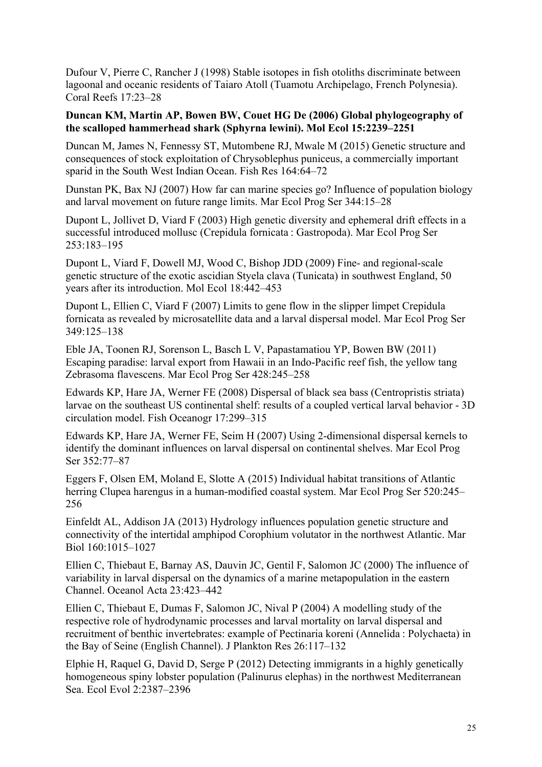Dufour V, Pierre C, Rancher J (1998) Stable isotopes in fish otoliths discriminate between lagoonal and oceanic residents of Taiaro Atoll (Tuamotu Archipelago, French Polynesia). Coral Reefs 17:23–28

# **Duncan KM, Martin AP, Bowen BW, Couet HG De (2006) Global phylogeography of the scalloped hammerhead shark (Sphyrna lewini). Mol Ecol 15:2239–2251**

Duncan M, James N, Fennessy ST, Mutombene RJ, Mwale M (2015) Genetic structure and consequences of stock exploitation of Chrysoblephus puniceus, a commercially important sparid in the South West Indian Ocean. Fish Res 164:64–72

Dunstan PK, Bax NJ (2007) How far can marine species go? Influence of population biology and larval movement on future range limits. Mar Ecol Prog Ser 344:15–28

Dupont L, Jollivet D, Viard F (2003) High genetic diversity and ephemeral drift effects in a successful introduced mollusc (Crepidula fornicata : Gastropoda). Mar Ecol Prog Ser 253:183–195

Dupont L, Viard F, Dowell MJ, Wood C, Bishop JDD (2009) Fine- and regional-scale genetic structure of the exotic ascidian Styela clava (Tunicata) in southwest England, 50 years after its introduction. Mol Ecol 18:442–453

Dupont L, Ellien C, Viard F (2007) Limits to gene flow in the slipper limpet Crepidula fornicata as revealed by microsatellite data and a larval dispersal model. Mar Ecol Prog Ser 349:125–138

Eble JA, Toonen RJ, Sorenson L, Basch L V, Papastamatiou YP, Bowen BW (2011) Escaping paradise: larval export from Hawaii in an Indo-Pacific reef fish, the yellow tang Zebrasoma flavescens. Mar Ecol Prog Ser 428:245–258

Edwards KP, Hare JA, Werner FE (2008) Dispersal of black sea bass (Centropristis striata) larvae on the southeast US continental shelf: results of a coupled vertical larval behavior - 3D circulation model. Fish Oceanogr 17:299–315

Edwards KP, Hare JA, Werner FE, Seim H (2007) Using 2-dimensional dispersal kernels to identify the dominant influences on larval dispersal on continental shelves. Mar Ecol Prog Ser 352:77–87

Eggers F, Olsen EM, Moland E, Slotte A (2015) Individual habitat transitions of Atlantic herring Clupea harengus in a human-modified coastal system. Mar Ecol Prog Ser 520:245– 256

Einfeldt AL, Addison JA (2013) Hydrology influences population genetic structure and connectivity of the intertidal amphipod Corophium volutator in the northwest Atlantic. Mar Biol 160:1015–1027

Ellien C, Thiebaut E, Barnay AS, Dauvin JC, Gentil F, Salomon JC (2000) The influence of variability in larval dispersal on the dynamics of a marine metapopulation in the eastern Channel. Oceanol Acta 23:423–442

Ellien C, Thiebaut E, Dumas F, Salomon JC, Nival P (2004) A modelling study of the respective role of hydrodynamic processes and larval mortality on larval dispersal and recruitment of benthic invertebrates: example of Pectinaria koreni (Annelida : Polychaeta) in the Bay of Seine (English Channel). J Plankton Res 26:117–132

Elphie H, Raquel G, David D, Serge P (2012) Detecting immigrants in a highly genetically homogeneous spiny lobster population (Palinurus elephas) in the northwest Mediterranean Sea. Ecol Evol 2:2387–2396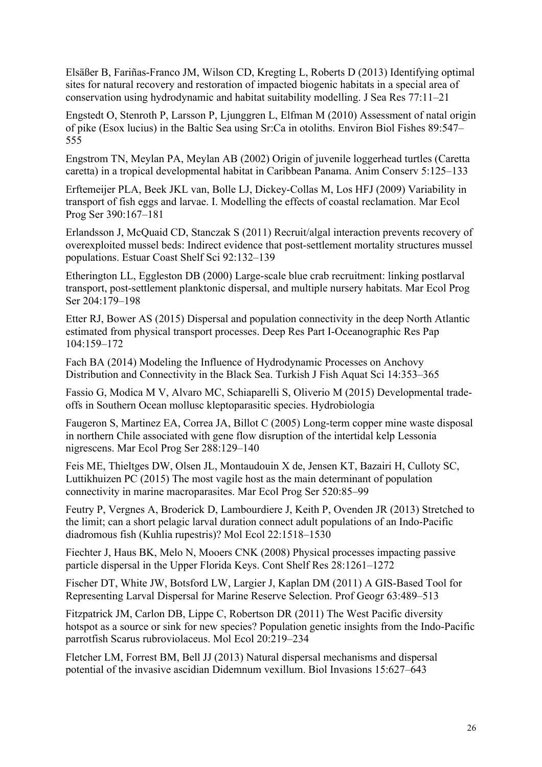Elsäßer B, Fariñas-Franco JM, Wilson CD, Kregting L, Roberts D (2013) Identifying optimal sites for natural recovery and restoration of impacted biogenic habitats in a special area of conservation using hydrodynamic and habitat suitability modelling. J Sea Res 77:11–21

Engstedt O, Stenroth P, Larsson P, Ljunggren L, Elfman M (2010) Assessment of natal origin of pike (Esox lucius) in the Baltic Sea using Sr:Ca in otoliths. Environ Biol Fishes 89:547– 555

Engstrom TN, Meylan PA, Meylan AB (2002) Origin of juvenile loggerhead turtles (Caretta caretta) in a tropical developmental habitat in Caribbean Panama. Anim Conserv 5:125–133

Erftemeijer PLA, Beek JKL van, Bolle LJ, Dickey-Collas M, Los HFJ (2009) Variability in transport of fish eggs and larvae. I. Modelling the effects of coastal reclamation. Mar Ecol Prog Ser 390:167–181

Erlandsson J, McQuaid CD, Stanczak S (2011) Recruit/algal interaction prevents recovery of overexploited mussel beds: Indirect evidence that post-settlement mortality structures mussel populations. Estuar Coast Shelf Sci 92:132–139

Etherington LL, Eggleston DB (2000) Large-scale blue crab recruitment: linking postlarval transport, post-settlement planktonic dispersal, and multiple nursery habitats. Mar Ecol Prog Ser 204:179–198

Etter RJ, Bower AS (2015) Dispersal and population connectivity in the deep North Atlantic estimated from physical transport processes. Deep Res Part I-Oceanographic Res Pap 104:159–172

Fach BA (2014) Modeling the Influence of Hydrodynamic Processes on Anchovy Distribution and Connectivity in the Black Sea. Turkish J Fish Aquat Sci 14:353–365

Fassio G, Modica M V, Alvaro MC, Schiaparelli S, Oliverio M (2015) Developmental tradeoffs in Southern Ocean mollusc kleptoparasitic species. Hydrobiologia

Faugeron S, Martinez EA, Correa JA, Billot C (2005) Long-term copper mine waste disposal in northern Chile associated with gene flow disruption of the intertidal kelp Lessonia nigrescens. Mar Ecol Prog Ser 288:129–140

Feis ME, Thieltges DW, Olsen JL, Montaudouin X de, Jensen KT, Bazairi H, Culloty SC, Luttikhuizen PC (2015) The most vagile host as the main determinant of population connectivity in marine macroparasites. Mar Ecol Prog Ser 520:85–99

Feutry P, Vergnes A, Broderick D, Lambourdiere J, Keith P, Ovenden JR (2013) Stretched to the limit; can a short pelagic larval duration connect adult populations of an Indo-Pacific diadromous fish (Kuhlia rupestris)? Mol Ecol 22:1518–1530

Fiechter J, Haus BK, Melo N, Mooers CNK (2008) Physical processes impacting passive particle dispersal in the Upper Florida Keys. Cont Shelf Res 28:1261–1272

Fischer DT, White JW, Botsford LW, Largier J, Kaplan DM (2011) A GIS-Based Tool for Representing Larval Dispersal for Marine Reserve Selection. Prof Geogr 63:489–513

Fitzpatrick JM, Carlon DB, Lippe C, Robertson DR (2011) The West Pacific diversity hotspot as a source or sink for new species? Population genetic insights from the Indo-Pacific parrotfish Scarus rubroviolaceus. Mol Ecol 20:219–234

Fletcher LM, Forrest BM, Bell JJ (2013) Natural dispersal mechanisms and dispersal potential of the invasive ascidian Didemnum vexillum. Biol Invasions 15:627–643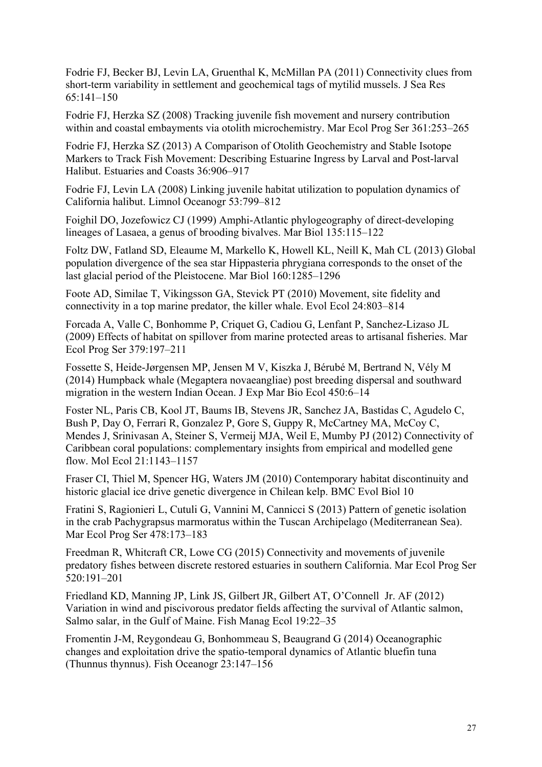Fodrie FJ, Becker BJ, Levin LA, Gruenthal K, McMillan PA (2011) Connectivity clues from short-term variability in settlement and geochemical tags of mytilid mussels. J Sea Res 65:141–150

Fodrie FJ, Herzka SZ (2008) Tracking juvenile fish movement and nursery contribution within and coastal embayments via otolith microchemistry. Mar Ecol Prog Ser 361:253–265

Fodrie FJ, Herzka SZ (2013) A Comparison of Otolith Geochemistry and Stable Isotope Markers to Track Fish Movement: Describing Estuarine Ingress by Larval and Post-larval Halibut. Estuaries and Coasts 36:906–917

Fodrie FJ, Levin LA (2008) Linking juvenile habitat utilization to population dynamics of California halibut. Limnol Oceanogr 53:799–812

Foighil DO, Jozefowicz CJ (1999) Amphi-Atlantic phylogeography of direct-developing lineages of Lasaea, a genus of brooding bivalves. Mar Biol 135:115–122

Foltz DW, Fatland SD, Eleaume M, Markello K, Howell KL, Neill K, Mah CL (2013) Global population divergence of the sea star Hippasteria phrygiana corresponds to the onset of the last glacial period of the Pleistocene. Mar Biol 160:1285–1296

Foote AD, Similae T, Vikingsson GA, Stevick PT (2010) Movement, site fidelity and connectivity in a top marine predator, the killer whale. Evol Ecol 24:803–814

Forcada A, Valle C, Bonhomme P, Criquet G, Cadiou G, Lenfant P, Sanchez-Lizaso JL (2009) Effects of habitat on spillover from marine protected areas to artisanal fisheries. Mar Ecol Prog Ser 379:197–211

Fossette S, Heide-Jørgensen MP, Jensen M V, Kiszka J, Bérubé M, Bertrand N, Vély M (2014) Humpback whale (Megaptera novaeangliae) post breeding dispersal and southward migration in the western Indian Ocean. J Exp Mar Bio Ecol 450:6–14

Foster NL, Paris CB, Kool JT, Baums IB, Stevens JR, Sanchez JA, Bastidas C, Agudelo C, Bush P, Day O, Ferrari R, Gonzalez P, Gore S, Guppy R, McCartney MA, McCoy C, Mendes J, Srinivasan A, Steiner S, Vermeij MJA, Weil E, Mumby PJ (2012) Connectivity of Caribbean coral populations: complementary insights from empirical and modelled gene flow. Mol Ecol 21:1143–1157

Fraser CI, Thiel M, Spencer HG, Waters JM (2010) Contemporary habitat discontinuity and historic glacial ice drive genetic divergence in Chilean kelp. BMC Evol Biol 10

Fratini S, Ragionieri L, Cutuli G, Vannini M, Cannicci S (2013) Pattern of genetic isolation in the crab Pachygrapsus marmoratus within the Tuscan Archipelago (Mediterranean Sea). Mar Ecol Prog Ser 478:173–183

Freedman R, Whitcraft CR, Lowe CG (2015) Connectivity and movements of juvenile predatory fishes between discrete restored estuaries in southern California. Mar Ecol Prog Ser 520:191–201

Friedland KD, Manning JP, Link JS, Gilbert JR, Gilbert AT, O'Connell Jr. AF (2012) Variation in wind and piscivorous predator fields affecting the survival of Atlantic salmon, Salmo salar, in the Gulf of Maine. Fish Manag Ecol 19:22–35

Fromentin J-M, Reygondeau G, Bonhommeau S, Beaugrand G (2014) Oceanographic changes and exploitation drive the spatio-temporal dynamics of Atlantic bluefin tuna (Thunnus thynnus). Fish Oceanogr 23:147–156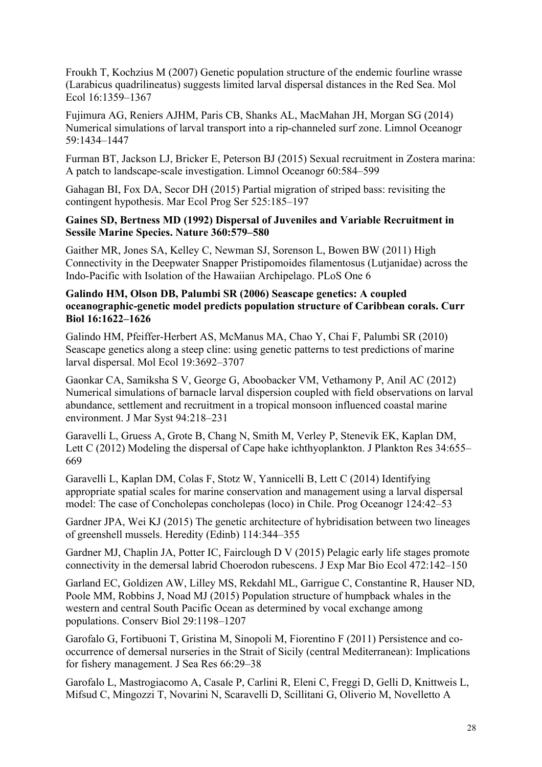Froukh T, Kochzius M (2007) Genetic population structure of the endemic fourline wrasse (Larabicus quadrilineatus) suggests limited larval dispersal distances in the Red Sea. Mol Ecol 16:1359–1367

Fujimura AG, Reniers AJHM, Paris CB, Shanks AL, MacMahan JH, Morgan SG (2014) Numerical simulations of larval transport into a rip-channeled surf zone. Limnol Oceanogr 59:1434–1447

Furman BT, Jackson LJ, Bricker E, Peterson BJ (2015) Sexual recruitment in Zostera marina: A patch to landscape-scale investigation. Limnol Oceanogr 60:584–599

Gahagan BI, Fox DA, Secor DH (2015) Partial migration of striped bass: revisiting the contingent hypothesis. Mar Ecol Prog Ser 525:185–197

## **Gaines SD, Bertness MD (1992) Dispersal of Juveniles and Variable Recruitment in Sessile Marine Species. Nature 360:579–580**

Gaither MR, Jones SA, Kelley C, Newman SJ, Sorenson L, Bowen BW (2011) High Connectivity in the Deepwater Snapper Pristipomoides filamentosus (Lutjanidae) across the Indo-Pacific with Isolation of the Hawaiian Archipelago. PLoS One 6

## **Galindo HM, Olson DB, Palumbi SR (2006) Seascape genetics: A coupled oceanographic-genetic model predicts population structure of Caribbean corals. Curr Biol 16:1622–1626**

Galindo HM, Pfeiffer-Herbert AS, McManus MA, Chao Y, Chai F, Palumbi SR (2010) Seascape genetics along a steep cline: using genetic patterns to test predictions of marine larval dispersal. Mol Ecol 19:3692–3707

Gaonkar CA, Samiksha S V, George G, Aboobacker VM, Vethamony P, Anil AC (2012) Numerical simulations of barnacle larval dispersion coupled with field observations on larval abundance, settlement and recruitment in a tropical monsoon influenced coastal marine environment. J Mar Syst 94:218–231

Garavelli L, Gruess A, Grote B, Chang N, Smith M, Verley P, Stenevik EK, Kaplan DM, Lett C (2012) Modeling the dispersal of Cape hake ichthyoplankton. J Plankton Res 34:655– 669

Garavelli L, Kaplan DM, Colas F, Stotz W, Yannicelli B, Lett C (2014) Identifying appropriate spatial scales for marine conservation and management using a larval dispersal model: The case of Concholepas concholepas (loco) in Chile. Prog Oceanogr 124:42–53

Gardner JPA, Wei KJ (2015) The genetic architecture of hybridisation between two lineages of greenshell mussels. Heredity (Edinb) 114:344–355

Gardner MJ, Chaplin JA, Potter IC, Fairclough D V (2015) Pelagic early life stages promote connectivity in the demersal labrid Choerodon rubescens. J Exp Mar Bio Ecol 472:142–150

Garland EC, Goldizen AW, Lilley MS, Rekdahl ML, Garrigue C, Constantine R, Hauser ND, Poole MM, Robbins J, Noad MJ (2015) Population structure of humpback whales in the western and central South Pacific Ocean as determined by vocal exchange among populations. Conserv Biol 29:1198–1207

Garofalo G, Fortibuoni T, Gristina M, Sinopoli M, Fiorentino F (2011) Persistence and cooccurrence of demersal nurseries in the Strait of Sicily (central Mediterranean): Implications for fishery management. J Sea Res 66:29–38

Garofalo L, Mastrogiacomo A, Casale P, Carlini R, Eleni C, Freggi D, Gelli D, Knittweis L, Mifsud C, Mingozzi T, Novarini N, Scaravelli D, Scillitani G, Oliverio M, Novelletto A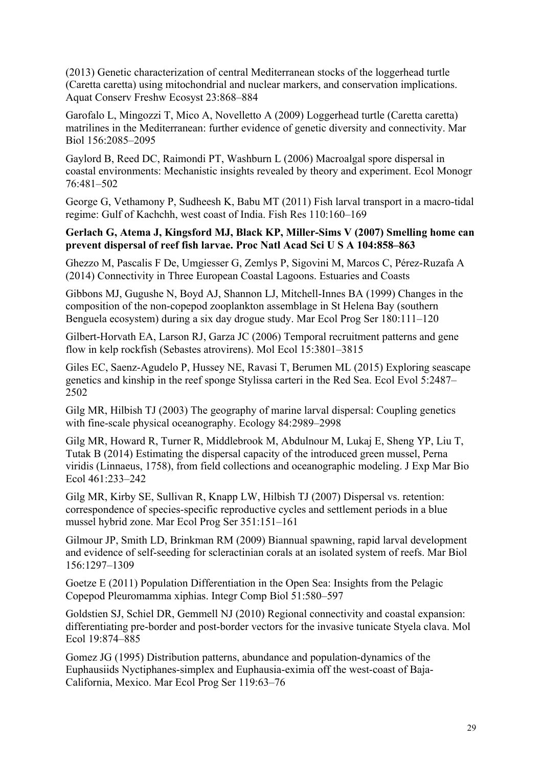(2013) Genetic characterization of central Mediterranean stocks of the loggerhead turtle (Caretta caretta) using mitochondrial and nuclear markers, and conservation implications. Aquat Conserv Freshw Ecosyst 23:868–884

Garofalo L, Mingozzi T, Mico A, Novelletto A (2009) Loggerhead turtle (Caretta caretta) matrilines in the Mediterranean: further evidence of genetic diversity and connectivity. Mar Biol 156:2085–2095

Gaylord B, Reed DC, Raimondi PT, Washburn L (2006) Macroalgal spore dispersal in coastal environments: Mechanistic insights revealed by theory and experiment. Ecol Monogr 76:481–502

George G, Vethamony P, Sudheesh K, Babu MT (2011) Fish larval transport in a macro-tidal regime: Gulf of Kachchh, west coast of India. Fish Res 110:160–169

## **Gerlach G, Atema J, Kingsford MJ, Black KP, Miller-Sims V (2007) Smelling home can prevent dispersal of reef fish larvae. Proc Natl Acad Sci U S A 104:858–863**

Ghezzo M, Pascalis F De, Umgiesser G, Zemlys P, Sigovini M, Marcos C, Pérez-Ruzafa A (2014) Connectivity in Three European Coastal Lagoons. Estuaries and Coasts

Gibbons MJ, Gugushe N, Boyd AJ, Shannon LJ, Mitchell-Innes BA (1999) Changes in the composition of the non-copepod zooplankton assemblage in St Helena Bay (southern Benguela ecosystem) during a six day drogue study. Mar Ecol Prog Ser 180:111–120

Gilbert-Horvath EA, Larson RJ, Garza JC (2006) Temporal recruitment patterns and gene flow in kelp rockfish (Sebastes atrovirens). Mol Ecol 15:3801–3815

Giles EC, Saenz-Agudelo P, Hussey NE, Ravasi T, Berumen ML (2015) Exploring seascape genetics and kinship in the reef sponge Stylissa carteri in the Red Sea. Ecol Evol 5:2487– 2502

Gilg MR, Hilbish TJ (2003) The geography of marine larval dispersal: Coupling genetics with fine-scale physical oceanography. Ecology 84:2989–2998

Gilg MR, Howard R, Turner R, Middlebrook M, Abdulnour M, Lukaj E, Sheng YP, Liu T, Tutak B (2014) Estimating the dispersal capacity of the introduced green mussel, Perna viridis (Linnaeus, 1758), from field collections and oceanographic modeling. J Exp Mar Bio Ecol 461:233–242

Gilg MR, Kirby SE, Sullivan R, Knapp LW, Hilbish TJ (2007) Dispersal vs. retention: correspondence of species-specific reproductive cycles and settlement periods in a blue mussel hybrid zone. Mar Ecol Prog Ser 351:151–161

Gilmour JP, Smith LD, Brinkman RM (2009) Biannual spawning, rapid larval development and evidence of self-seeding for scleractinian corals at an isolated system of reefs. Mar Biol 156:1297–1309

Goetze E (2011) Population Differentiation in the Open Sea: Insights from the Pelagic Copepod Pleuromamma xiphias. Integr Comp Biol 51:580–597

Goldstien SJ, Schiel DR, Gemmell NJ (2010) Regional connectivity and coastal expansion: differentiating pre-border and post-border vectors for the invasive tunicate Styela clava. Mol Ecol 19:874–885

Gomez JG (1995) Distribution patterns, abundance and population-dynamics of the Euphausiids Nyctiphanes-simplex and Euphausia-eximia off the west-coast of Baja-California, Mexico. Mar Ecol Prog Ser 119:63–76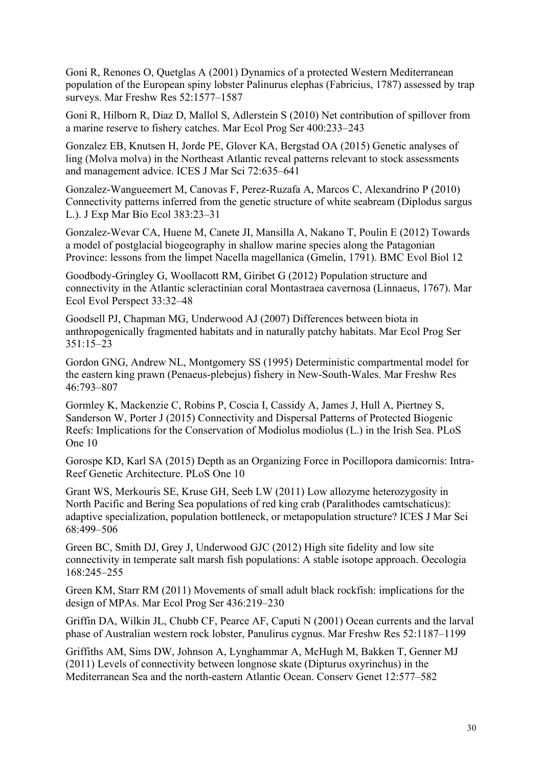Goni R, Renones O, Quetglas A (2001) Dynamics of a protected Western Mediterranean population of the European spiny lobster Palinurus elephas (Fabricius, 1787) assessed by trap surveys. Mar Freshw Res 52:1577–1587

Goni R, Hilborn R, Diaz D, Mallol S, Adlerstein S (2010) Net contribution of spillover from a marine reserve to fishery catches. Mar Ecol Prog Ser 400:233–243

Gonzalez EB, Knutsen H, Jorde PE, Glover KA, Bergstad OA (2015) Genetic analyses of ling (Molva molva) in the Northeast Atlantic reveal patterns relevant to stock assessments and management advice. ICES J Mar Sci 72:635–641

Gonzalez-Wangueemert M, Canovas F, Perez-Ruzafa A, Marcos C, Alexandrino P (2010) Connectivity patterns inferred from the genetic structure of white seabream (Diplodus sargus L.). J Exp Mar Bio Ecol 383:23–31

Gonzalez-Wevar CA, Huene M, Canete JI, Mansilla A, Nakano T, Poulin E (2012) Towards a model of postglacial biogeography in shallow marine species along the Patagonian Province: lessons from the limpet Nacella magellanica (Gmelin, 1791). BMC Evol Biol 12

Goodbody-Gringley G, Woollacott RM, Giribet G (2012) Population structure and connectivity in the Atlantic scleractinian coral Montastraea cavernosa (Linnaeus, 1767). Mar Ecol Evol Perspect 33:32–48

Goodsell PJ, Chapman MG, Underwood AJ (2007) Differences between biota in anthropogenically fragmented habitats and in naturally patchy habitats. Mar Ecol Prog Ser 351:15–23

Gordon GNG, Andrew NL, Montgomery SS (1995) Deterministic compartmental model for the eastern king prawn (Penaeus-plebejus) fishery in New-South-Wales. Mar Freshw Res 46:793–807

Gormley K, Mackenzie C, Robins P, Coscia I, Cassidy A, James J, Hull A, Piertney S, Sanderson W, Porter J (2015) Connectivity and Dispersal Patterns of Protected Biogenic Reefs: Implications for the Conservation of Modiolus modiolus (L.) in the Irish Sea. PLoS One 10

Gorospe KD, Karl SA (2015) Depth as an Organizing Force in Pocillopora damicornis: Intra-Reef Genetic Architecture. PLoS One 10

Grant WS, Merkouris SE, Kruse GH, Seeb LW (2011) Low allozyme heterozygosity in North Pacific and Bering Sea populations of red king crab (Paralithodes camtschaticus): adaptive specialization, population bottleneck, or metapopulation structure? ICES J Mar Sci 68:499–506

Green BC, Smith DJ, Grey J, Underwood GJC (2012) High site fidelity and low site connectivity in temperate salt marsh fish populations: A stable isotope approach. Oecologia 168:245–255

Green KM, Starr RM (2011) Movements of small adult black rockfish: implications for the design of MPAs. Mar Ecol Prog Ser 436:219–230

Griffin DA, Wilkin JL, Chubb CF, Pearce AF, Caputi N (2001) Ocean currents and the larval phase of Australian western rock lobster, Panulirus cygnus. Mar Freshw Res 52:1187–1199

Griffiths AM, Sims DW, Johnson A, Lynghammar A, McHugh M, Bakken T, Genner MJ (2011) Levels of connectivity between longnose skate (Dipturus oxyrinchus) in the Mediterranean Sea and the north-eastern Atlantic Ocean. Conserv Genet 12:577–582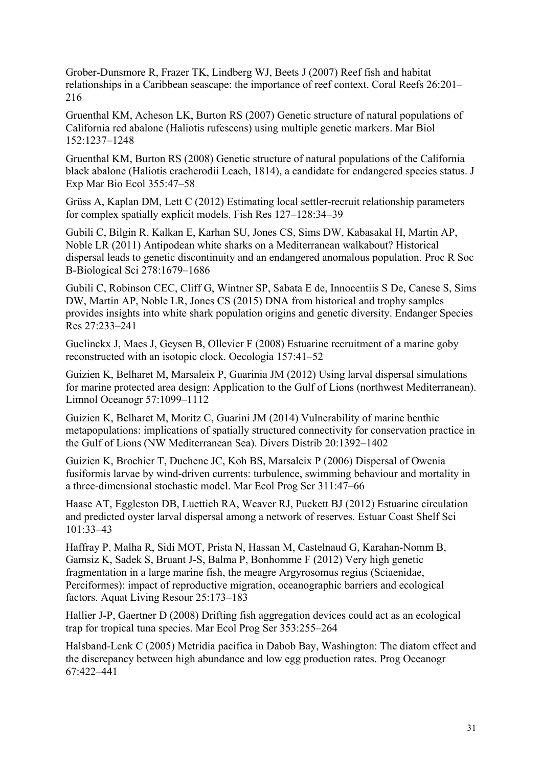Grober-Dunsmore R, Frazer TK, Lindberg WJ, Beets J (2007) Reef fish and habitat relationships in a Caribbean seascape: the importance of reef context. Coral Reefs 26:201– 216

Gruenthal KM, Acheson LK, Burton RS (2007) Genetic structure of natural populations of California red abalone (Haliotis rufescens) using multiple genetic markers. Mar Biol 152:1237–1248

Gruenthal KM, Burton RS (2008) Genetic structure of natural populations of the California black abalone (Haliotis cracherodii Leach, 1814), a candidate for endangered species status. J Exp Mar Bio Ecol 355:47–58

Grüss A, Kaplan DM, Lett C (2012) Estimating local settler-recruit relationship parameters for complex spatially explicit models. Fish Res 127–128:34–39

Gubili C, Bilgin R, Kalkan E, Karhan SU, Jones CS, Sims DW, Kabasakal H, Martin AP, Noble LR (2011) Antipodean white sharks on a Mediterranean walkabout? Historical dispersal leads to genetic discontinuity and an endangered anomalous population. Proc R Soc B-Biological Sci 278:1679–1686

Gubili C, Robinson CEC, Cliff G, Wintner SP, Sabata E de, Innocentiis S De, Canese S, Sims DW, Martin AP, Noble LR, Jones CS (2015) DNA from historical and trophy samples provides insights into white shark population origins and genetic diversity. Endanger Species Res 27:233–241

Guelinckx J, Maes J, Geysen B, Ollevier F (2008) Estuarine recruitment of a marine goby reconstructed with an isotopic clock. Oecologia 157:41–52

Guizien K, Belharet M, Marsaleix P, Guarinia JM (2012) Using larval dispersal simulations for marine protected area design: Application to the Gulf of Lions (northwest Mediterranean). Limnol Oceanogr 57:1099–1112

Guizien K, Belharet M, Moritz C, Guarini JM (2014) Vulnerability of marine benthic metapopulations: implications of spatially structured connectivity for conservation practice in the Gulf of Lions (NW Mediterranean Sea). Divers Distrib 20:1392–1402

Guizien K, Brochier T, Duchene JC, Koh BS, Marsaleix P (2006) Dispersal of Owenia fusiformis larvae by wind-driven currents: turbulence, swimming behaviour and mortality in a three-dimensional stochastic model. Mar Ecol Prog Ser 311:47–66

Haase AT, Eggleston DB, Luettich RA, Weaver RJ, Puckett BJ (2012) Estuarine circulation and predicted oyster larval dispersal among a network of reserves. Estuar Coast Shelf Sci 101:33–43

Haffray P, Malha R, Sidi MOT, Prista N, Hassan M, Castelnaud G, Karahan-Nomm B, Gamsiz K, Sadek S, Bruant J-S, Balma P, Bonhomme F (2012) Very high genetic fragmentation in a large marine fish, the meagre Argyrosomus regius (Sciaenidae, Perciformes): impact of reproductive migration, oceanographic barriers and ecological factors. Aquat Living Resour 25:173–183

Hallier J-P, Gaertner D (2008) Drifting fish aggregation devices could act as an ecological trap for tropical tuna species. Mar Ecol Prog Ser 353:255–264

Halsband-Lenk C (2005) Metridia pacifica in Dabob Bay, Washington: The diatom effect and the discrepancy between high abundance and low egg production rates. Prog Oceanogr 67:422–441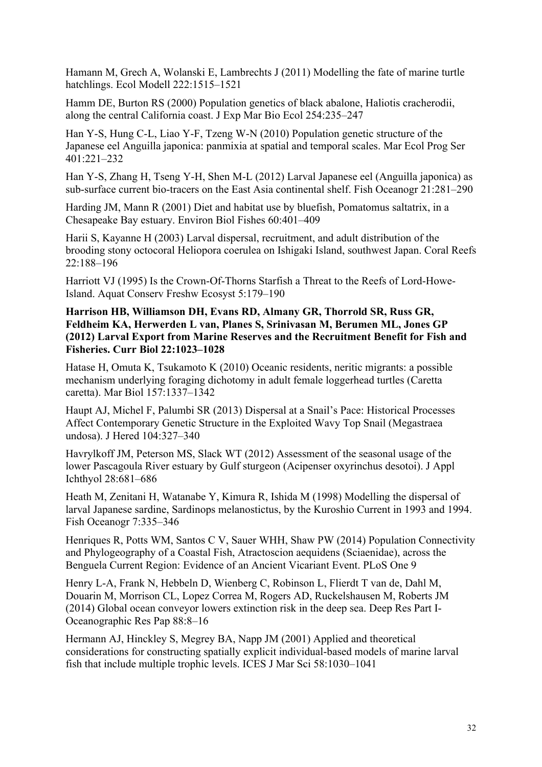Hamann M, Grech A, Wolanski E, Lambrechts J (2011) Modelling the fate of marine turtle hatchlings. Ecol Modell 222:1515–1521

Hamm DE, Burton RS (2000) Population genetics of black abalone, Haliotis cracherodii, along the central California coast. J Exp Mar Bio Ecol 254:235–247

Han Y-S, Hung C-L, Liao Y-F, Tzeng W-N (2010) Population genetic structure of the Japanese eel Anguilla japonica: panmixia at spatial and temporal scales. Mar Ecol Prog Ser 401:221–232

Han Y-S, Zhang H, Tseng Y-H, Shen M-L (2012) Larval Japanese eel (Anguilla japonica) as sub-surface current bio-tracers on the East Asia continental shelf. Fish Oceanogr 21:281–290

Harding JM, Mann R (2001) Diet and habitat use by bluefish, Pomatomus saltatrix, in a Chesapeake Bay estuary. Environ Biol Fishes 60:401–409

Harii S, Kayanne H (2003) Larval dispersal, recruitment, and adult distribution of the brooding stony octocoral Heliopora coerulea on Ishigaki Island, southwest Japan. Coral Reefs 22:188–196

Harriott VJ (1995) Is the Crown-Of-Thorns Starfish a Threat to the Reefs of Lord-Howe-Island. Aquat Conserv Freshw Ecosyst 5:179–190

**Harrison HB, Williamson DH, Evans RD, Almany GR, Thorrold SR, Russ GR, Feldheim KA, Herwerden L van, Planes S, Srinivasan M, Berumen ML, Jones GP (2012) Larval Export from Marine Reserves and the Recruitment Benefit for Fish and Fisheries. Curr Biol 22:1023–1028**

Hatase H, Omuta K, Tsukamoto K (2010) Oceanic residents, neritic migrants: a possible mechanism underlying foraging dichotomy in adult female loggerhead turtles (Caretta caretta). Mar Biol 157:1337–1342

Haupt AJ, Michel F, Palumbi SR (2013) Dispersal at a Snail's Pace: Historical Processes Affect Contemporary Genetic Structure in the Exploited Wavy Top Snail (Megastraea undosa). J Hered 104:327–340

Havrylkoff JM, Peterson MS, Slack WT (2012) Assessment of the seasonal usage of the lower Pascagoula River estuary by Gulf sturgeon (Acipenser oxyrinchus desotoi). J Appl Ichthyol 28:681–686

Heath M, Zenitani H, Watanabe Y, Kimura R, Ishida M (1998) Modelling the dispersal of larval Japanese sardine, Sardinops melanostictus, by the Kuroshio Current in 1993 and 1994. Fish Oceanogr 7:335–346

Henriques R, Potts WM, Santos C V, Sauer WHH, Shaw PW (2014) Population Connectivity and Phylogeography of a Coastal Fish, Atractoscion aequidens (Sciaenidae), across the Benguela Current Region: Evidence of an Ancient Vicariant Event. PLoS One 9

Henry L-A, Frank N, Hebbeln D, Wienberg C, Robinson L, Flierdt T van de, Dahl M, Douarin M, Morrison CL, Lopez Correa M, Rogers AD, Ruckelshausen M, Roberts JM (2014) Global ocean conveyor lowers extinction risk in the deep sea. Deep Res Part I-Oceanographic Res Pap 88:8–16

Hermann AJ, Hinckley S, Megrey BA, Napp JM (2001) Applied and theoretical considerations for constructing spatially explicit individual-based models of marine larval fish that include multiple trophic levels. ICES J Mar Sci 58:1030–1041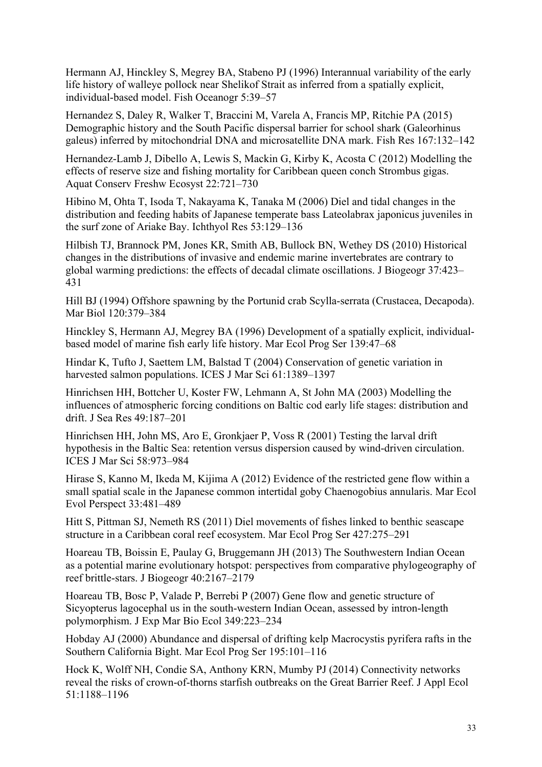Hermann AJ, Hinckley S, Megrey BA, Stabeno PJ (1996) Interannual variability of the early life history of walleye pollock near Shelikof Strait as inferred from a spatially explicit, individual-based model. Fish Oceanogr 5:39–57

Hernandez S, Daley R, Walker T, Braccini M, Varela A, Francis MP, Ritchie PA (2015) Demographic history and the South Pacific dispersal barrier for school shark (Galeorhinus galeus) inferred by mitochondrial DNA and microsatellite DNA mark. Fish Res 167:132–142

Hernandez-Lamb J, Dibello A, Lewis S, Mackin G, Kirby K, Acosta C (2012) Modelling the effects of reserve size and fishing mortality for Caribbean queen conch Strombus gigas. Aquat Conserv Freshw Ecosyst 22:721–730

Hibino M, Ohta T, Isoda T, Nakayama K, Tanaka M (2006) Diel and tidal changes in the distribution and feeding habits of Japanese temperate bass Lateolabrax japonicus juveniles in the surf zone of Ariake Bay. Ichthyol Res 53:129–136

Hilbish TJ, Brannock PM, Jones KR, Smith AB, Bullock BN, Wethey DS (2010) Historical changes in the distributions of invasive and endemic marine invertebrates are contrary to global warming predictions: the effects of decadal climate oscillations. J Biogeogr 37:423– 431

Hill BJ (1994) Offshore spawning by the Portunid crab Scylla-serrata (Crustacea, Decapoda). Mar Biol 120:379–384

Hinckley S, Hermann AJ, Megrey BA (1996) Development of a spatially explicit, individualbased model of marine fish early life history. Mar Ecol Prog Ser 139:47–68

Hindar K, Tufto J, Saettem LM, Balstad T (2004) Conservation of genetic variation in harvested salmon populations. ICES J Mar Sci 61:1389–1397

Hinrichsen HH, Bottcher U, Koster FW, Lehmann A, St John MA (2003) Modelling the influences of atmospheric forcing conditions on Baltic cod early life stages: distribution and drift. J Sea Res 49:187–201

Hinrichsen HH, John MS, Aro E, Gronkjaer P, Voss R (2001) Testing the larval drift hypothesis in the Baltic Sea: retention versus dispersion caused by wind-driven circulation. ICES J Mar Sci 58:973–984

Hirase S, Kanno M, Ikeda M, Kijima A (2012) Evidence of the restricted gene flow within a small spatial scale in the Japanese common intertidal goby Chaenogobius annularis. Mar Ecol Evol Perspect 33:481–489

Hitt S, Pittman SJ, Nemeth RS (2011) Diel movements of fishes linked to benthic seascape structure in a Caribbean coral reef ecosystem. Mar Ecol Prog Ser 427:275–291

Hoareau TB, Boissin E, Paulay G, Bruggemann JH (2013) The Southwestern Indian Ocean as a potential marine evolutionary hotspot: perspectives from comparative phylogeography of reef brittle-stars. J Biogeogr 40:2167–2179

Hoareau TB, Bosc P, Valade P, Berrebi P (2007) Gene flow and genetic structure of Sicyopterus lagocephal us in the south-western Indian Ocean, assessed by intron-length polymorphism. J Exp Mar Bio Ecol 349:223–234

Hobday AJ (2000) Abundance and dispersal of drifting kelp Macrocystis pyrifera rafts in the Southern California Bight. Mar Ecol Prog Ser 195:101–116

Hock K, Wolff NH, Condie SA, Anthony KRN, Mumby PJ (2014) Connectivity networks reveal the risks of crown-of-thorns starfish outbreaks on the Great Barrier Reef. J Appl Ecol 51:1188–1196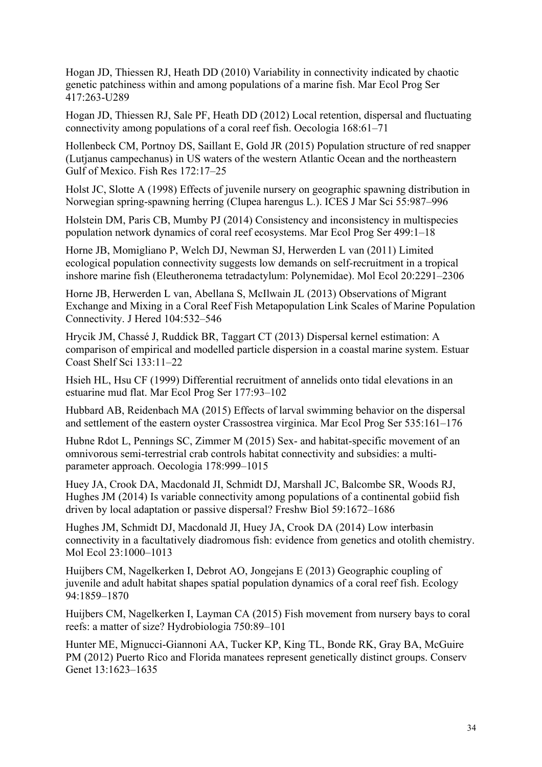Hogan JD, Thiessen RJ, Heath DD (2010) Variability in connectivity indicated by chaotic genetic patchiness within and among populations of a marine fish. Mar Ecol Prog Ser 417:263-U289

Hogan JD, Thiessen RJ, Sale PF, Heath DD (2012) Local retention, dispersal and fluctuating connectivity among populations of a coral reef fish. Oecologia 168:61–71

Hollenbeck CM, Portnoy DS, Saillant E, Gold JR (2015) Population structure of red snapper (Lutjanus campechanus) in US waters of the western Atlantic Ocean and the northeastern Gulf of Mexico. Fish Res 172:17–25

Holst JC, Slotte A (1998) Effects of juvenile nursery on geographic spawning distribution in Norwegian spring-spawning herring (Clupea harengus L.). ICES J Mar Sci 55:987–996

Holstein DM, Paris CB, Mumby PJ (2014) Consistency and inconsistency in multispecies population network dynamics of coral reef ecosystems. Mar Ecol Prog Ser 499:1–18

Horne JB, Momigliano P, Welch DJ, Newman SJ, Herwerden L van (2011) Limited ecological population connectivity suggests low demands on self-recruitment in a tropical inshore marine fish (Eleutheronema tetradactylum: Polynemidae). Mol Ecol 20:2291–2306

Horne JB, Herwerden L van, Abellana S, McIlwain JL (2013) Observations of Migrant Exchange and Mixing in a Coral Reef Fish Metapopulation Link Scales of Marine Population Connectivity. J Hered 104:532–546

Hrycik JM, Chassé J, Ruddick BR, Taggart CT (2013) Dispersal kernel estimation: A comparison of empirical and modelled particle dispersion in a coastal marine system. Estuar Coast Shelf Sci 133:11–22

Hsieh HL, Hsu CF (1999) Differential recruitment of annelids onto tidal elevations in an estuarine mud flat. Mar Ecol Prog Ser 177:93–102

Hubbard AB, Reidenbach MA (2015) Effects of larval swimming behavior on the dispersal and settlement of the eastern oyster Crassostrea virginica. Mar Ecol Prog Ser 535:161–176

Hubne Rdot L, Pennings SC, Zimmer M (2015) Sex- and habitat-specific movement of an omnivorous semi-terrestrial crab controls habitat connectivity and subsidies: a multiparameter approach. Oecologia 178:999–1015

Huey JA, Crook DA, Macdonald JI, Schmidt DJ, Marshall JC, Balcombe SR, Woods RJ, Hughes JM (2014) Is variable connectivity among populations of a continental gobiid fish driven by local adaptation or passive dispersal? Freshw Biol 59:1672–1686

Hughes JM, Schmidt DJ, Macdonald JI, Huey JA, Crook DA (2014) Low interbasin connectivity in a facultatively diadromous fish: evidence from genetics and otolith chemistry. Mol Ecol 23:1000–1013

Huijbers CM, Nagelkerken I, Debrot AO, Jongejans E (2013) Geographic coupling of juvenile and adult habitat shapes spatial population dynamics of a coral reef fish. Ecology 94:1859–1870

Huijbers CM, Nagelkerken I, Layman CA (2015) Fish movement from nursery bays to coral reefs: a matter of size? Hydrobiologia 750:89–101

Hunter ME, Mignucci-Giannoni AA, Tucker KP, King TL, Bonde RK, Gray BA, McGuire PM (2012) Puerto Rico and Florida manatees represent genetically distinct groups. Conserv Genet 13:1623–1635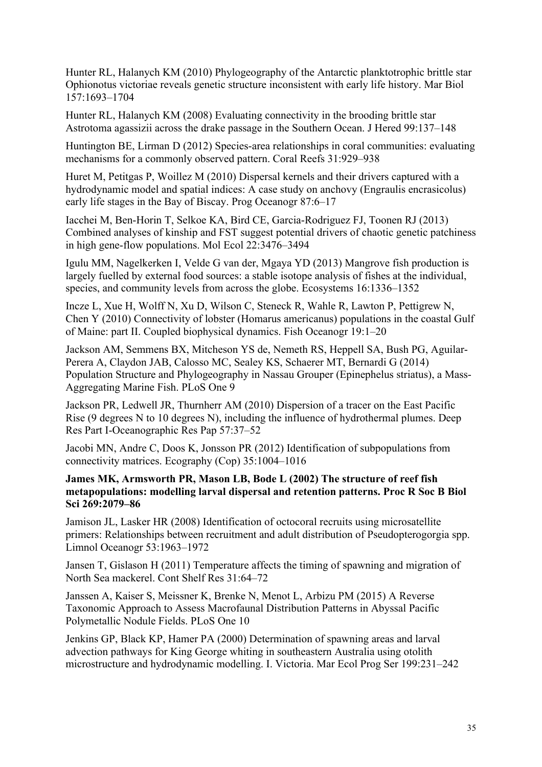Hunter RL, Halanych KM (2010) Phylogeography of the Antarctic planktotrophic brittle star Ophionotus victoriae reveals genetic structure inconsistent with early life history. Mar Biol 157:1693–1704

Hunter RL, Halanych KM (2008) Evaluating connectivity in the brooding brittle star Astrotoma agassizii across the drake passage in the Southern Ocean. J Hered 99:137–148

Huntington BE, Lirman D (2012) Species-area relationships in coral communities: evaluating mechanisms for a commonly observed pattern. Coral Reefs 31:929–938

Huret M, Petitgas P, Woillez M (2010) Dispersal kernels and their drivers captured with a hydrodynamic model and spatial indices: A case study on anchovy (Engraulis encrasicolus) early life stages in the Bay of Biscay. Prog Oceanogr 87:6–17

Iacchei M, Ben-Horin T, Selkoe KA, Bird CE, Garcia-Rodriguez FJ, Toonen RJ (2013) Combined analyses of kinship and FST suggest potential drivers of chaotic genetic patchiness in high gene-flow populations. Mol Ecol 22:3476–3494

Igulu MM, Nagelkerken I, Velde G van der, Mgaya YD (2013) Mangrove fish production is largely fuelled by external food sources: a stable isotope analysis of fishes at the individual, species, and community levels from across the globe. Ecosystems 16:1336–1352

Incze L, Xue H, Wolff N, Xu D, Wilson C, Steneck R, Wahle R, Lawton P, Pettigrew N, Chen Y (2010) Connectivity of lobster (Homarus americanus) populations in the coastal Gulf of Maine: part II. Coupled biophysical dynamics. Fish Oceanogr 19:1–20

Jackson AM, Semmens BX, Mitcheson YS de, Nemeth RS, Heppell SA, Bush PG, Aguilar-Perera A, Claydon JAB, Calosso MC, Sealey KS, Schaerer MT, Bernardi G (2014) Population Structure and Phylogeography in Nassau Grouper (Epinephelus striatus), a Mass-Aggregating Marine Fish. PLoS One 9

Jackson PR, Ledwell JR, Thurnherr AM (2010) Dispersion of a tracer on the East Pacific Rise (9 degrees N to 10 degrees N), including the influence of hydrothermal plumes. Deep Res Part I-Oceanographic Res Pap 57:37–52

Jacobi MN, Andre C, Doos K, Jonsson PR (2012) Identification of subpopulations from connectivity matrices. Ecography (Cop) 35:1004–1016

#### **James MK, Armsworth PR, Mason LB, Bode L (2002) The structure of reef fish metapopulations: modelling larval dispersal and retention patterns. Proc R Soc B Biol Sci 269:2079–86**

Jamison JL, Lasker HR (2008) Identification of octocoral recruits using microsatellite primers: Relationships between recruitment and adult distribution of Pseudopterogorgia spp. Limnol Oceanogr 53:1963–1972

Jansen T, Gislason H (2011) Temperature affects the timing of spawning and migration of North Sea mackerel. Cont Shelf Res 31:64–72

Janssen A, Kaiser S, Meissner K, Brenke N, Menot L, Arbizu PM (2015) A Reverse Taxonomic Approach to Assess Macrofaunal Distribution Patterns in Abyssal Pacific Polymetallic Nodule Fields. PLoS One 10

Jenkins GP, Black KP, Hamer PA (2000) Determination of spawning areas and larval advection pathways for King George whiting in southeastern Australia using otolith microstructure and hydrodynamic modelling. I. Victoria. Mar Ecol Prog Ser 199:231–242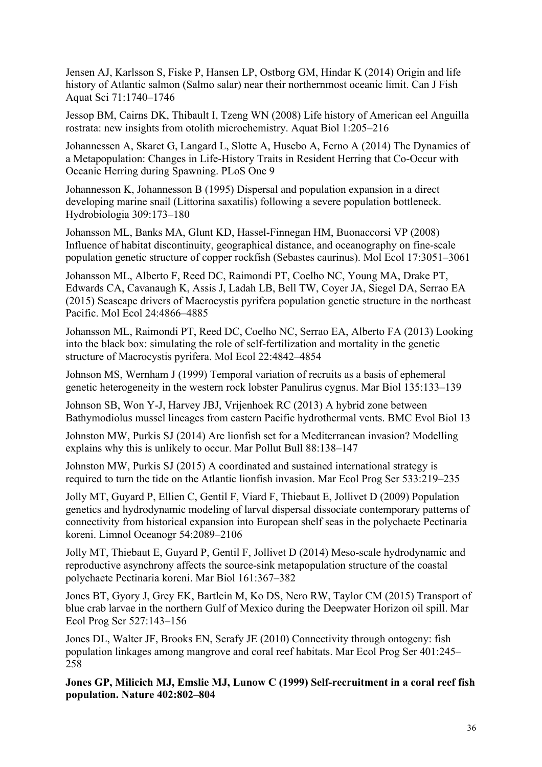Jensen AJ, Karlsson S, Fiske P, Hansen LP, Ostborg GM, Hindar K (2014) Origin and life history of Atlantic salmon (Salmo salar) near their northernmost oceanic limit. Can J Fish Aquat Sci 71:1740–1746

Jessop BM, Cairns DK, Thibault I, Tzeng WN (2008) Life history of American eel Anguilla rostrata: new insights from otolith microchemistry. Aquat Biol 1:205–216

Johannessen A, Skaret G, Langard L, Slotte A, Husebo A, Ferno A (2014) The Dynamics of a Metapopulation: Changes in Life-History Traits in Resident Herring that Co-Occur with Oceanic Herring during Spawning. PLoS One 9

Johannesson K, Johannesson B (1995) Dispersal and population expansion in a direct developing marine snail (Littorina saxatilis) following a severe population bottleneck. Hydrobiologia 309:173–180

Johansson ML, Banks MA, Glunt KD, Hassel-Finnegan HM, Buonaccorsi VP (2008) Influence of habitat discontinuity, geographical distance, and oceanography on fine-scale population genetic structure of copper rockfish (Sebastes caurinus). Mol Ecol 17:3051–3061

Johansson ML, Alberto F, Reed DC, Raimondi PT, Coelho NC, Young MA, Drake PT, Edwards CA, Cavanaugh K, Assis J, Ladah LB, Bell TW, Coyer JA, Siegel DA, Serrao EA (2015) Seascape drivers of Macrocystis pyrifera population genetic structure in the northeast Pacific. Mol Ecol 24:4866–4885

Johansson ML, Raimondi PT, Reed DC, Coelho NC, Serrao EA, Alberto FA (2013) Looking into the black box: simulating the role of self-fertilization and mortality in the genetic structure of Macrocystis pyrifera. Mol Ecol 22:4842–4854

Johnson MS, Wernham J (1999) Temporal variation of recruits as a basis of ephemeral genetic heterogeneity in the western rock lobster Panulirus cygnus. Mar Biol 135:133–139

Johnson SB, Won Y-J, Harvey JBJ, Vrijenhoek RC (2013) A hybrid zone between Bathymodiolus mussel lineages from eastern Pacific hydrothermal vents. BMC Evol Biol 13

Johnston MW, Purkis SJ (2014) Are lionfish set for a Mediterranean invasion? Modelling explains why this is unlikely to occur. Mar Pollut Bull 88:138–147

Johnston MW, Purkis SJ (2015) A coordinated and sustained international strategy is required to turn the tide on the Atlantic lionfish invasion. Mar Ecol Prog Ser 533:219–235

Jolly MT, Guyard P, Ellien C, Gentil F, Viard F, Thiebaut E, Jollivet D (2009) Population genetics and hydrodynamic modeling of larval dispersal dissociate contemporary patterns of connectivity from historical expansion into European shelf seas in the polychaete Pectinaria koreni. Limnol Oceanogr 54:2089–2106

Jolly MT, Thiebaut E, Guyard P, Gentil F, Jollivet D (2014) Meso-scale hydrodynamic and reproductive asynchrony affects the source-sink metapopulation structure of the coastal polychaete Pectinaria koreni. Mar Biol 161:367–382

Jones BT, Gyory J, Grey EK, Bartlein M, Ko DS, Nero RW, Taylor CM (2015) Transport of blue crab larvae in the northern Gulf of Mexico during the Deepwater Horizon oil spill. Mar Ecol Prog Ser 527:143–156

Jones DL, Walter JF, Brooks EN, Serafy JE (2010) Connectivity through ontogeny: fish population linkages among mangrove and coral reef habitats. Mar Ecol Prog Ser 401:245– 258

**Jones GP, Milicich MJ, Emslie MJ, Lunow C (1999) Self-recruitment in a coral reef fish population. Nature 402:802–804**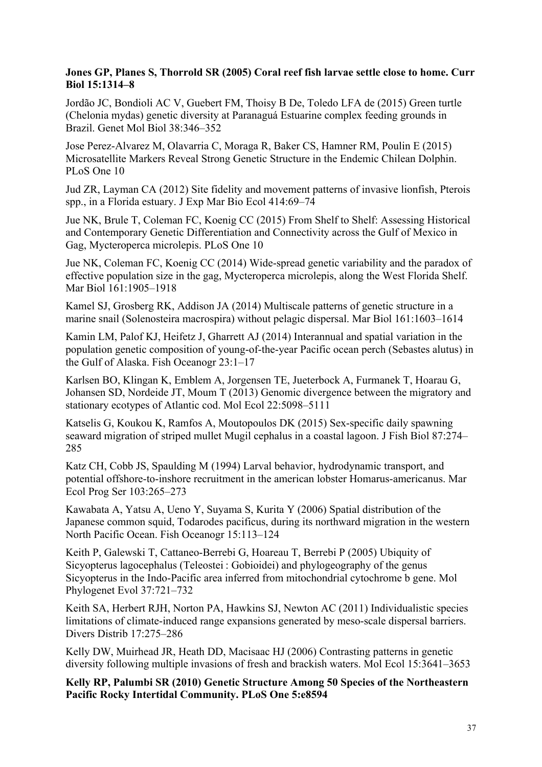# **Jones GP, Planes S, Thorrold SR (2005) Coral reef fish larvae settle close to home. Curr Biol 15:1314–8**

Jordão JC, Bondioli AC V, Guebert FM, Thoisy B De, Toledo LFA de (2015) Green turtle (Chelonia mydas) genetic diversity at Paranaguá Estuarine complex feeding grounds in Brazil. Genet Mol Biol 38:346–352

Jose Perez-Alvarez M, Olavarria C, Moraga R, Baker CS, Hamner RM, Poulin E (2015) Microsatellite Markers Reveal Strong Genetic Structure in the Endemic Chilean Dolphin. PLoS One 10

Jud ZR, Layman CA (2012) Site fidelity and movement patterns of invasive lionfish, Pterois spp., in a Florida estuary. J Exp Mar Bio Ecol 414:69–74

Jue NK, Brule T, Coleman FC, Koenig CC (2015) From Shelf to Shelf: Assessing Historical and Contemporary Genetic Differentiation and Connectivity across the Gulf of Mexico in Gag, Mycteroperca microlepis. PLoS One 10

Jue NK, Coleman FC, Koenig CC (2014) Wide-spread genetic variability and the paradox of effective population size in the gag, Mycteroperca microlepis, along the West Florida Shelf. Mar Biol 161:1905–1918

Kamel SJ, Grosberg RK, Addison JA (2014) Multiscale patterns of genetic structure in a marine snail (Solenosteira macrospira) without pelagic dispersal. Mar Biol 161:1603–1614

Kamin LM, Palof KJ, Heifetz J, Gharrett AJ (2014) Interannual and spatial variation in the population genetic composition of young-of-the-year Pacific ocean perch (Sebastes alutus) in the Gulf of Alaska. Fish Oceanogr 23:1–17

Karlsen BO, Klingan K, Emblem A, Jorgensen TE, Jueterbock A, Furmanek T, Hoarau G, Johansen SD, Nordeide JT, Moum T (2013) Genomic divergence between the migratory and stationary ecotypes of Atlantic cod. Mol Ecol 22:5098–5111

Katselis G, Koukou K, Ramfos A, Moutopoulos DK (2015) Sex-specific daily spawning seaward migration of striped mullet Mugil cephalus in a coastal lagoon. J Fish Biol 87:274– 285

Katz CH, Cobb JS, Spaulding M (1994) Larval behavior, hydrodynamic transport, and potential offshore-to-inshore recruitment in the american lobster Homarus-americanus. Mar Ecol Prog Ser 103:265–273

Kawabata A, Yatsu A, Ueno Y, Suyama S, Kurita Y (2006) Spatial distribution of the Japanese common squid, Todarodes pacificus, during its northward migration in the western North Pacific Ocean. Fish Oceanogr 15:113–124

Keith P, Galewski T, Cattaneo-Berrebi G, Hoareau T, Berrebi P (2005) Ubiquity of Sicyopterus lagocephalus (Teleostei : Gobioidei) and phylogeography of the genus Sicyopterus in the Indo-Pacific area inferred from mitochondrial cytochrome b gene. Mol Phylogenet Evol 37:721–732

Keith SA, Herbert RJH, Norton PA, Hawkins SJ, Newton AC (2011) Individualistic species limitations of climate-induced range expansions generated by meso-scale dispersal barriers. Divers Distrib 17:275–286

Kelly DW, Muirhead JR, Heath DD, Macisaac HJ (2006) Contrasting patterns in genetic diversity following multiple invasions of fresh and brackish waters. Mol Ecol 15:3641–3653

**Kelly RP, Palumbi SR (2010) Genetic Structure Among 50 Species of the Northeastern Pacific Rocky Intertidal Community. PLoS One 5:e8594**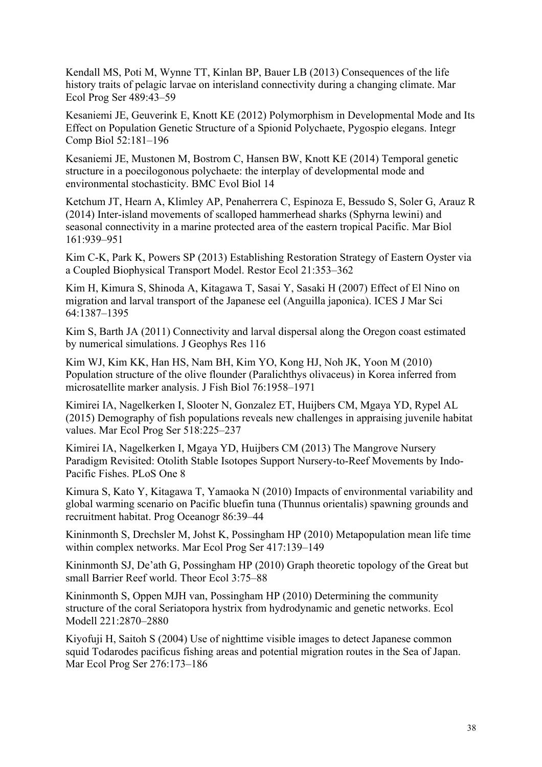Kendall MS, Poti M, Wynne TT, Kinlan BP, Bauer LB (2013) Consequences of the life history traits of pelagic larvae on interisland connectivity during a changing climate. Mar Ecol Prog Ser 489:43–59

Kesaniemi JE, Geuverink E, Knott KE (2012) Polymorphism in Developmental Mode and Its Effect on Population Genetic Structure of a Spionid Polychaete, Pygospio elegans. Integr Comp Biol 52:181–196

Kesaniemi JE, Mustonen M, Bostrom C, Hansen BW, Knott KE (2014) Temporal genetic structure in a poecilogonous polychaete: the interplay of developmental mode and environmental stochasticity. BMC Evol Biol 14

Ketchum JT, Hearn A, Klimley AP, Penaherrera C, Espinoza E, Bessudo S, Soler G, Arauz R (2014) Inter-island movements of scalloped hammerhead sharks (Sphyrna lewini) and seasonal connectivity in a marine protected area of the eastern tropical Pacific. Mar Biol 161:939–951

Kim C-K, Park K, Powers SP (2013) Establishing Restoration Strategy of Eastern Oyster via a Coupled Biophysical Transport Model. Restor Ecol 21:353–362

Kim H, Kimura S, Shinoda A, Kitagawa T, Sasai Y, Sasaki H (2007) Effect of El Nino on migration and larval transport of the Japanese eel (Anguilla japonica). ICES J Mar Sci 64:1387–1395

Kim S, Barth JA (2011) Connectivity and larval dispersal along the Oregon coast estimated by numerical simulations. J Geophys Res 116

Kim WJ, Kim KK, Han HS, Nam BH, Kim YO, Kong HJ, Noh JK, Yoon M (2010) Population structure of the olive flounder (Paralichthys olivaceus) in Korea inferred from microsatellite marker analysis. J Fish Biol 76:1958–1971

Kimirei IA, Nagelkerken I, Slooter N, Gonzalez ET, Huijbers CM, Mgaya YD, Rypel AL (2015) Demography of fish populations reveals new challenges in appraising juvenile habitat values. Mar Ecol Prog Ser 518:225–237

Kimirei IA, Nagelkerken I, Mgaya YD, Huijbers CM (2013) The Mangrove Nursery Paradigm Revisited: Otolith Stable Isotopes Support Nursery-to-Reef Movements by Indo-Pacific Fishes. PLoS One 8

Kimura S, Kato Y, Kitagawa T, Yamaoka N (2010) Impacts of environmental variability and global warming scenario on Pacific bluefin tuna (Thunnus orientalis) spawning grounds and recruitment habitat. Prog Oceanogr 86:39–44

Kininmonth S, Drechsler M, Johst K, Possingham HP (2010) Metapopulation mean life time within complex networks. Mar Ecol Prog Ser 417:139–149

Kininmonth SJ, De'ath G, Possingham HP (2010) Graph theoretic topology of the Great but small Barrier Reef world. Theor Ecol 3:75–88

Kininmonth S, Oppen MJH van, Possingham HP (2010) Determining the community structure of the coral Seriatopora hystrix from hydrodynamic and genetic networks. Ecol Modell 221:2870–2880

Kiyofuji H, Saitoh S (2004) Use of nighttime visible images to detect Japanese common squid Todarodes pacificus fishing areas and potential migration routes in the Sea of Japan. Mar Ecol Prog Ser 276:173–186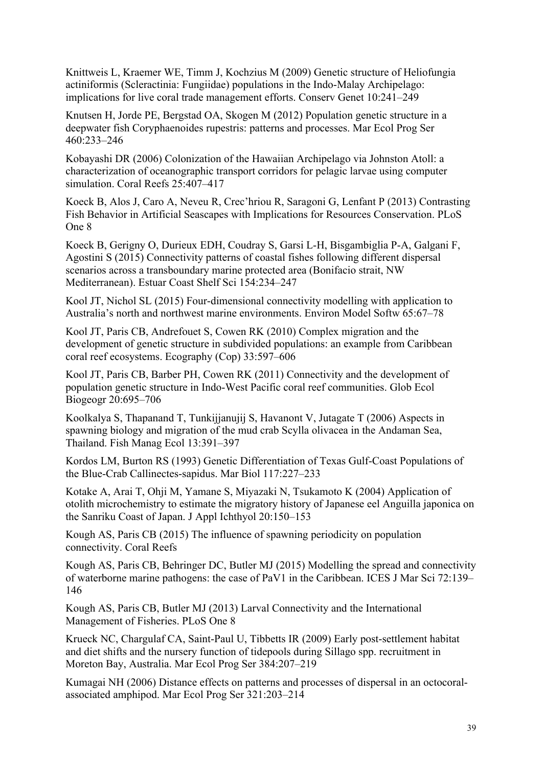Knittweis L, Kraemer WE, Timm J, Kochzius M (2009) Genetic structure of Heliofungia actiniformis (Scleractinia: Fungiidae) populations in the Indo-Malay Archipelago: implications for live coral trade management efforts. Conserv Genet 10:241–249

Knutsen H, Jorde PE, Bergstad OA, Skogen M (2012) Population genetic structure in a deepwater fish Coryphaenoides rupestris: patterns and processes. Mar Ecol Prog Ser 460:233–246

Kobayashi DR (2006) Colonization of the Hawaiian Archipelago via Johnston Atoll: a characterization of oceanographic transport corridors for pelagic larvae using computer simulation. Coral Reefs 25:407–417

Koeck B, Alos J, Caro A, Neveu R, Crec'hriou R, Saragoni G, Lenfant P (2013) Contrasting Fish Behavior in Artificial Seascapes with Implications for Resources Conservation. PLoS One 8

Koeck B, Gerigny O, Durieux EDH, Coudray S, Garsi L-H, Bisgambiglia P-A, Galgani F, Agostini S (2015) Connectivity patterns of coastal fishes following different dispersal scenarios across a transboundary marine protected area (Bonifacio strait, NW Mediterranean). Estuar Coast Shelf Sci 154:234–247

Kool JT, Nichol SL (2015) Four-dimensional connectivity modelling with application to Australia's north and northwest marine environments. Environ Model Softw 65:67–78

Kool JT, Paris CB, Andrefouet S, Cowen RK (2010) Complex migration and the development of genetic structure in subdivided populations: an example from Caribbean coral reef ecosystems. Ecography (Cop) 33:597–606

Kool JT, Paris CB, Barber PH, Cowen RK (2011) Connectivity and the development of population genetic structure in Indo-West Pacific coral reef communities. Glob Ecol Biogeogr 20:695–706

Koolkalya S, Thapanand T, Tunkijjanujij S, Havanont V, Jutagate T (2006) Aspects in spawning biology and migration of the mud crab Scylla olivacea in the Andaman Sea, Thailand. Fish Manag Ecol 13:391–397

Kordos LM, Burton RS (1993) Genetic Differentiation of Texas Gulf-Coast Populations of the Blue-Crab Callinectes-sapidus. Mar Biol 117:227–233

Kotake A, Arai T, Ohji M, Yamane S, Miyazaki N, Tsukamoto K (2004) Application of otolith microchemistry to estimate the migratory history of Japanese eel Anguilla japonica on the Sanriku Coast of Japan. J Appl Ichthyol 20:150–153

Kough AS, Paris CB (2015) The influence of spawning periodicity on population connectivity. Coral Reefs

Kough AS, Paris CB, Behringer DC, Butler MJ (2015) Modelling the spread and connectivity of waterborne marine pathogens: the case of PaV1 in the Caribbean. ICES J Mar Sci 72:139– 146

Kough AS, Paris CB, Butler MJ (2013) Larval Connectivity and the International Management of Fisheries. PLoS One 8

Krueck NC, Chargulaf CA, Saint-Paul U, Tibbetts IR (2009) Early post-settlement habitat and diet shifts and the nursery function of tidepools during Sillago spp. recruitment in Moreton Bay, Australia. Mar Ecol Prog Ser 384:207–219

Kumagai NH (2006) Distance effects on patterns and processes of dispersal in an octocoralassociated amphipod. Mar Ecol Prog Ser 321:203–214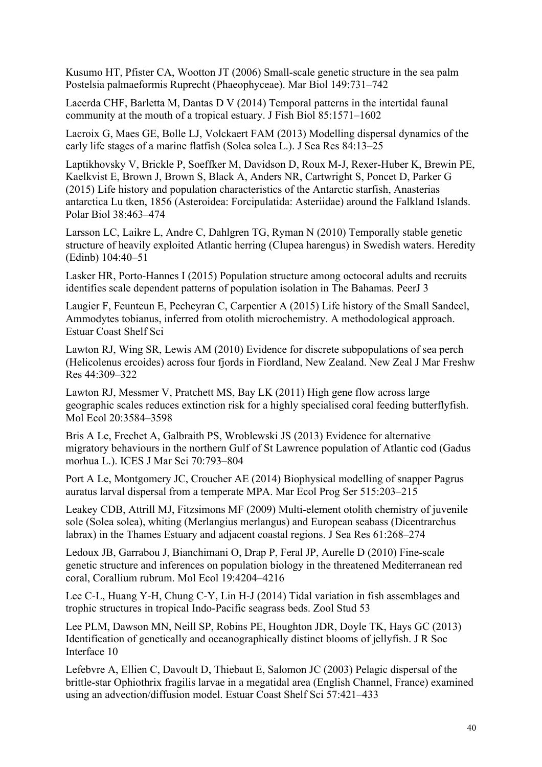Kusumo HT, Pfister CA, Wootton JT (2006) Small-scale genetic structure in the sea palm Postelsia palmaeformis Ruprecht (Phaeophyceae). Mar Biol 149:731–742

Lacerda CHF, Barletta M, Dantas D V (2014) Temporal patterns in the intertidal faunal community at the mouth of a tropical estuary. J Fish Biol 85:1571–1602

Lacroix G, Maes GE, Bolle LJ, Volckaert FAM (2013) Modelling dispersal dynamics of the early life stages of a marine flatfish (Solea solea L.). J Sea Res 84:13–25

Laptikhovsky V, Brickle P, Soeffker M, Davidson D, Roux M-J, Rexer-Huber K, Brewin PE, Kaelkvist E, Brown J, Brown S, Black A, Anders NR, Cartwright S, Poncet D, Parker G (2015) Life history and population characteristics of the Antarctic starfish, Anasterias antarctica Lu tken, 1856 (Asteroidea: Forcipulatida: Asteriidae) around the Falkland Islands. Polar Biol 38:463–474

Larsson LC, Laikre L, Andre C, Dahlgren TG, Ryman N (2010) Temporally stable genetic structure of heavily exploited Atlantic herring (Clupea harengus) in Swedish waters. Heredity (Edinb) 104:40–51

Lasker HR, Porto-Hannes I (2015) Population structure among octocoral adults and recruits identifies scale dependent patterns of population isolation in The Bahamas. PeerJ 3

Laugier F, Feunteun E, Pecheyran C, Carpentier A (2015) Life history of the Small Sandeel, Ammodytes tobianus, inferred from otolith microchemistry. A methodological approach. Estuar Coast Shelf Sci

Lawton RJ, Wing SR, Lewis AM (2010) Evidence for discrete subpopulations of sea perch (Helicolenus ercoides) across four fjords in Fiordland, New Zealand. New Zeal J Mar Freshw Res 44:309–322

Lawton RJ, Messmer V, Pratchett MS, Bay LK (2011) High gene flow across large geographic scales reduces extinction risk for a highly specialised coral feeding butterflyfish. Mol Ecol 20:3584–3598

Bris A Le, Frechet A, Galbraith PS, Wroblewski JS (2013) Evidence for alternative migratory behaviours in the northern Gulf of St Lawrence population of Atlantic cod (Gadus morhua L.). ICES J Mar Sci 70:793–804

Port A Le, Montgomery JC, Croucher AE (2014) Biophysical modelling of snapper Pagrus auratus larval dispersal from a temperate MPA. Mar Ecol Prog Ser 515:203–215

Leakey CDB, Attrill MJ, Fitzsimons MF (2009) Multi-element otolith chemistry of juvenile sole (Solea solea), whiting (Merlangius merlangus) and European seabass (Dicentrarchus labrax) in the Thames Estuary and adjacent coastal regions. J Sea Res 61:268–274

Ledoux JB, Garrabou J, Bianchimani O, Drap P, Feral JP, Aurelle D (2010) Fine-scale genetic structure and inferences on population biology in the threatened Mediterranean red coral, Corallium rubrum. Mol Ecol 19:4204–4216

Lee C-L, Huang Y-H, Chung C-Y, Lin H-J (2014) Tidal variation in fish assemblages and trophic structures in tropical Indo-Pacific seagrass beds. Zool Stud 53

Lee PLM, Dawson MN, Neill SP, Robins PE, Houghton JDR, Doyle TK, Hays GC (2013) Identification of genetically and oceanographically distinct blooms of jellyfish. J R Soc Interface 10

Lefebvre A, Ellien C, Davoult D, Thiebaut E, Salomon JC (2003) Pelagic dispersal of the brittle-star Ophiothrix fragilis larvae in a megatidal area (English Channel, France) examined using an advection/diffusion model. Estuar Coast Shelf Sci 57:421–433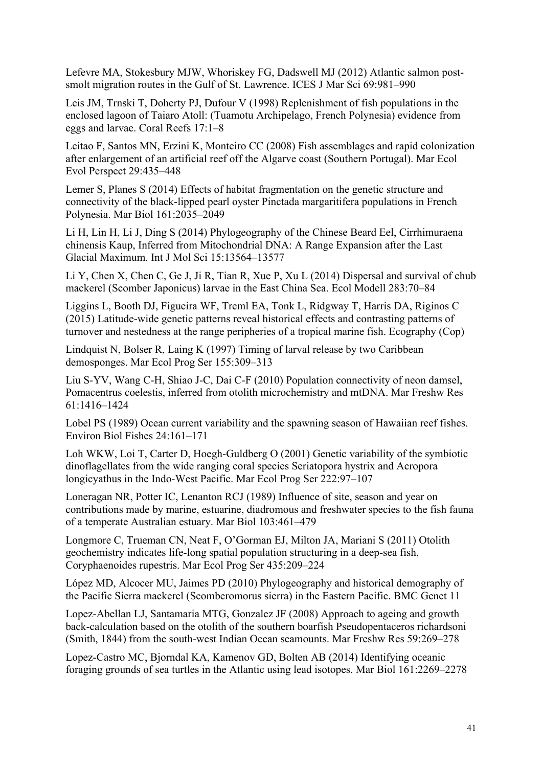Lefevre MA, Stokesbury MJW, Whoriskey FG, Dadswell MJ (2012) Atlantic salmon postsmolt migration routes in the Gulf of St. Lawrence. ICES J Mar Sci 69:981–990

Leis JM, Trnski T, Doherty PJ, Dufour V (1998) Replenishment of fish populations in the enclosed lagoon of Taiaro Atoll: (Tuamotu Archipelago, French Polynesia) evidence from eggs and larvae. Coral Reefs 17:1–8

Leitao F, Santos MN, Erzini K, Monteiro CC (2008) Fish assemblages and rapid colonization after enlargement of an artificial reef off the Algarve coast (Southern Portugal). Mar Ecol Evol Perspect 29:435–448

Lemer S, Planes S (2014) Effects of habitat fragmentation on the genetic structure and connectivity of the black-lipped pearl oyster Pinctada margaritifera populations in French Polynesia. Mar Biol 161:2035–2049

Li H, Lin H, Li J, Ding S (2014) Phylogeography of the Chinese Beard Eel, Cirrhimuraena chinensis Kaup, Inferred from Mitochondrial DNA: A Range Expansion after the Last Glacial Maximum. Int J Mol Sci 15:13564–13577

Li Y, Chen X, Chen C, Ge J, Ji R, Tian R, Xue P, Xu L (2014) Dispersal and survival of chub mackerel (Scomber Japonicus) larvae in the East China Sea. Ecol Modell 283:70–84

Liggins L, Booth DJ, Figueira WF, Treml EA, Tonk L, Ridgway T, Harris DA, Riginos C (2015) Latitude-wide genetic patterns reveal historical effects and contrasting patterns of turnover and nestedness at the range peripheries of a tropical marine fish. Ecography (Cop)

Lindquist N, Bolser R, Laing K (1997) Timing of larval release by two Caribbean demosponges. Mar Ecol Prog Ser 155:309–313

Liu S-YV, Wang C-H, Shiao J-C, Dai C-F (2010) Population connectivity of neon damsel, Pomacentrus coelestis, inferred from otolith microchemistry and mtDNA. Mar Freshw Res 61:1416–1424

Lobel PS (1989) Ocean current variability and the spawning season of Hawaiian reef fishes. Environ Biol Fishes 24:161–171

Loh WKW, Loi T, Carter D, Hoegh-Guldberg O (2001) Genetic variability of the symbiotic dinoflagellates from the wide ranging coral species Seriatopora hystrix and Acropora longicyathus in the Indo-West Pacific. Mar Ecol Prog Ser 222:97–107

Loneragan NR, Potter IC, Lenanton RCJ (1989) Influence of site, season and year on contributions made by marine, estuarine, diadromous and freshwater species to the fish fauna of a temperate Australian estuary. Mar Biol 103:461–479

Longmore C, Trueman CN, Neat F, O'Gorman EJ, Milton JA, Mariani S (2011) Otolith geochemistry indicates life-long spatial population structuring in a deep-sea fish, Coryphaenoides rupestris. Mar Ecol Prog Ser 435:209–224

López MD, Alcocer MU, Jaimes PD (2010) Phylogeography and historical demography of the Pacific Sierra mackerel (Scomberomorus sierra) in the Eastern Pacific. BMC Genet 11

Lopez-Abellan LJ, Santamaria MTG, Gonzalez JF (2008) Approach to ageing and growth back-calculation based on the otolith of the southern boarfish Pseudopentaceros richardsoni (Smith, 1844) from the south-west Indian Ocean seamounts. Mar Freshw Res 59:269–278

Lopez-Castro MC, Bjorndal KA, Kamenov GD, Bolten AB (2014) Identifying oceanic foraging grounds of sea turtles in the Atlantic using lead isotopes. Mar Biol 161:2269–2278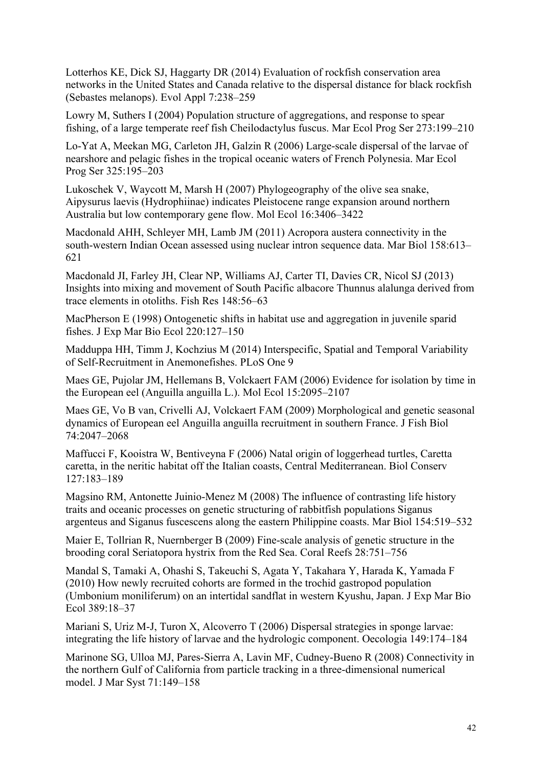Lotterhos KE, Dick SJ, Haggarty DR (2014) Evaluation of rockfish conservation area networks in the United States and Canada relative to the dispersal distance for black rockfish (Sebastes melanops). Evol Appl 7:238–259

Lowry M, Suthers I (2004) Population structure of aggregations, and response to spear fishing, of a large temperate reef fish Cheilodactylus fuscus. Mar Ecol Prog Ser 273:199–210

Lo-Yat A, Meekan MG, Carleton JH, Galzin R (2006) Large-scale dispersal of the larvae of nearshore and pelagic fishes in the tropical oceanic waters of French Polynesia. Mar Ecol Prog Ser 325:195–203

Lukoschek V, Waycott M, Marsh H (2007) Phylogeography of the olive sea snake, Aipysurus laevis (Hydrophiinae) indicates Pleistocene range expansion around northern Australia but low contemporary gene flow. Mol Ecol 16:3406–3422

Macdonald AHH, Schleyer MH, Lamb JM (2011) Acropora austera connectivity in the south-western Indian Ocean assessed using nuclear intron sequence data. Mar Biol 158:613– 621

Macdonald JI, Farley JH, Clear NP, Williams AJ, Carter TI, Davies CR, Nicol SJ (2013) Insights into mixing and movement of South Pacific albacore Thunnus alalunga derived from trace elements in otoliths. Fish Res 148:56–63

MacPherson E (1998) Ontogenetic shifts in habitat use and aggregation in juvenile sparid fishes. J Exp Mar Bio Ecol 220:127–150

Madduppa HH, Timm J, Kochzius M (2014) Interspecific, Spatial and Temporal Variability of Self-Recruitment in Anemonefishes. PLoS One 9

Maes GE, Pujolar JM, Hellemans B, Volckaert FAM (2006) Evidence for isolation by time in the European eel (Anguilla anguilla L.). Mol Ecol 15:2095–2107

Maes GE, Vo B van, Crivelli AJ, Volckaert FAM (2009) Morphological and genetic seasonal dynamics of European eel Anguilla anguilla recruitment in southern France. J Fish Biol 74:2047–2068

Maffucci F, Kooistra W, Bentiveyna F (2006) Natal origin of loggerhead turtles, Caretta caretta, in the neritic habitat off the Italian coasts, Central Mediterranean. Biol Conserv 127:183–189

Magsino RM, Antonette Juinio-Menez M (2008) The influence of contrasting life history traits and oceanic processes on genetic structuring of rabbitfish populations Siganus argenteus and Siganus fuscescens along the eastern Philippine coasts. Mar Biol 154:519–532

Maier E, Tollrian R, Nuernberger B (2009) Fine-scale analysis of genetic structure in the brooding coral Seriatopora hystrix from the Red Sea. Coral Reefs 28:751–756

Mandal S, Tamaki A, Ohashi S, Takeuchi S, Agata Y, Takahara Y, Harada K, Yamada F (2010) How newly recruited cohorts are formed in the trochid gastropod population (Umbonium moniliferum) on an intertidal sandflat in western Kyushu, Japan. J Exp Mar Bio Ecol 389:18–37

Mariani S, Uriz M-J, Turon X, Alcoverro T (2006) Dispersal strategies in sponge larvae: integrating the life history of larvae and the hydrologic component. Oecologia 149:174–184

Marinone SG, Ulloa MJ, Pares-Sierra A, Lavin MF, Cudney-Bueno R (2008) Connectivity in the northern Gulf of California from particle tracking in a three-dimensional numerical model. J Mar Syst 71:149–158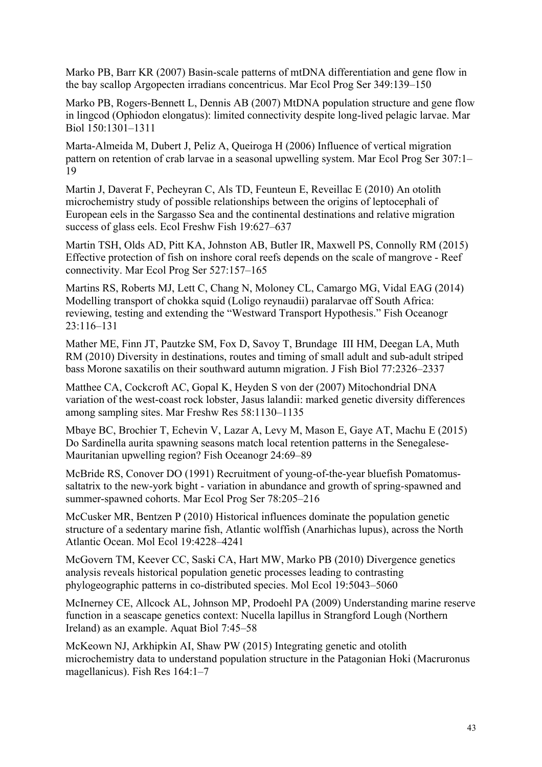Marko PB, Barr KR (2007) Basin-scale patterns of mtDNA differentiation and gene flow in the bay scallop Argopecten irradians concentricus. Mar Ecol Prog Ser 349:139–150

Marko PB, Rogers-Bennett L, Dennis AB (2007) MtDNA population structure and gene flow in lingcod (Ophiodon elongatus): limited connectivity despite long-lived pelagic larvae. Mar Biol 150:1301–1311

Marta-Almeida M, Dubert J, Peliz A, Queiroga H (2006) Influence of vertical migration pattern on retention of crab larvae in a seasonal upwelling system. Mar Ecol Prog Ser 307:1– 19

Martin J, Daverat F, Pecheyran C, Als TD, Feunteun E, Reveillac E (2010) An otolith microchemistry study of possible relationships between the origins of leptocephali of European eels in the Sargasso Sea and the continental destinations and relative migration success of glass eels. Ecol Freshw Fish 19:627–637

Martin TSH, Olds AD, Pitt KA, Johnston AB, Butler IR, Maxwell PS, Connolly RM (2015) Effective protection of fish on inshore coral reefs depends on the scale of mangrove - Reef connectivity. Mar Ecol Prog Ser 527:157–165

Martins RS, Roberts MJ, Lett C, Chang N, Moloney CL, Camargo MG, Vidal EAG (2014) Modelling transport of chokka squid (Loligo reynaudii) paralarvae off South Africa: reviewing, testing and extending the "Westward Transport Hypothesis." Fish Oceanogr 23:116–131

Mather ME, Finn JT, Pautzke SM, Fox D, Savoy T, Brundage III HM, Deegan LA, Muth RM (2010) Diversity in destinations, routes and timing of small adult and sub-adult striped bass Morone saxatilis on their southward autumn migration. J Fish Biol 77:2326–2337

Matthee CA, Cockcroft AC, Gopal K, Heyden S von der (2007) Mitochondrial DNA variation of the west-coast rock lobster, Jasus lalandii: marked genetic diversity differences among sampling sites. Mar Freshw Res 58:1130–1135

Mbaye BC, Brochier T, Echevin V, Lazar A, Levy M, Mason E, Gaye AT, Machu E (2015) Do Sardinella aurita spawning seasons match local retention patterns in the Senegalese-Mauritanian upwelling region? Fish Oceanogr 24:69–89

McBride RS, Conover DO (1991) Recruitment of young-of-the-year bluefish Pomatomussaltatrix to the new-york bight - variation in abundance and growth of spring-spawned and summer-spawned cohorts. Mar Ecol Prog Ser 78:205–216

McCusker MR, Bentzen P (2010) Historical influences dominate the population genetic structure of a sedentary marine fish, Atlantic wolffish (Anarhichas lupus), across the North Atlantic Ocean. Mol Ecol 19:4228–4241

McGovern TM, Keever CC, Saski CA, Hart MW, Marko PB (2010) Divergence genetics analysis reveals historical population genetic processes leading to contrasting phylogeographic patterns in co-distributed species. Mol Ecol 19:5043–5060

McInerney CE, Allcock AL, Johnson MP, Prodoehl PA (2009) Understanding marine reserve function in a seascape genetics context: Nucella lapillus in Strangford Lough (Northern Ireland) as an example. Aquat Biol 7:45–58

McKeown NJ, Arkhipkin AI, Shaw PW (2015) Integrating genetic and otolith microchemistry data to understand population structure in the Patagonian Hoki (Macruronus magellanicus). Fish Res 164:1–7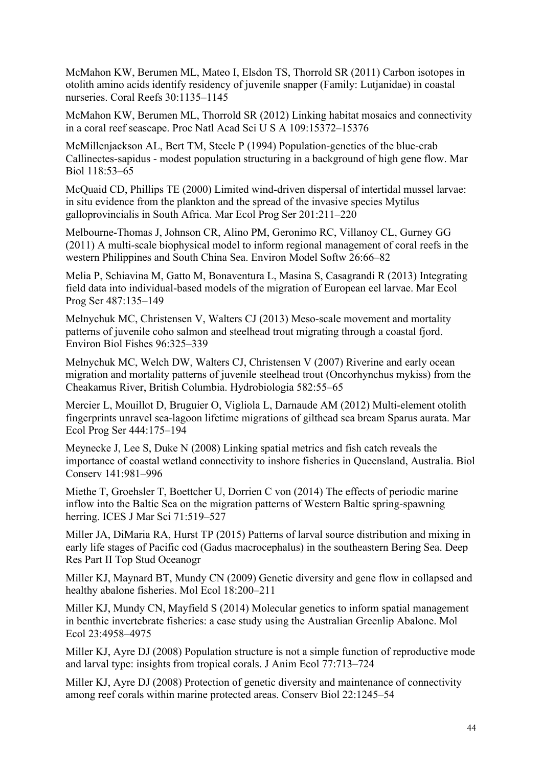McMahon KW, Berumen ML, Mateo I, Elsdon TS, Thorrold SR (2011) Carbon isotopes in otolith amino acids identify residency of juvenile snapper (Family: Lutjanidae) in coastal nurseries. Coral Reefs 30:1135–1145

McMahon KW, Berumen ML, Thorrold SR (2012) Linking habitat mosaics and connectivity in a coral reef seascape. Proc Natl Acad Sci U S A 109:15372–15376

McMillenjackson AL, Bert TM, Steele P (1994) Population-genetics of the blue-crab Callinectes-sapidus - modest population structuring in a background of high gene flow. Mar Biol 118:53–65

McQuaid CD, Phillips TE (2000) Limited wind-driven dispersal of intertidal mussel larvae: in situ evidence from the plankton and the spread of the invasive species Mytilus galloprovincialis in South Africa. Mar Ecol Prog Ser 201:211–220

Melbourne-Thomas J, Johnson CR, Alino PM, Geronimo RC, Villanoy CL, Gurney GG (2011) A multi-scale biophysical model to inform regional management of coral reefs in the western Philippines and South China Sea. Environ Model Softw 26:66–82

Melia P, Schiavina M, Gatto M, Bonaventura L, Masina S, Casagrandi R (2013) Integrating field data into individual-based models of the migration of European eel larvae. Mar Ecol Prog Ser 487:135–149

Melnychuk MC, Christensen V, Walters CJ (2013) Meso-scale movement and mortality patterns of juvenile coho salmon and steelhead trout migrating through a coastal fjord. Environ Biol Fishes 96:325–339

Melnychuk MC, Welch DW, Walters CJ, Christensen V (2007) Riverine and early ocean migration and mortality patterns of juvenile steelhead trout (Oncorhynchus mykiss) from the Cheakamus River, British Columbia. Hydrobiologia 582:55–65

Mercier L, Mouillot D, Bruguier O, Vigliola L, Darnaude AM (2012) Multi-element otolith fingerprints unravel sea-lagoon lifetime migrations of gilthead sea bream Sparus aurata. Mar Ecol Prog Ser 444:175–194

Meynecke J, Lee S, Duke N (2008) Linking spatial metrics and fish catch reveals the importance of coastal wetland connectivity to inshore fisheries in Queensland, Australia. Biol Conserv 141:981–996

Miethe T, Groehsler T, Boettcher U, Dorrien C von (2014) The effects of periodic marine inflow into the Baltic Sea on the migration patterns of Western Baltic spring-spawning herring. ICES J Mar Sci 71:519–527

Miller JA, DiMaria RA, Hurst TP (2015) Patterns of larval source distribution and mixing in early life stages of Pacific cod (Gadus macrocephalus) in the southeastern Bering Sea. Deep Res Part II Top Stud Oceanogr

Miller KJ, Maynard BT, Mundy CN (2009) Genetic diversity and gene flow in collapsed and healthy abalone fisheries. Mol Ecol 18:200–211

Miller KJ, Mundy CN, Mayfield S (2014) Molecular genetics to inform spatial management in benthic invertebrate fisheries: a case study using the Australian Greenlip Abalone. Mol Ecol 23:4958–4975

Miller KJ, Ayre DJ (2008) Population structure is not a simple function of reproductive mode and larval type: insights from tropical corals. J Anim Ecol 77:713–724

Miller KJ, Ayre DJ (2008) Protection of genetic diversity and maintenance of connectivity among reef corals within marine protected areas. Conserv Biol 22:1245–54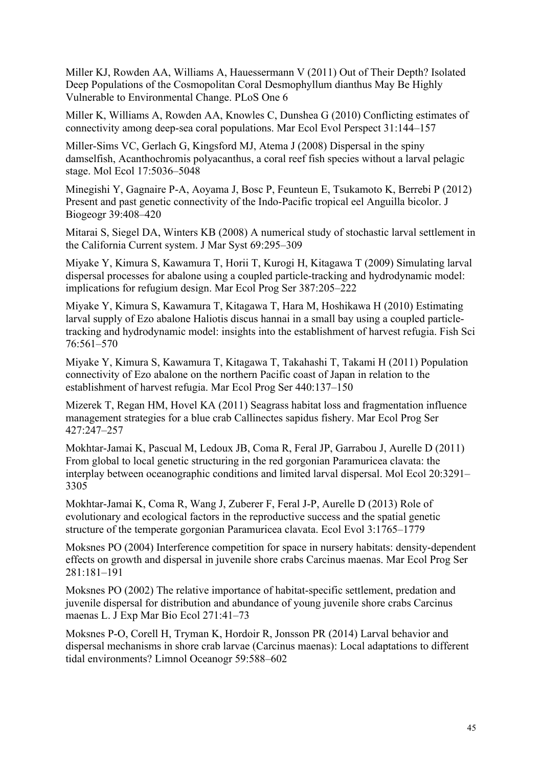Miller KJ, Rowden AA, Williams A, Hauessermann V (2011) Out of Their Depth? Isolated Deep Populations of the Cosmopolitan Coral Desmophyllum dianthus May Be Highly Vulnerable to Environmental Change. PLoS One 6

Miller K, Williams A, Rowden AA, Knowles C, Dunshea G (2010) Conflicting estimates of connectivity among deep-sea coral populations. Mar Ecol Evol Perspect 31:144–157

Miller-Sims VC, Gerlach G, Kingsford MJ, Atema J (2008) Dispersal in the spiny damselfish, Acanthochromis polyacanthus, a coral reef fish species without a larval pelagic stage. Mol Ecol 17:5036–5048

Minegishi Y, Gagnaire P-A, Aoyama J, Bosc P, Feunteun E, Tsukamoto K, Berrebi P (2012) Present and past genetic connectivity of the Indo-Pacific tropical eel Anguilla bicolor. J Biogeogr 39:408–420

Mitarai S, Siegel DA, Winters KB (2008) A numerical study of stochastic larval settlement in the California Current system. J Mar Syst 69:295–309

Miyake Y, Kimura S, Kawamura T, Horii T, Kurogi H, Kitagawa T (2009) Simulating larval dispersal processes for abalone using a coupled particle-tracking and hydrodynamic model: implications for refugium design. Mar Ecol Prog Ser 387:205–222

Miyake Y, Kimura S, Kawamura T, Kitagawa T, Hara M, Hoshikawa H (2010) Estimating larval supply of Ezo abalone Haliotis discus hannai in a small bay using a coupled particletracking and hydrodynamic model: insights into the establishment of harvest refugia. Fish Sci 76:561–570

Miyake Y, Kimura S, Kawamura T, Kitagawa T, Takahashi T, Takami H (2011) Population connectivity of Ezo abalone on the northern Pacific coast of Japan in relation to the establishment of harvest refugia. Mar Ecol Prog Ser 440:137–150

Mizerek T, Regan HM, Hovel KA (2011) Seagrass habitat loss and fragmentation influence management strategies for a blue crab Callinectes sapidus fishery. Mar Ecol Prog Ser 427:247–257

Mokhtar-Jamai K, Pascual M, Ledoux JB, Coma R, Feral JP, Garrabou J, Aurelle D (2011) From global to local genetic structuring in the red gorgonian Paramuricea clavata: the interplay between oceanographic conditions and limited larval dispersal. Mol Ecol 20:3291– 3305

Mokhtar-Jamai K, Coma R, Wang J, Zuberer F, Feral J-P, Aurelle D (2013) Role of evolutionary and ecological factors in the reproductive success and the spatial genetic structure of the temperate gorgonian Paramuricea clavata. Ecol Evol 3:1765–1779

Moksnes PO (2004) Interference competition for space in nursery habitats: density-dependent effects on growth and dispersal in juvenile shore crabs Carcinus maenas. Mar Ecol Prog Ser 281:181–191

Moksnes PO (2002) The relative importance of habitat-specific settlement, predation and juvenile dispersal for distribution and abundance of young juvenile shore crabs Carcinus maenas L. J Exp Mar Bio Ecol 271:41–73

Moksnes P-O, Corell H, Tryman K, Hordoir R, Jonsson PR (2014) Larval behavior and dispersal mechanisms in shore crab larvae (Carcinus maenas): Local adaptations to different tidal environments? Limnol Oceanogr 59:588–602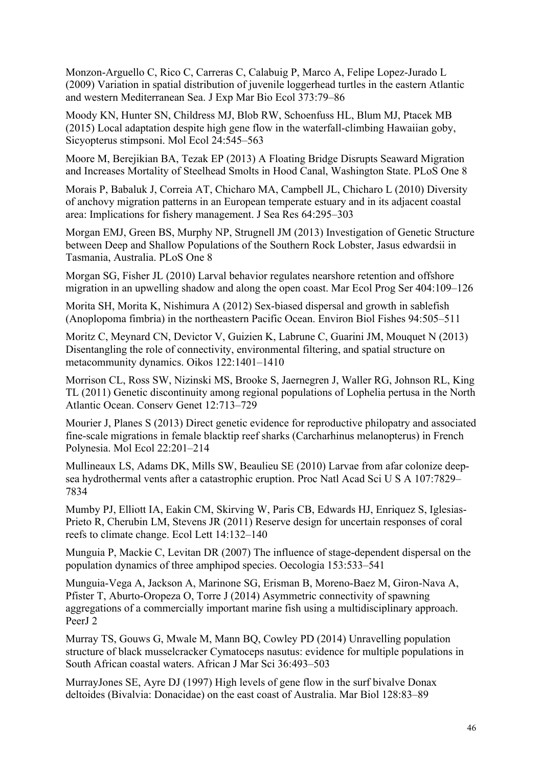Monzon-Arguello C, Rico C, Carreras C, Calabuig P, Marco A, Felipe Lopez-Jurado L (2009) Variation in spatial distribution of juvenile loggerhead turtles in the eastern Atlantic and western Mediterranean Sea. J Exp Mar Bio Ecol 373:79–86

Moody KN, Hunter SN, Childress MJ, Blob RW, Schoenfuss HL, Blum MJ, Ptacek MB (2015) Local adaptation despite high gene flow in the waterfall-climbing Hawaiian goby, Sicyopterus stimpsoni. Mol Ecol 24:545–563

Moore M, Berejikian BA, Tezak EP (2013) A Floating Bridge Disrupts Seaward Migration and Increases Mortality of Steelhead Smolts in Hood Canal, Washington State. PLoS One 8

Morais P, Babaluk J, Correia AT, Chicharo MA, Campbell JL, Chicharo L (2010) Diversity of anchovy migration patterns in an European temperate estuary and in its adjacent coastal area: Implications for fishery management. J Sea Res 64:295–303

Morgan EMJ, Green BS, Murphy NP, Strugnell JM (2013) Investigation of Genetic Structure between Deep and Shallow Populations of the Southern Rock Lobster, Jasus edwardsii in Tasmania, Australia. PLoS One 8

Morgan SG, Fisher JL (2010) Larval behavior regulates nearshore retention and offshore migration in an upwelling shadow and along the open coast. Mar Ecol Prog Ser 404:109–126

Morita SH, Morita K, Nishimura A (2012) Sex-biased dispersal and growth in sablefish (Anoplopoma fimbria) in the northeastern Pacific Ocean. Environ Biol Fishes 94:505–511

Moritz C, Meynard CN, Devictor V, Guizien K, Labrune C, Guarini JM, Mouquet N (2013) Disentangling the role of connectivity, environmental filtering, and spatial structure on metacommunity dynamics. Oikos 122:1401–1410

Morrison CL, Ross SW, Nizinski MS, Brooke S, Jaernegren J, Waller RG, Johnson RL, King TL (2011) Genetic discontinuity among regional populations of Lophelia pertusa in the North Atlantic Ocean. Conserv Genet 12:713–729

Mourier J, Planes S (2013) Direct genetic evidence for reproductive philopatry and associated fine-scale migrations in female blacktip reef sharks (Carcharhinus melanopterus) in French Polynesia. Mol Ecol 22:201–214

Mullineaux LS, Adams DK, Mills SW, Beaulieu SE (2010) Larvae from afar colonize deepsea hydrothermal vents after a catastrophic eruption. Proc Natl Acad Sci U S A 107:7829– 7834

Mumby PJ, Elliott IA, Eakin CM, Skirving W, Paris CB, Edwards HJ, Enriquez S, Iglesias-Prieto R, Cherubin LM, Stevens JR (2011) Reserve design for uncertain responses of coral reefs to climate change. Ecol Lett 14:132–140

Munguia P, Mackie C, Levitan DR (2007) The influence of stage-dependent dispersal on the population dynamics of three amphipod species. Oecologia 153:533–541

Munguia-Vega A, Jackson A, Marinone SG, Erisman B, Moreno-Baez M, Giron-Nava A, Pfister T, Aburto-Oropeza O, Torre J (2014) Asymmetric connectivity of spawning aggregations of a commercially important marine fish using a multidisciplinary approach. PeerJ 2

Murray TS, Gouws G, Mwale M, Mann BQ, Cowley PD (2014) Unravelling population structure of black musselcracker Cymatoceps nasutus: evidence for multiple populations in South African coastal waters. African J Mar Sci 36:493–503

MurrayJones SE, Ayre DJ (1997) High levels of gene flow in the surf bivalve Donax deltoides (Bivalvia: Donacidae) on the east coast of Australia. Mar Biol 128:83–89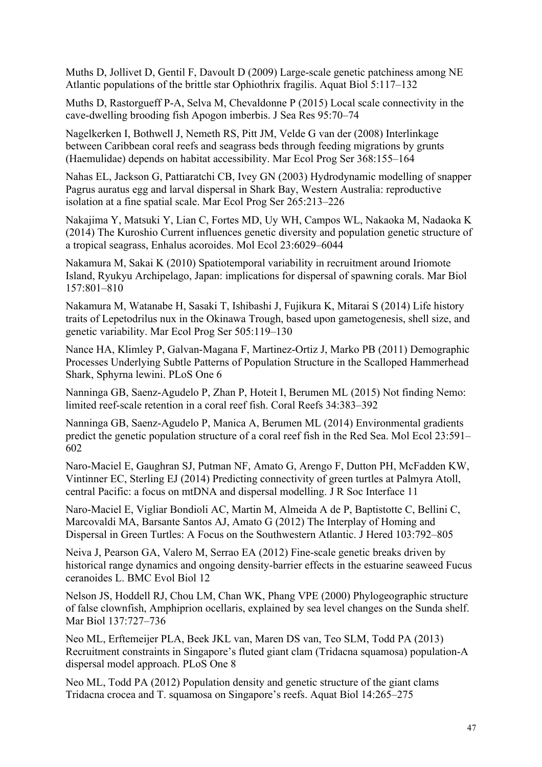Muths D, Jollivet D, Gentil F, Davoult D (2009) Large-scale genetic patchiness among NE Atlantic populations of the brittle star Ophiothrix fragilis. Aquat Biol 5:117–132

Muths D, Rastorgueff P-A, Selva M, Chevaldonne P (2015) Local scale connectivity in the cave-dwelling brooding fish Apogon imberbis. J Sea Res 95:70–74

Nagelkerken I, Bothwell J, Nemeth RS, Pitt JM, Velde G van der (2008) Interlinkage between Caribbean coral reefs and seagrass beds through feeding migrations by grunts (Haemulidae) depends on habitat accessibility. Mar Ecol Prog Ser 368:155–164

Nahas EL, Jackson G, Pattiaratchi CB, Ivey GN (2003) Hydrodynamic modelling of snapper Pagrus auratus egg and larval dispersal in Shark Bay, Western Australia: reproductive isolation at a fine spatial scale. Mar Ecol Prog Ser 265:213–226

Nakajima Y, Matsuki Y, Lian C, Fortes MD, Uy WH, Campos WL, Nakaoka M, Nadaoka K (2014) The Kuroshio Current influences genetic diversity and population genetic structure of a tropical seagrass, Enhalus acoroides. Mol Ecol 23:6029–6044

Nakamura M, Sakai K (2010) Spatiotemporal variability in recruitment around Iriomote Island, Ryukyu Archipelago, Japan: implications for dispersal of spawning corals. Mar Biol 157:801–810

Nakamura M, Watanabe H, Sasaki T, Ishibashi J, Fujikura K, Mitarai S (2014) Life history traits of Lepetodrilus nux in the Okinawa Trough, based upon gametogenesis, shell size, and genetic variability. Mar Ecol Prog Ser 505:119–130

Nance HA, Klimley P, Galvan-Magana F, Martinez-Ortiz J, Marko PB (2011) Demographic Processes Underlying Subtle Patterns of Population Structure in the Scalloped Hammerhead Shark, Sphyrna lewini. PLoS One 6

Nanninga GB, Saenz-Agudelo P, Zhan P, Hoteit I, Berumen ML (2015) Not finding Nemo: limited reef-scale retention in a coral reef fish. Coral Reefs 34:383–392

Nanninga GB, Saenz-Agudelo P, Manica A, Berumen ML (2014) Environmental gradients predict the genetic population structure of a coral reef fish in the Red Sea. Mol Ecol 23:591– 602

Naro-Maciel E, Gaughran SJ, Putman NF, Amato G, Arengo F, Dutton PH, McFadden KW, Vintinner EC, Sterling EJ (2014) Predicting connectivity of green turtles at Palmyra Atoll, central Pacific: a focus on mtDNA and dispersal modelling. J R Soc Interface 11

Naro-Maciel E, Vigliar Bondioli AC, Martin M, Almeida A de P, Baptistotte C, Bellini C, Marcovaldi MA, Barsante Santos AJ, Amato G (2012) The Interplay of Homing and Dispersal in Green Turtles: A Focus on the Southwestern Atlantic. J Hered 103:792–805

Neiva J, Pearson GA, Valero M, Serrao EA (2012) Fine-scale genetic breaks driven by historical range dynamics and ongoing density-barrier effects in the estuarine seaweed Fucus ceranoides L. BMC Evol Biol 12

Nelson JS, Hoddell RJ, Chou LM, Chan WK, Phang VPE (2000) Phylogeographic structure of false clownfish, Amphiprion ocellaris, explained by sea level changes on the Sunda shelf. Mar Biol 137:727–736

Neo ML, Erftemeijer PLA, Beek JKL van, Maren DS van, Teo SLM, Todd PA (2013) Recruitment constraints in Singapore's fluted giant clam (Tridacna squamosa) population-A dispersal model approach. PLoS One 8

Neo ML, Todd PA (2012) Population density and genetic structure of the giant clams Tridacna crocea and T. squamosa on Singapore's reefs. Aquat Biol 14:265–275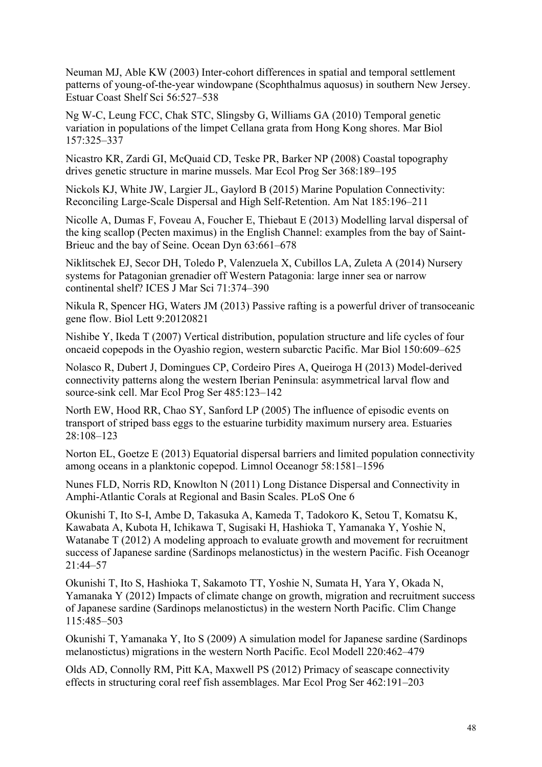Neuman MJ, Able KW (2003) Inter-cohort differences in spatial and temporal settlement patterns of young-of-the-year windowpane (Scophthalmus aquosus) in southern New Jersey. Estuar Coast Shelf Sci 56:527–538

Ng W-C, Leung FCC, Chak STC, Slingsby G, Williams GA (2010) Temporal genetic variation in populations of the limpet Cellana grata from Hong Kong shores. Mar Biol 157:325–337

Nicastro KR, Zardi GI, McQuaid CD, Teske PR, Barker NP (2008) Coastal topography drives genetic structure in marine mussels. Mar Ecol Prog Ser 368:189–195

Nickols KJ, White JW, Largier JL, Gaylord B (2015) Marine Population Connectivity: Reconciling Large-Scale Dispersal and High Self-Retention. Am Nat 185:196–211

Nicolle A, Dumas F, Foveau A, Foucher E, Thiebaut E (2013) Modelling larval dispersal of the king scallop (Pecten maximus) in the English Channel: examples from the bay of Saint-Brieuc and the bay of Seine. Ocean Dyn 63:661–678

Niklitschek EJ, Secor DH, Toledo P, Valenzuela X, Cubillos LA, Zuleta A (2014) Nursery systems for Patagonian grenadier off Western Patagonia: large inner sea or narrow continental shelf? ICES J Mar Sci 71:374–390

Nikula R, Spencer HG, Waters JM (2013) Passive rafting is a powerful driver of transoceanic gene flow. Biol Lett 9:20120821

Nishibe Y, Ikeda T (2007) Vertical distribution, population structure and life cycles of four oncaeid copepods in the Oyashio region, western subarctic Pacific. Mar Biol 150:609–625

Nolasco R, Dubert J, Domingues CP, Cordeiro Pires A, Queiroga H (2013) Model-derived connectivity patterns along the western Iberian Peninsula: asymmetrical larval flow and source-sink cell. Mar Ecol Prog Ser 485:123–142

North EW, Hood RR, Chao SY, Sanford LP (2005) The influence of episodic events on transport of striped bass eggs to the estuarine turbidity maximum nursery area. Estuaries 28:108–123

Norton EL, Goetze E (2013) Equatorial dispersal barriers and limited population connectivity among oceans in a planktonic copepod. Limnol Oceanogr 58:1581–1596

Nunes FLD, Norris RD, Knowlton N (2011) Long Distance Dispersal and Connectivity in Amphi-Atlantic Corals at Regional and Basin Scales. PLoS One 6

Okunishi T, Ito S-I, Ambe D, Takasuka A, Kameda T, Tadokoro K, Setou T, Komatsu K, Kawabata A, Kubota H, Ichikawa T, Sugisaki H, Hashioka T, Yamanaka Y, Yoshie N, Watanabe T (2012) A modeling approach to evaluate growth and movement for recruitment success of Japanese sardine (Sardinops melanostictus) in the western Pacific. Fish Oceanogr 21:44–57

Okunishi T, Ito S, Hashioka T, Sakamoto TT, Yoshie N, Sumata H, Yara Y, Okada N, Yamanaka Y (2012) Impacts of climate change on growth, migration and recruitment success of Japanese sardine (Sardinops melanostictus) in the western North Pacific. Clim Change 115:485–503

Okunishi T, Yamanaka Y, Ito S (2009) A simulation model for Japanese sardine (Sardinops melanostictus) migrations in the western North Pacific. Ecol Modell 220:462–479

Olds AD, Connolly RM, Pitt KA, Maxwell PS (2012) Primacy of seascape connectivity effects in structuring coral reef fish assemblages. Mar Ecol Prog Ser 462:191–203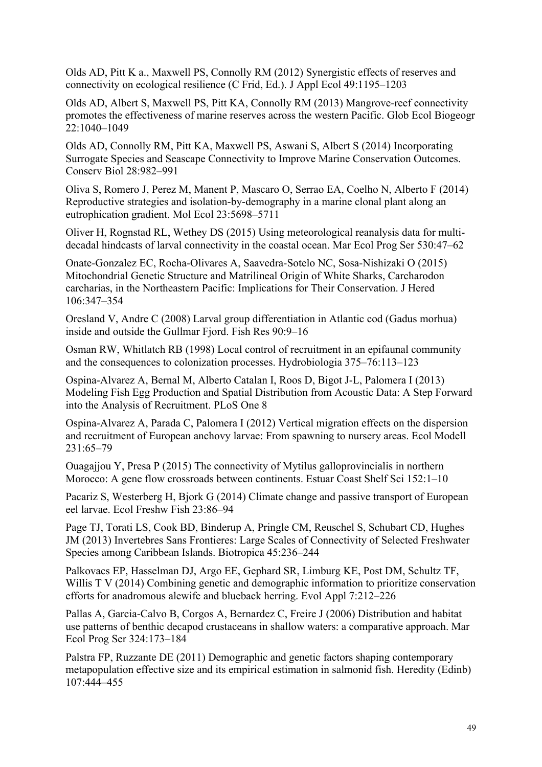Olds AD, Pitt K a., Maxwell PS, Connolly RM (2012) Synergistic effects of reserves and connectivity on ecological resilience (C Frid, Ed.). J Appl Ecol 49:1195–1203

Olds AD, Albert S, Maxwell PS, Pitt KA, Connolly RM (2013) Mangrove-reef connectivity promotes the effectiveness of marine reserves across the western Pacific. Glob Ecol Biogeogr 22:1040–1049

Olds AD, Connolly RM, Pitt KA, Maxwell PS, Aswani S, Albert S (2014) Incorporating Surrogate Species and Seascape Connectivity to Improve Marine Conservation Outcomes. Conserv Biol 28:982–991

Oliva S, Romero J, Perez M, Manent P, Mascaro O, Serrao EA, Coelho N, Alberto F (2014) Reproductive strategies and isolation-by-demography in a marine clonal plant along an eutrophication gradient. Mol Ecol 23:5698–5711

Oliver H, Rognstad RL, Wethey DS (2015) Using meteorological reanalysis data for multidecadal hindcasts of larval connectivity in the coastal ocean. Mar Ecol Prog Ser 530:47–62

Onate-Gonzalez EC, Rocha-Olivares A, Saavedra-Sotelo NC, Sosa-Nishizaki O (2015) Mitochondrial Genetic Structure and Matrilineal Origin of White Sharks, Carcharodon carcharias, in the Northeastern Pacific: Implications for Their Conservation. J Hered 106:347–354

Oresland V, Andre C (2008) Larval group differentiation in Atlantic cod (Gadus morhua) inside and outside the Gullmar Fjord. Fish Res 90:9–16

Osman RW, Whitlatch RB (1998) Local control of recruitment in an epifaunal community and the consequences to colonization processes. Hydrobiologia 375–76:113–123

Ospina-Alvarez A, Bernal M, Alberto Catalan I, Roos D, Bigot J-L, Palomera I (2013) Modeling Fish Egg Production and Spatial Distribution from Acoustic Data: A Step Forward into the Analysis of Recruitment. PLoS One 8

Ospina-Alvarez A, Parada C, Palomera I (2012) Vertical migration effects on the dispersion and recruitment of European anchovy larvae: From spawning to nursery areas. Ecol Modell 231:65–79

Ouagajjou Y, Presa P (2015) The connectivity of Mytilus galloprovincialis in northern Morocco: A gene flow crossroads between continents. Estuar Coast Shelf Sci 152:1–10

Pacariz S, Westerberg H, Bjork G (2014) Climate change and passive transport of European eel larvae. Ecol Freshw Fish 23:86–94

Page TJ, Torati LS, Cook BD, Binderup A, Pringle CM, Reuschel S, Schubart CD, Hughes JM (2013) Invertebres Sans Frontieres: Large Scales of Connectivity of Selected Freshwater Species among Caribbean Islands. Biotropica 45:236–244

Palkovacs EP, Hasselman DJ, Argo EE, Gephard SR, Limburg KE, Post DM, Schultz TF, Willis T V (2014) Combining genetic and demographic information to prioritize conservation efforts for anadromous alewife and blueback herring. Evol Appl 7:212–226

Pallas A, Garcia-Calvo B, Corgos A, Bernardez C, Freire J (2006) Distribution and habitat use patterns of benthic decapod crustaceans in shallow waters: a comparative approach. Mar Ecol Prog Ser 324:173–184

Palstra FP, Ruzzante DE (2011) Demographic and genetic factors shaping contemporary metapopulation effective size and its empirical estimation in salmonid fish. Heredity (Edinb) 107:444–455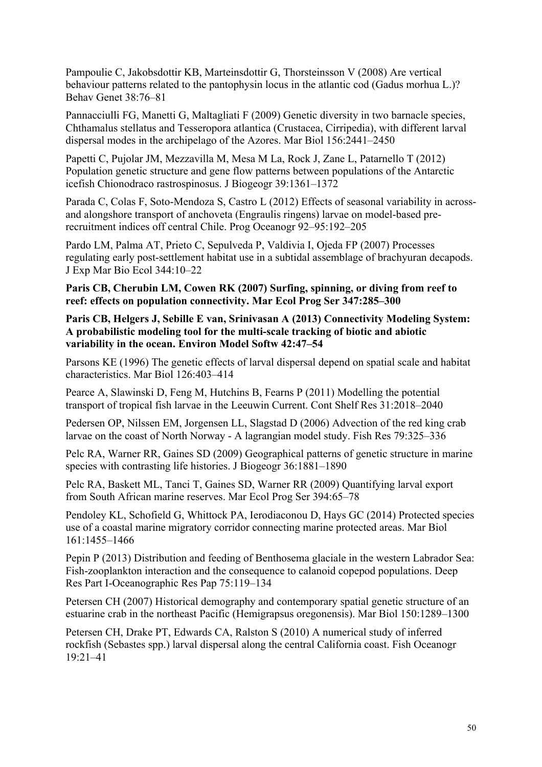Pampoulie C, Jakobsdottir KB, Marteinsdottir G, Thorsteinsson V (2008) Are vertical behaviour patterns related to the pantophysin locus in the atlantic cod (Gadus morhua L.)? Behav Genet 38:76–81

Pannacciulli FG, Manetti G, Maltagliati F (2009) Genetic diversity in two barnacle species, Chthamalus stellatus and Tesseropora atlantica (Crustacea, Cirripedia), with different larval dispersal modes in the archipelago of the Azores. Mar Biol 156:2441–2450

Papetti C, Pujolar JM, Mezzavilla M, Mesa M La, Rock J, Zane L, Patarnello T (2012) Population genetic structure and gene flow patterns between populations of the Antarctic icefish Chionodraco rastrospinosus. J Biogeogr 39:1361–1372

Parada C, Colas F, Soto-Mendoza S, Castro L (2012) Effects of seasonal variability in acrossand alongshore transport of anchoveta (Engraulis ringens) larvae on model-based prerecruitment indices off central Chile. Prog Oceanogr 92–95:192–205

Pardo LM, Palma AT, Prieto C, Sepulveda P, Valdivia I, Ojeda FP (2007) Processes regulating early post-settlement habitat use in a subtidal assemblage of brachyuran decapods. J Exp Mar Bio Ecol 344:10–22

**Paris CB, Cherubin LM, Cowen RK (2007) Surfing, spinning, or diving from reef to reef: effects on population connectivity. Mar Ecol Prog Ser 347:285–300**

**Paris CB, Helgers J, Sebille E van, Srinivasan A (2013) Connectivity Modeling System: A probabilistic modeling tool for the multi-scale tracking of biotic and abiotic variability in the ocean. Environ Model Softw 42:47–54**

Parsons KE (1996) The genetic effects of larval dispersal depend on spatial scale and habitat characteristics. Mar Biol 126:403–414

Pearce A, Slawinski D, Feng M, Hutchins B, Fearns P (2011) Modelling the potential transport of tropical fish larvae in the Leeuwin Current. Cont Shelf Res 31:2018–2040

Pedersen OP, Nilssen EM, Jorgensen LL, Slagstad D (2006) Advection of the red king crab larvae on the coast of North Norway - A lagrangian model study. Fish Res 79:325–336

Pelc RA, Warner RR, Gaines SD (2009) Geographical patterns of genetic structure in marine species with contrasting life histories. J Biogeogr 36:1881–1890

Pelc RA, Baskett ML, Tanci T, Gaines SD, Warner RR (2009) Quantifying larval export from South African marine reserves. Mar Ecol Prog Ser 394:65–78

Pendoley KL, Schofield G, Whittock PA, Ierodiaconou D, Hays GC (2014) Protected species use of a coastal marine migratory corridor connecting marine protected areas. Mar Biol 161:1455–1466

Pepin P (2013) Distribution and feeding of Benthosema glaciale in the western Labrador Sea: Fish-zooplankton interaction and the consequence to calanoid copepod populations. Deep Res Part I-Oceanographic Res Pap 75:119–134

Petersen CH (2007) Historical demography and contemporary spatial genetic structure of an estuarine crab in the northeast Pacific (Hemigrapsus oregonensis). Mar Biol 150:1289–1300

Petersen CH, Drake PT, Edwards CA, Ralston S (2010) A numerical study of inferred rockfish (Sebastes spp.) larval dispersal along the central California coast. Fish Oceanogr 19:21–41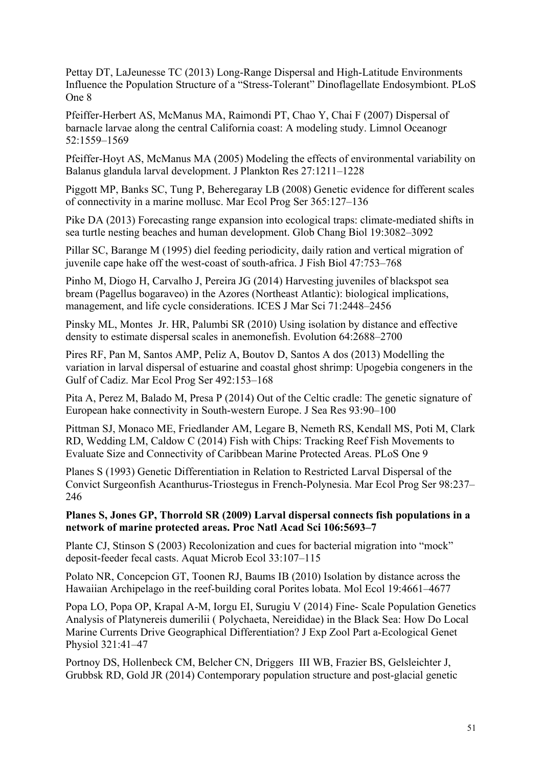Pettay DT, LaJeunesse TC (2013) Long-Range Dispersal and High-Latitude Environments Influence the Population Structure of a "Stress-Tolerant" Dinoflagellate Endosymbiont. PLoS One 8

Pfeiffer-Herbert AS, McManus MA, Raimondi PT, Chao Y, Chai F (2007) Dispersal of barnacle larvae along the central California coast: A modeling study. Limnol Oceanogr 52:1559–1569

Pfeiffer-Hoyt AS, McManus MA (2005) Modeling the effects of environmental variability on Balanus glandula larval development. J Plankton Res 27:1211–1228

Piggott MP, Banks SC, Tung P, Beheregaray LB (2008) Genetic evidence for different scales of connectivity in a marine mollusc. Mar Ecol Prog Ser 365:127–136

Pike DA (2013) Forecasting range expansion into ecological traps: climate-mediated shifts in sea turtle nesting beaches and human development. Glob Chang Biol 19:3082–3092

Pillar SC, Barange M (1995) diel feeding periodicity, daily ration and vertical migration of juvenile cape hake off the west-coast of south-africa. J Fish Biol 47:753–768

Pinho M, Diogo H, Carvalho J, Pereira JG (2014) Harvesting juveniles of blackspot sea bream (Pagellus bogaraveo) in the Azores (Northeast Atlantic): biological implications, management, and life cycle considerations. ICES J Mar Sci 71:2448–2456

Pinsky ML, Montes Jr. HR, Palumbi SR (2010) Using isolation by distance and effective density to estimate dispersal scales in anemonefish. Evolution 64:2688–2700

Pires RF, Pan M, Santos AMP, Peliz A, Boutov D, Santos A dos (2013) Modelling the variation in larval dispersal of estuarine and coastal ghost shrimp: Upogebia congeners in the Gulf of Cadiz. Mar Ecol Prog Ser 492:153–168

Pita A, Perez M, Balado M, Presa P (2014) Out of the Celtic cradle: The genetic signature of European hake connectivity in South-western Europe. J Sea Res 93:90–100

Pittman SJ, Monaco ME, Friedlander AM, Legare B, Nemeth RS, Kendall MS, Poti M, Clark RD, Wedding LM, Caldow C (2014) Fish with Chips: Tracking Reef Fish Movements to Evaluate Size and Connectivity of Caribbean Marine Protected Areas. PLoS One 9

Planes S (1993) Genetic Differentiation in Relation to Restricted Larval Dispersal of the Convict Surgeonfish Acanthurus-Triostegus in French-Polynesia. Mar Ecol Prog Ser 98:237– 246

**Planes S, Jones GP, Thorrold SR (2009) Larval dispersal connects fish populations in a network of marine protected areas. Proc Natl Acad Sci 106:5693–7**

Plante CJ, Stinson S (2003) Recolonization and cues for bacterial migration into "mock" deposit-feeder fecal casts. Aquat Microb Ecol 33:107–115

Polato NR, Concepcion GT, Toonen RJ, Baums IB (2010) Isolation by distance across the Hawaiian Archipelago in the reef-building coral Porites lobata. Mol Ecol 19:4661–4677

Popa LO, Popa OP, Krapal A-M, Iorgu EI, Surugiu V (2014) Fine- Scale Population Genetics Analysis of Platynereis dumerilii ( Polychaeta, Nereididae) in the Black Sea: How Do Local Marine Currents Drive Geographical Differentiation? J Exp Zool Part a-Ecological Genet Physiol 321:41–47

Portnoy DS, Hollenbeck CM, Belcher CN, Driggers III WB, Frazier BS, Gelsleichter J, Grubbsk RD, Gold JR (2014) Contemporary population structure and post-glacial genetic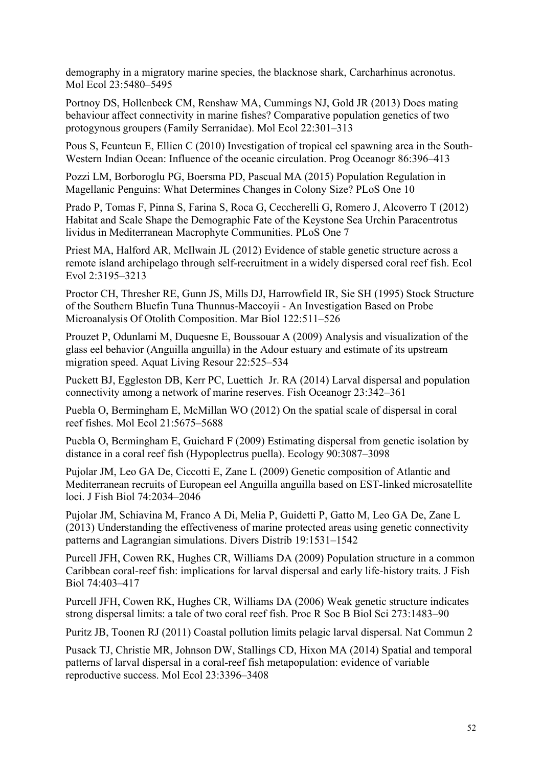demography in a migratory marine species, the blacknose shark, Carcharhinus acronotus. Mol Ecol 23:5480–5495

Portnoy DS, Hollenbeck CM, Renshaw MA, Cummings NJ, Gold JR (2013) Does mating behaviour affect connectivity in marine fishes? Comparative population genetics of two protogynous groupers (Family Serranidae). Mol Ecol 22:301–313

Pous S, Feunteun E, Ellien C (2010) Investigation of tropical eel spawning area in the South-Western Indian Ocean: Influence of the oceanic circulation. Prog Oceanogr 86:396–413

Pozzi LM, Borboroglu PG, Boersma PD, Pascual MA (2015) Population Regulation in Magellanic Penguins: What Determines Changes in Colony Size? PLoS One 10

Prado P, Tomas F, Pinna S, Farina S, Roca G, Ceccherelli G, Romero J, Alcoverro T (2012) Habitat and Scale Shape the Demographic Fate of the Keystone Sea Urchin Paracentrotus lividus in Mediterranean Macrophyte Communities. PLoS One 7

Priest MA, Halford AR, McIlwain JL (2012) Evidence of stable genetic structure across a remote island archipelago through self-recruitment in a widely dispersed coral reef fish. Ecol Evol 2:3195–3213

Proctor CH, Thresher RE, Gunn JS, Mills DJ, Harrowfield IR, Sie SH (1995) Stock Structure of the Southern Bluefin Tuna Thunnus-Maccoyii - An Investigation Based on Probe Microanalysis Of Otolith Composition. Mar Biol 122:511–526

Prouzet P, Odunlami M, Duquesne E, Boussouar A (2009) Analysis and visualization of the glass eel behavior (Anguilla anguilla) in the Adour estuary and estimate of its upstream migration speed. Aquat Living Resour 22:525–534

Puckett BJ, Eggleston DB, Kerr PC, Luettich Jr. RA (2014) Larval dispersal and population connectivity among a network of marine reserves. Fish Oceanogr 23:342–361

Puebla O, Bermingham E, McMillan WO (2012) On the spatial scale of dispersal in coral reef fishes. Mol Ecol 21:5675–5688

Puebla O, Bermingham E, Guichard F (2009) Estimating dispersal from genetic isolation by distance in a coral reef fish (Hypoplectrus puella). Ecology 90:3087–3098

Pujolar JM, Leo GA De, Ciccotti E, Zane L (2009) Genetic composition of Atlantic and Mediterranean recruits of European eel Anguilla anguilla based on EST-linked microsatellite loci. J Fish Biol 74:2034–2046

Pujolar JM, Schiavina M, Franco A Di, Melia P, Guidetti P, Gatto M, Leo GA De, Zane L (2013) Understanding the effectiveness of marine protected areas using genetic connectivity patterns and Lagrangian simulations. Divers Distrib 19:1531–1542

Purcell JFH, Cowen RK, Hughes CR, Williams DA (2009) Population structure in a common Caribbean coral-reef fish: implications for larval dispersal and early life-history traits. J Fish Biol 74:403–417

Purcell JFH, Cowen RK, Hughes CR, Williams DA (2006) Weak genetic structure indicates strong dispersal limits: a tale of two coral reef fish. Proc R Soc B Biol Sci 273:1483–90

Puritz JB, Toonen RJ (2011) Coastal pollution limits pelagic larval dispersal. Nat Commun 2

Pusack TJ, Christie MR, Johnson DW, Stallings CD, Hixon MA (2014) Spatial and temporal patterns of larval dispersal in a coral-reef fish metapopulation: evidence of variable reproductive success. Mol Ecol 23:3396–3408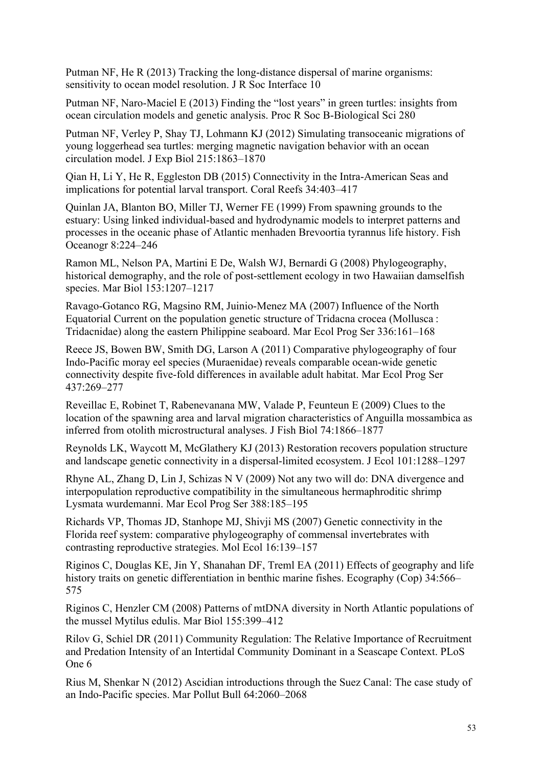Putman NF, He R (2013) Tracking the long-distance dispersal of marine organisms: sensitivity to ocean model resolution. J R Soc Interface 10

Putman NF, Naro-Maciel E (2013) Finding the "lost years" in green turtles: insights from ocean circulation models and genetic analysis. Proc R Soc B-Biological Sci 280

Putman NF, Verley P, Shay TJ, Lohmann KJ (2012) Simulating transoceanic migrations of young loggerhead sea turtles: merging magnetic navigation behavior with an ocean circulation model. J Exp Biol 215:1863–1870

Qian H, Li Y, He R, Eggleston DB (2015) Connectivity in the Intra-American Seas and implications for potential larval transport. Coral Reefs 34:403–417

Quinlan JA, Blanton BO, Miller TJ, Werner FE (1999) From spawning grounds to the estuary: Using linked individual-based and hydrodynamic models to interpret patterns and processes in the oceanic phase of Atlantic menhaden Brevoortia tyrannus life history. Fish Oceanogr 8:224–246

Ramon ML, Nelson PA, Martini E De, Walsh WJ, Bernardi G (2008) Phylogeography, historical demography, and the role of post-settlement ecology in two Hawaiian damselfish species. Mar Biol 153:1207–1217

Ravago-Gotanco RG, Magsino RM, Juinio-Menez MA (2007) Influence of the North Equatorial Current on the population genetic structure of Tridacna crocea (Mollusca : Tridacnidae) along the eastern Philippine seaboard. Mar Ecol Prog Ser 336:161–168

Reece JS, Bowen BW, Smith DG, Larson A (2011) Comparative phylogeography of four Indo-Pacific moray eel species (Muraenidae) reveals comparable ocean-wide genetic connectivity despite five-fold differences in available adult habitat. Mar Ecol Prog Ser 437:269–277

Reveillac E, Robinet T, Rabenevanana MW, Valade P, Feunteun E (2009) Clues to the location of the spawning area and larval migration characteristics of Anguilla mossambica as inferred from otolith microstructural analyses. J Fish Biol 74:1866–1877

Reynolds LK, Waycott M, McGlathery KJ (2013) Restoration recovers population structure and landscape genetic connectivity in a dispersal-limited ecosystem. J Ecol 101:1288–1297

Rhyne AL, Zhang D, Lin J, Schizas N V (2009) Not any two will do: DNA divergence and interpopulation reproductive compatibility in the simultaneous hermaphroditic shrimp Lysmata wurdemanni. Mar Ecol Prog Ser 388:185–195

Richards VP, Thomas JD, Stanhope MJ, Shivji MS (2007) Genetic connectivity in the Florida reef system: comparative phylogeography of commensal invertebrates with contrasting reproductive strategies. Mol Ecol 16:139–157

Riginos C, Douglas KE, Jin Y, Shanahan DF, Treml EA (2011) Effects of geography and life history traits on genetic differentiation in benthic marine fishes. Ecography (Cop) 34:566– 575

Riginos C, Henzler CM (2008) Patterns of mtDNA diversity in North Atlantic populations of the mussel Mytilus edulis. Mar Biol 155:399–412

Rilov G, Schiel DR (2011) Community Regulation: The Relative Importance of Recruitment and Predation Intensity of an Intertidal Community Dominant in a Seascape Context. PLoS One 6

Rius M, Shenkar N (2012) Ascidian introductions through the Suez Canal: The case study of an Indo-Pacific species. Mar Pollut Bull 64:2060–2068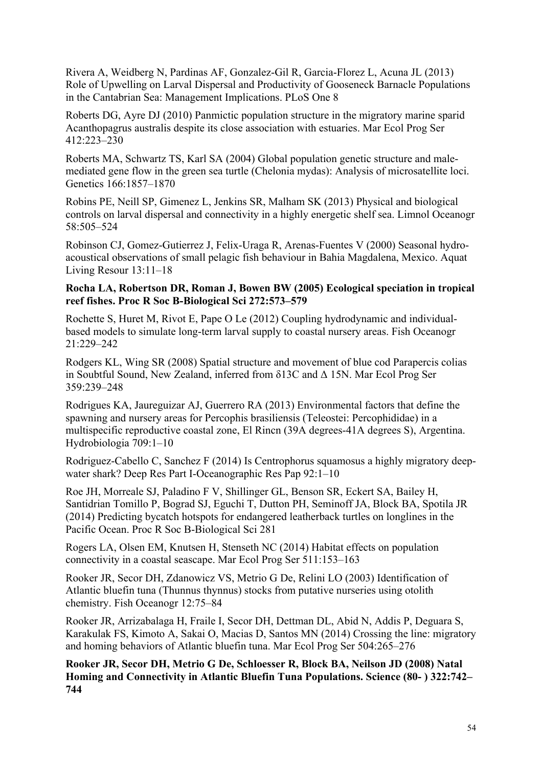Rivera A, Weidberg N, Pardinas AF, Gonzalez-Gil R, Garcia-Florez L, Acuna JL (2013) Role of Upwelling on Larval Dispersal and Productivity of Gooseneck Barnacle Populations in the Cantabrian Sea: Management Implications. PLoS One 8

Roberts DG, Ayre DJ (2010) Panmictic population structure in the migratory marine sparid Acanthopagrus australis despite its close association with estuaries. Mar Ecol Prog Ser 412:223–230

Roberts MA, Schwartz TS, Karl SA (2004) Global population genetic structure and malemediated gene flow in the green sea turtle (Chelonia mydas): Analysis of microsatellite loci. Genetics 166:1857–1870

Robins PE, Neill SP, Gimenez L, Jenkins SR, Malham SK (2013) Physical and biological controls on larval dispersal and connectivity in a highly energetic shelf sea. Limnol Oceanogr 58:505–524

Robinson CJ, Gomez-Gutierrez J, Felix-Uraga R, Arenas-Fuentes V (2000) Seasonal hydroacoustical observations of small pelagic fish behaviour in Bahia Magdalena, Mexico. Aquat Living Resour 13:11–18

# **Rocha LA, Robertson DR, Roman J, Bowen BW (2005) Ecological speciation in tropical reef fishes. Proc R Soc B-Biological Sci 272:573–579**

Rochette S, Huret M, Rivot E, Pape O Le (2012) Coupling hydrodynamic and individualbased models to simulate long-term larval supply to coastal nursery areas. Fish Oceanogr 21:229–242

Rodgers KL, Wing SR (2008) Spatial structure and movement of blue cod Parapercis colias in Soubtful Sound, New Zealand, inferred from δ13C and Δ 15N. Mar Ecol Prog Ser 359:239–248

Rodrigues KA, Jaureguizar AJ, Guerrero RA (2013) Environmental factors that define the spawning and nursery areas for Percophis brasiliensis (Teleostei: Percophididae) in a multispecific reproductive coastal zone, El Rincn (39A degrees-41A degrees S), Argentina. Hydrobiologia 709:1–10

Rodriguez-Cabello C, Sanchez F (2014) Is Centrophorus squamosus a highly migratory deepwater shark? Deep Res Part I-Oceanographic Res Pap 92:1–10

Roe JH, Morreale SJ, Paladino F V, Shillinger GL, Benson SR, Eckert SA, Bailey H, Santidrian Tomillo P, Bograd SJ, Eguchi T, Dutton PH, Seminoff JA, Block BA, Spotila JR (2014) Predicting bycatch hotspots for endangered leatherback turtles on longlines in the Pacific Ocean. Proc R Soc B-Biological Sci 281

Rogers LA, Olsen EM, Knutsen H, Stenseth NC (2014) Habitat effects on population connectivity in a coastal seascape. Mar Ecol Prog Ser 511:153–163

Rooker JR, Secor DH, Zdanowicz VS, Metrio G De, Relini LO (2003) Identification of Atlantic bluefin tuna (Thunnus thynnus) stocks from putative nurseries using otolith chemistry. Fish Oceanogr 12:75–84

Rooker JR, Arrizabalaga H, Fraile I, Secor DH, Dettman DL, Abid N, Addis P, Deguara S, Karakulak FS, Kimoto A, Sakai O, Macias D, Santos MN (2014) Crossing the line: migratory and homing behaviors of Atlantic bluefin tuna. Mar Ecol Prog Ser 504:265–276

**Rooker JR, Secor DH, Metrio G De, Schloesser R, Block BA, Neilson JD (2008) Natal Homing and Connectivity in Atlantic Bluefin Tuna Populations. Science (80- ) 322:742– 744**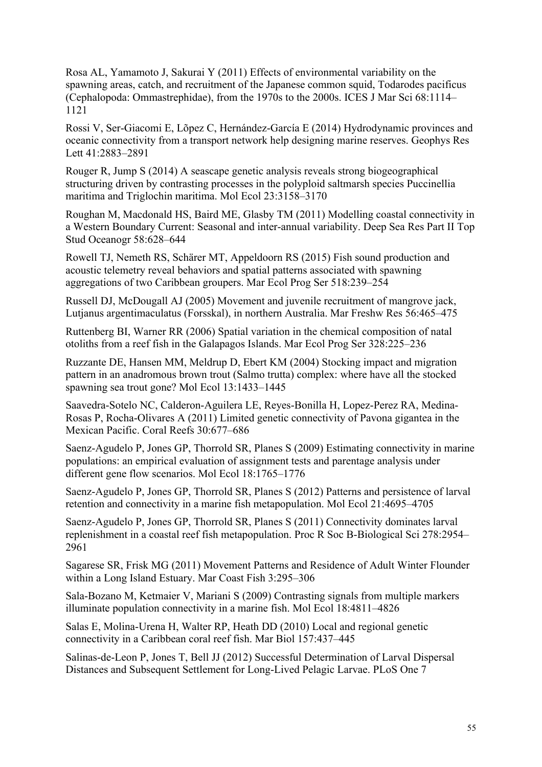Rosa AL, Yamamoto J, Sakurai Y (2011) Effects of environmental variability on the spawning areas, catch, and recruitment of the Japanese common squid, Todarodes pacificus (Cephalopoda: Ommastrephidae), from the 1970s to the 2000s. ICES J Mar Sci 68:1114– 1121

Rossi V, Ser-Giacomi E, Lõpez C, Hernández-García E (2014) Hydrodynamic provinces and oceanic connectivity from a transport network help designing marine reserves. Geophys Res Lett 41:2883–2891

Rouger R, Jump S (2014) A seascape genetic analysis reveals strong biogeographical structuring driven by contrasting processes in the polyploid saltmarsh species Puccinellia maritima and Triglochin maritima. Mol Ecol 23:3158–3170

Roughan M, Macdonald HS, Baird ME, Glasby TM (2011) Modelling coastal connectivity in a Western Boundary Current: Seasonal and inter-annual variability. Deep Sea Res Part II Top Stud Oceanogr 58:628–644

Rowell TJ, Nemeth RS, Schärer MT, Appeldoorn RS (2015) Fish sound production and acoustic telemetry reveal behaviors and spatial patterns associated with spawning aggregations of two Caribbean groupers. Mar Ecol Prog Ser 518:239–254

Russell DJ, McDougall AJ (2005) Movement and juvenile recruitment of mangrove jack, Lutjanus argentimaculatus (Forsskal), in northern Australia. Mar Freshw Res 56:465–475

Ruttenberg BI, Warner RR (2006) Spatial variation in the chemical composition of natal otoliths from a reef fish in the Galapagos Islands. Mar Ecol Prog Ser 328:225–236

Ruzzante DE, Hansen MM, Meldrup D, Ebert KM (2004) Stocking impact and migration pattern in an anadromous brown trout (Salmo trutta) complex: where have all the stocked spawning sea trout gone? Mol Ecol 13:1433–1445

Saavedra-Sotelo NC, Calderon-Aguilera LE, Reyes-Bonilla H, Lopez-Perez RA, Medina-Rosas P, Rocha-Olivares A (2011) Limited genetic connectivity of Pavona gigantea in the Mexican Pacific. Coral Reefs 30:677–686

Saenz-Agudelo P, Jones GP, Thorrold SR, Planes S (2009) Estimating connectivity in marine populations: an empirical evaluation of assignment tests and parentage analysis under different gene flow scenarios. Mol Ecol 18:1765–1776

Saenz-Agudelo P, Jones GP, Thorrold SR, Planes S (2012) Patterns and persistence of larval retention and connectivity in a marine fish metapopulation. Mol Ecol 21:4695–4705

Saenz-Agudelo P, Jones GP, Thorrold SR, Planes S (2011) Connectivity dominates larval replenishment in a coastal reef fish metapopulation. Proc R Soc B-Biological Sci 278:2954– 2961

Sagarese SR, Frisk MG (2011) Movement Patterns and Residence of Adult Winter Flounder within a Long Island Estuary. Mar Coast Fish 3:295–306

Sala-Bozano M, Ketmaier V, Mariani S (2009) Contrasting signals from multiple markers illuminate population connectivity in a marine fish. Mol Ecol 18:4811–4826

Salas E, Molina-Urena H, Walter RP, Heath DD (2010) Local and regional genetic connectivity in a Caribbean coral reef fish. Mar Biol 157:437–445

Salinas-de-Leon P, Jones T, Bell JJ (2012) Successful Determination of Larval Dispersal Distances and Subsequent Settlement for Long-Lived Pelagic Larvae. PLoS One 7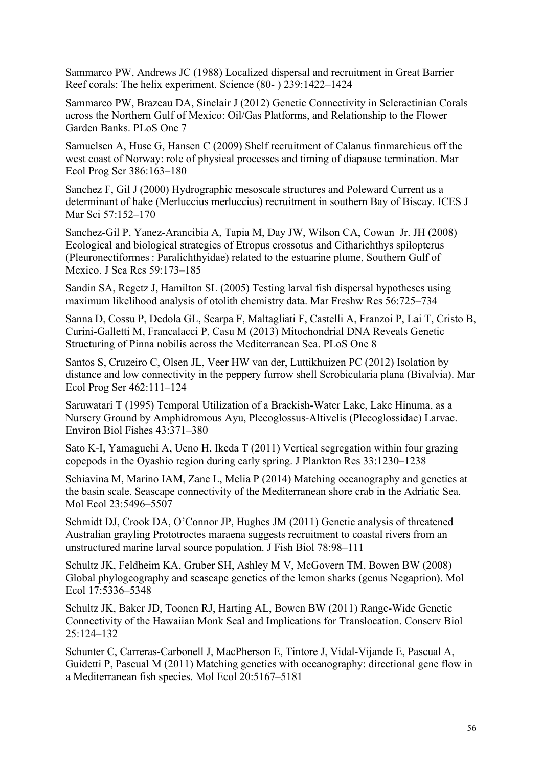Sammarco PW, Andrews JC (1988) Localized dispersal and recruitment in Great Barrier Reef corals: The helix experiment. Science (80- ) 239:1422–1424

Sammarco PW, Brazeau DA, Sinclair J (2012) Genetic Connectivity in Scleractinian Corals across the Northern Gulf of Mexico: Oil/Gas Platforms, and Relationship to the Flower Garden Banks. PLoS One 7

Samuelsen A, Huse G, Hansen C (2009) Shelf recruitment of Calanus finmarchicus off the west coast of Norway: role of physical processes and timing of diapause termination. Mar Ecol Prog Ser 386:163–180

Sanchez F, Gil J (2000) Hydrographic mesoscale structures and Poleward Current as a determinant of hake (Merluccius merluccius) recruitment in southern Bay of Biscay. ICES J Mar Sci 57:152–170

Sanchez-Gil P, Yanez-Arancibia A, Tapia M, Day JW, Wilson CA, Cowan Jr. JH (2008) Ecological and biological strategies of Etropus crossotus and Citharichthys spilopterus (Pleuronectiformes : Paralichthyidae) related to the estuarine plume, Southern Gulf of Mexico. J Sea Res 59:173–185

Sandin SA, Regetz J, Hamilton SL (2005) Testing larval fish dispersal hypotheses using maximum likelihood analysis of otolith chemistry data. Mar Freshw Res 56:725–734

Sanna D, Cossu P, Dedola GL, Scarpa F, Maltagliati F, Castelli A, Franzoi P, Lai T, Cristo B, Curini-Galletti M, Francalacci P, Casu M (2013) Mitochondrial DNA Reveals Genetic Structuring of Pinna nobilis across the Mediterranean Sea. PLoS One 8

Santos S, Cruzeiro C, Olsen JL, Veer HW van der, Luttikhuizen PC (2012) Isolation by distance and low connectivity in the peppery furrow shell Scrobicularia plana (Bivalvia). Mar Ecol Prog Ser 462:111–124

Saruwatari T (1995) Temporal Utilization of a Brackish-Water Lake, Lake Hinuma, as a Nursery Ground by Amphidromous Ayu, Plecoglossus-Altivelis (Plecoglossidae) Larvae. Environ Biol Fishes 43:371–380

Sato K-I, Yamaguchi A, Ueno H, Ikeda T (2011) Vertical segregation within four grazing copepods in the Oyashio region during early spring. J Plankton Res 33:1230–1238

Schiavina M, Marino IAM, Zane L, Melia P (2014) Matching oceanography and genetics at the basin scale. Seascape connectivity of the Mediterranean shore crab in the Adriatic Sea. Mol Ecol 23:5496–5507

Schmidt DJ, Crook DA, O'Connor JP, Hughes JM (2011) Genetic analysis of threatened Australian grayling Prototroctes maraena suggests recruitment to coastal rivers from an unstructured marine larval source population. J Fish Biol 78:98–111

Schultz JK, Feldheim KA, Gruber SH, Ashley M V, McGovern TM, Bowen BW (2008) Global phylogeography and seascape genetics of the lemon sharks (genus Negaprion). Mol Ecol 17:5336–5348

Schultz JK, Baker JD, Toonen RJ, Harting AL, Bowen BW (2011) Range-Wide Genetic Connectivity of the Hawaiian Monk Seal and Implications for Translocation. Conserv Biol 25:124–132

Schunter C, Carreras-Carbonell J, MacPherson E, Tintore J, Vidal-Vijande E, Pascual A, Guidetti P, Pascual M (2011) Matching genetics with oceanography: directional gene flow in a Mediterranean fish species. Mol Ecol 20:5167–5181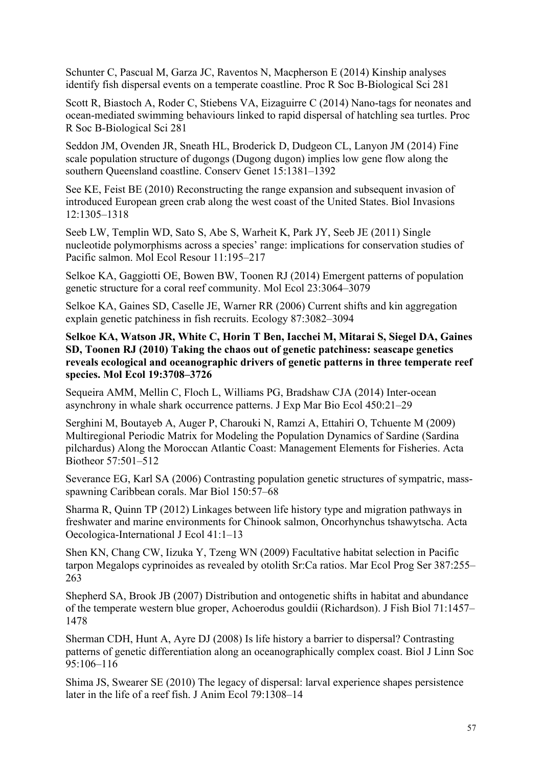Schunter C, Pascual M, Garza JC, Raventos N, Macpherson E (2014) Kinship analyses identify fish dispersal events on a temperate coastline. Proc R Soc B-Biological Sci 281

Scott R, Biastoch A, Roder C, Stiebens VA, Eizaguirre C (2014) Nano-tags for neonates and ocean-mediated swimming behaviours linked to rapid dispersal of hatchling sea turtles. Proc R Soc B-Biological Sci 281

Seddon JM, Ovenden JR, Sneath HL, Broderick D, Dudgeon CL, Lanyon JM (2014) Fine scale population structure of dugongs (Dugong dugon) implies low gene flow along the southern Queensland coastline. Conserv Genet 15:1381–1392

See KE, Feist BE (2010) Reconstructing the range expansion and subsequent invasion of introduced European green crab along the west coast of the United States. Biol Invasions 12:1305–1318

Seeb LW, Templin WD, Sato S, Abe S, Warheit K, Park JY, Seeb JE (2011) Single nucleotide polymorphisms across a species' range: implications for conservation studies of Pacific salmon. Mol Ecol Resour 11:195–217

Selkoe KA, Gaggiotti OE, Bowen BW, Toonen RJ (2014) Emergent patterns of population genetic structure for a coral reef community. Mol Ecol 23:3064–3079

Selkoe KA, Gaines SD, Caselle JE, Warner RR (2006) Current shifts and kin aggregation explain genetic patchiness in fish recruits. Ecology 87:3082–3094

**Selkoe KA, Watson JR, White C, Horin T Ben, Iacchei M, Mitarai S, Siegel DA, Gaines SD, Toonen RJ (2010) Taking the chaos out of genetic patchiness: seascape genetics reveals ecological and oceanographic drivers of genetic patterns in three temperate reef species. Mol Ecol 19:3708–3726**

Sequeira AMM, Mellin C, Floch L, Williams PG, Bradshaw CJA (2014) Inter-ocean asynchrony in whale shark occurrence patterns. J Exp Mar Bio Ecol 450:21–29

Serghini M, Boutayeb A, Auger P, Charouki N, Ramzi A, Ettahiri O, Tchuente M (2009) Multiregional Periodic Matrix for Modeling the Population Dynamics of Sardine (Sardina pilchardus) Along the Moroccan Atlantic Coast: Management Elements for Fisheries. Acta Biotheor 57:501–512

Severance EG, Karl SA (2006) Contrasting population genetic structures of sympatric, massspawning Caribbean corals. Mar Biol 150:57–68

Sharma R, Quinn TP (2012) Linkages between life history type and migration pathways in freshwater and marine environments for Chinook salmon, Oncorhynchus tshawytscha. Acta Oecologica-International J Ecol 41:1–13

Shen KN, Chang CW, Iizuka Y, Tzeng WN (2009) Facultative habitat selection in Pacific tarpon Megalops cyprinoides as revealed by otolith Sr:Ca ratios. Mar Ecol Prog Ser 387:255– 263

Shepherd SA, Brook JB (2007) Distribution and ontogenetic shifts in habitat and abundance of the temperate western blue groper, Achoerodus gouldii (Richardson). J Fish Biol 71:1457– 1478

Sherman CDH, Hunt A, Ayre DJ (2008) Is life history a barrier to dispersal? Contrasting patterns of genetic differentiation along an oceanographically complex coast. Biol J Linn Soc 95:106–116

Shima JS, Swearer SE (2010) The legacy of dispersal: larval experience shapes persistence later in the life of a reef fish. J Anim Ecol 79:1308–14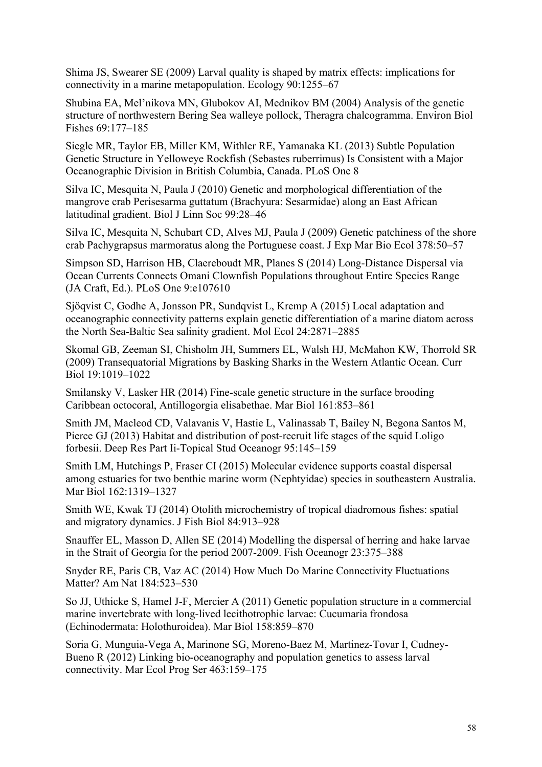Shima JS, Swearer SE (2009) Larval quality is shaped by matrix effects: implications for connectivity in a marine metapopulation. Ecology 90:1255–67

Shubina EA, Mel'nikova MN, Glubokov AI, Mednikov BM (2004) Analysis of the genetic structure of northwestern Bering Sea walleye pollock, Theragra chalcogramma. Environ Biol Fishes 69:177–185

Siegle MR, Taylor EB, Miller KM, Withler RE, Yamanaka KL (2013) Subtle Population Genetic Structure in Yelloweye Rockfish (Sebastes ruberrimus) Is Consistent with a Major Oceanographic Division in British Columbia, Canada. PLoS One 8

Silva IC, Mesquita N, Paula J (2010) Genetic and morphological differentiation of the mangrove crab Perisesarma guttatum (Brachyura: Sesarmidae) along an East African latitudinal gradient. Biol J Linn Soc 99:28–46

Silva IC, Mesquita N, Schubart CD, Alves MJ, Paula J (2009) Genetic patchiness of the shore crab Pachygrapsus marmoratus along the Portuguese coast. J Exp Mar Bio Ecol 378:50–57

Simpson SD, Harrison HB, Claereboudt MR, Planes S (2014) Long-Distance Dispersal via Ocean Currents Connects Omani Clownfish Populations throughout Entire Species Range (JA Craft, Ed.). PLoS One 9:e107610

Sjöqvist C, Godhe A, Jonsson PR, Sundqvist L, Kremp A (2015) Local adaptation and oceanographic connectivity patterns explain genetic differentiation of a marine diatom across the North Sea-Baltic Sea salinity gradient. Mol Ecol 24:2871–2885

Skomal GB, Zeeman SI, Chisholm JH, Summers EL, Walsh HJ, McMahon KW, Thorrold SR (2009) Transequatorial Migrations by Basking Sharks in the Western Atlantic Ocean. Curr Biol 19:1019–1022

Smilansky V, Lasker HR (2014) Fine-scale genetic structure in the surface brooding Caribbean octocoral, Antillogorgia elisabethae. Mar Biol 161:853–861

Smith JM, Macleod CD, Valavanis V, Hastie L, Valinassab T, Bailey N, Begona Santos M, Pierce GJ (2013) Habitat and distribution of post-recruit life stages of the squid Loligo forbesii. Deep Res Part Ii-Topical Stud Oceanogr 95:145–159

Smith LM, Hutchings P, Fraser CI (2015) Molecular evidence supports coastal dispersal among estuaries for two benthic marine worm (Nephtyidae) species in southeastern Australia. Mar Biol 162:1319–1327

Smith WE, Kwak TJ (2014) Otolith microchemistry of tropical diadromous fishes: spatial and migratory dynamics. J Fish Biol 84:913–928

Snauffer EL, Masson D, Allen SE (2014) Modelling the dispersal of herring and hake larvae in the Strait of Georgia for the period 2007-2009. Fish Oceanogr 23:375–388

Snyder RE, Paris CB, Vaz AC (2014) How Much Do Marine Connectivity Fluctuations Matter? Am Nat 184:523–530

So JJ, Uthicke S, Hamel J-F, Mercier A (2011) Genetic population structure in a commercial marine invertebrate with long-lived lecithotrophic larvae: Cucumaria frondosa (Echinodermata: Holothuroidea). Mar Biol 158:859–870

Soria G, Munguia-Vega A, Marinone SG, Moreno-Baez M, Martinez-Tovar I, Cudney-Bueno R (2012) Linking bio-oceanography and population genetics to assess larval connectivity. Mar Ecol Prog Ser 463:159–175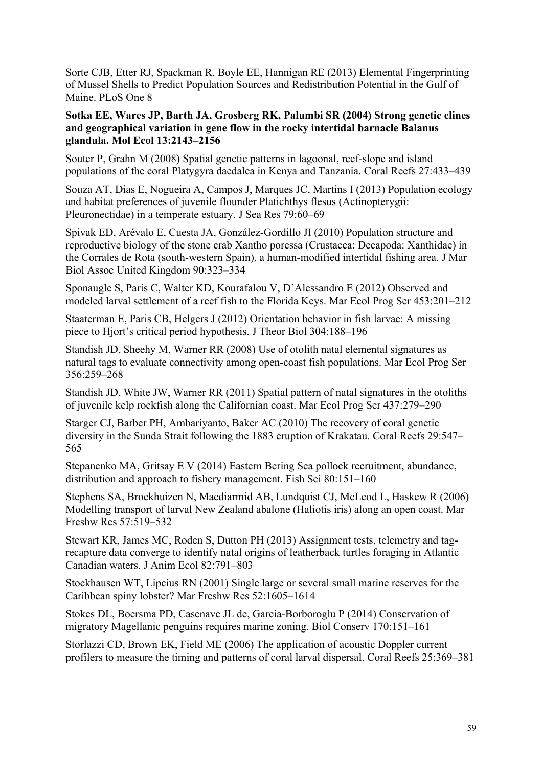Sorte CJB, Etter RJ, Spackman R, Boyle EE, Hannigan RE (2013) Elemental Fingerprinting of Mussel Shells to Predict Population Sources and Redistribution Potential in the Gulf of Maine. PLoS One 8

## **Sotka EE, Wares JP, Barth JA, Grosberg RK, Palumbi SR (2004) Strong genetic clines and geographical variation in gene flow in the rocky intertidal barnacle Balanus glandula. Mol Ecol 13:2143–2156**

Souter P, Grahn M (2008) Spatial genetic patterns in lagoonal, reef-slope and island populations of the coral Platygyra daedalea in Kenya and Tanzania. Coral Reefs 27:433–439

Souza AT, Dias E, Nogueira A, Campos J, Marques JC, Martins I (2013) Population ecology and habitat preferences of juvenile flounder Platichthys flesus (Actinopterygii: Pleuronectidae) in a temperate estuary. J Sea Res 79:60–69

Spivak ED, Arévalo E, Cuesta JA, González-Gordillo JI (2010) Population structure and reproductive biology of the stone crab Xantho poressa (Crustacea: Decapoda: Xanthidae) in the Corrales de Rota (south-western Spain), a human-modified intertidal fishing area. J Mar Biol Assoc United Kingdom 90:323–334

Sponaugle S, Paris C, Walter KD, Kourafalou V, D'Alessandro E (2012) Observed and modeled larval settlement of a reef fish to the Florida Keys. Mar Ecol Prog Ser 453:201–212

Staaterman E, Paris CB, Helgers J (2012) Orientation behavior in fish larvae: A missing piece to Hjort's critical period hypothesis. J Theor Biol 304:188–196

Standish JD, Sheehy M, Warner RR (2008) Use of otolith natal elemental signatures as natural tags to evaluate connectivity among open-coast fish populations. Mar Ecol Prog Ser 356:259–268

Standish JD, White JW, Warner RR (2011) Spatial pattern of natal signatures in the otoliths of juvenile kelp rockfish along the Californian coast. Mar Ecol Prog Ser 437:279–290

Starger CJ, Barber PH, Ambariyanto, Baker AC (2010) The recovery of coral genetic diversity in the Sunda Strait following the 1883 eruption of Krakatau. Coral Reefs 29:547– 565

Stepanenko MA, Gritsay E V (2014) Eastern Bering Sea pollock recruitment, abundance, distribution and approach to fishery management. Fish Sci 80:151–160

Stephens SA, Broekhuizen N, Macdiarmid AB, Lundquist CJ, McLeod L, Haskew R (2006) Modelling transport of larval New Zealand abalone (Haliotis iris) along an open coast. Mar Freshw Res 57:519–532

Stewart KR, James MC, Roden S, Dutton PH (2013) Assignment tests, telemetry and tagrecapture data converge to identify natal origins of leatherback turtles foraging in Atlantic Canadian waters. J Anim Ecol 82:791–803

Stockhausen WT, Lipcius RN (2001) Single large or several small marine reserves for the Caribbean spiny lobster? Mar Freshw Res 52:1605–1614

Stokes DL, Boersma PD, Casenave JL de, Garcia-Borboroglu P (2014) Conservation of migratory Magellanic penguins requires marine zoning. Biol Conserv 170:151–161

Storlazzi CD, Brown EK, Field ME (2006) The application of acoustic Doppler current profilers to measure the timing and patterns of coral larval dispersal. Coral Reefs 25:369–381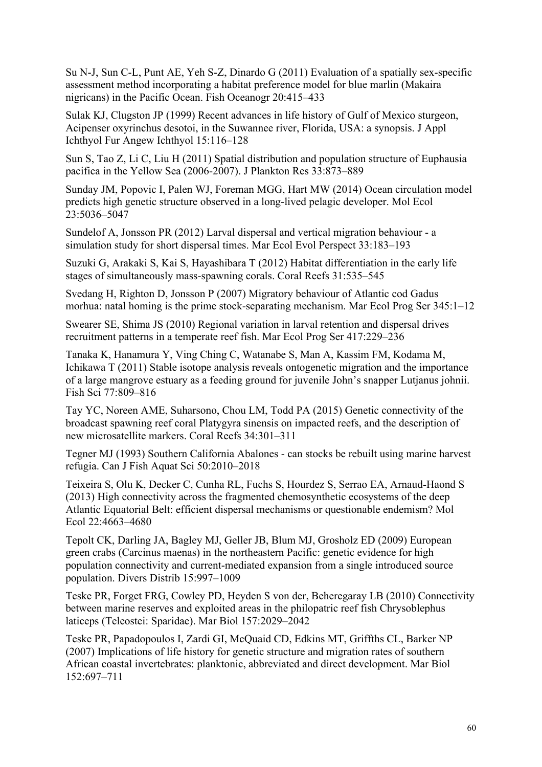Su N-J, Sun C-L, Punt AE, Yeh S-Z, Dinardo G (2011) Evaluation of a spatially sex-specific assessment method incorporating a habitat preference model for blue marlin (Makaira nigricans) in the Pacific Ocean. Fish Oceanogr 20:415–433

Sulak KJ, Clugston JP (1999) Recent advances in life history of Gulf of Mexico sturgeon, Acipenser oxyrinchus desotoi, in the Suwannee river, Florida, USA: a synopsis. J Appl Ichthyol Fur Angew Ichthyol 15:116–128

Sun S, Tao Z, Li C, Liu H (2011) Spatial distribution and population structure of Euphausia pacifica in the Yellow Sea (2006-2007). J Plankton Res 33:873–889

Sunday JM, Popovic I, Palen WJ, Foreman MGG, Hart MW (2014) Ocean circulation model predicts high genetic structure observed in a long-lived pelagic developer. Mol Ecol 23:5036–5047

Sundelof A, Jonsson PR (2012) Larval dispersal and vertical migration behaviour - a simulation study for short dispersal times. Mar Ecol Evol Perspect 33:183–193

Suzuki G, Arakaki S, Kai S, Hayashibara T (2012) Habitat differentiation in the early life stages of simultaneously mass-spawning corals. Coral Reefs 31:535–545

Svedang H, Righton D, Jonsson P (2007) Migratory behaviour of Atlantic cod Gadus morhua: natal homing is the prime stock-separating mechanism. Mar Ecol Prog Ser 345:1–12

Swearer SE, Shima JS (2010) Regional variation in larval retention and dispersal drives recruitment patterns in a temperate reef fish. Mar Ecol Prog Ser 417:229–236

Tanaka K, Hanamura Y, Ving Ching C, Watanabe S, Man A, Kassim FM, Kodama M, Ichikawa T (2011) Stable isotope analysis reveals ontogenetic migration and the importance of a large mangrove estuary as a feeding ground for juvenile John's snapper Lutjanus johnii. Fish Sci 77:809–816

Tay YC, Noreen AME, Suharsono, Chou LM, Todd PA (2015) Genetic connectivity of the broadcast spawning reef coral Platygyra sinensis on impacted reefs, and the description of new microsatellite markers. Coral Reefs 34:301–311

Tegner MJ (1993) Southern California Abalones - can stocks be rebuilt using marine harvest refugia. Can J Fish Aquat Sci 50:2010–2018

Teixeira S, Olu K, Decker C, Cunha RL, Fuchs S, Hourdez S, Serrao EA, Arnaud-Haond S (2013) High connectivity across the fragmented chemosynthetic ecosystems of the deep Atlantic Equatorial Belt: efficient dispersal mechanisms or questionable endemism? Mol Ecol 22:4663–4680

Tepolt CK, Darling JA, Bagley MJ, Geller JB, Blum MJ, Grosholz ED (2009) European green crabs (Carcinus maenas) in the northeastern Pacific: genetic evidence for high population connectivity and current-mediated expansion from a single introduced source population. Divers Distrib 15:997–1009

Teske PR, Forget FRG, Cowley PD, Heyden S von der, Beheregaray LB (2010) Connectivity between marine reserves and exploited areas in the philopatric reef fish Chrysoblephus laticeps (Teleostei: Sparidae). Mar Biol 157:2029–2042

Teske PR, Papadopoulos I, Zardi GI, McQuaid CD, Edkins MT, Griffths CL, Barker NP (2007) Implications of life history for genetic structure and migration rates of southern African coastal invertebrates: planktonic, abbreviated and direct development. Mar Biol 152:697–711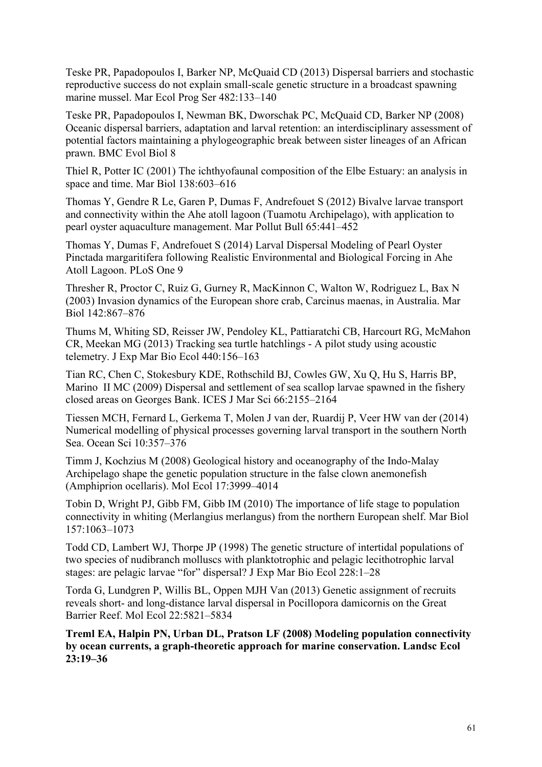Teske PR, Papadopoulos I, Barker NP, McQuaid CD (2013) Dispersal barriers and stochastic reproductive success do not explain small-scale genetic structure in a broadcast spawning marine mussel. Mar Ecol Prog Ser 482:133–140

Teske PR, Papadopoulos I, Newman BK, Dworschak PC, McQuaid CD, Barker NP (2008) Oceanic dispersal barriers, adaptation and larval retention: an interdisciplinary assessment of potential factors maintaining a phylogeographic break between sister lineages of an African prawn. BMC Evol Biol 8

Thiel R, Potter IC (2001) The ichthyofaunal composition of the Elbe Estuary: an analysis in space and time. Mar Biol 138:603–616

Thomas Y, Gendre R Le, Garen P, Dumas F, Andrefouet S (2012) Bivalve larvae transport and connectivity within the Ahe atoll lagoon (Tuamotu Archipelago), with application to pearl oyster aquaculture management. Mar Pollut Bull 65:441–452

Thomas Y, Dumas F, Andrefouet S (2014) Larval Dispersal Modeling of Pearl Oyster Pinctada margaritifera following Realistic Environmental and Biological Forcing in Ahe Atoll Lagoon. PLoS One 9

Thresher R, Proctor C, Ruiz G, Gurney R, MacKinnon C, Walton W, Rodriguez L, Bax N (2003) Invasion dynamics of the European shore crab, Carcinus maenas, in Australia. Mar Biol 142:867–876

Thums M, Whiting SD, Reisser JW, Pendoley KL, Pattiaratchi CB, Harcourt RG, McMahon CR, Meekan MG (2013) Tracking sea turtle hatchlings - A pilot study using acoustic telemetry. J Exp Mar Bio Ecol 440:156–163

Tian RC, Chen C, Stokesbury KDE, Rothschild BJ, Cowles GW, Xu Q, Hu S, Harris BP, Marino II MC (2009) Dispersal and settlement of sea scallop larvae spawned in the fishery closed areas on Georges Bank. ICES J Mar Sci 66:2155–2164

Tiessen MCH, Fernard L, Gerkema T, Molen J van der, Ruardij P, Veer HW van der (2014) Numerical modelling of physical processes governing larval transport in the southern North Sea. Ocean Sci 10:357–376

Timm J, Kochzius M (2008) Geological history and oceanography of the Indo-Malay Archipelago shape the genetic population structure in the false clown anemonefish (Amphiprion ocellaris). Mol Ecol 17:3999–4014

Tobin D, Wright PJ, Gibb FM, Gibb IM (2010) The importance of life stage to population connectivity in whiting (Merlangius merlangus) from the northern European shelf. Mar Biol 157:1063–1073

Todd CD, Lambert WJ, Thorpe JP (1998) The genetic structure of intertidal populations of two species of nudibranch molluscs with planktotrophic and pelagic lecithotrophic larval stages: are pelagic larvae "for" dispersal? J Exp Mar Bio Ecol 228:1–28

Torda G, Lundgren P, Willis BL, Oppen MJH Van (2013) Genetic assignment of recruits reveals short- and long-distance larval dispersal in Pocillopora damicornis on the Great Barrier Reef. Mol Ecol 22:5821–5834

**Treml EA, Halpin PN, Urban DL, Pratson LF (2008) Modeling population connectivity by ocean currents, a graph-theoretic approach for marine conservation. Landsc Ecol 23:19–36**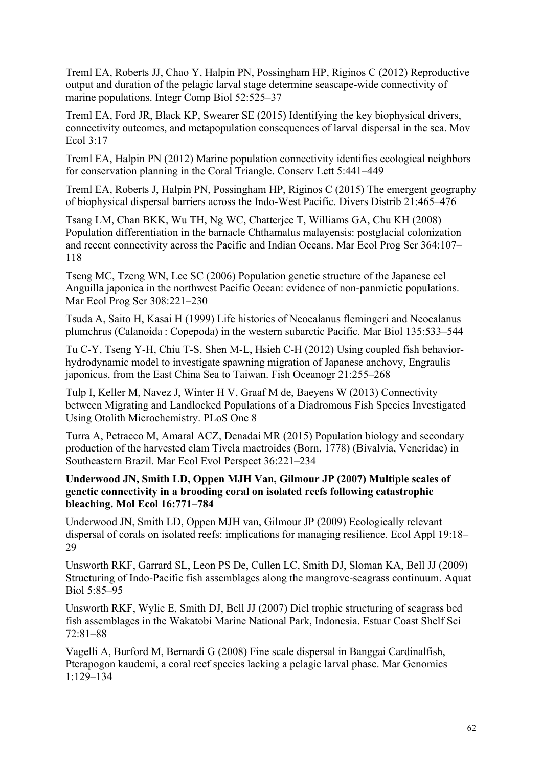Treml EA, Roberts JJ, Chao Y, Halpin PN, Possingham HP, Riginos C (2012) Reproductive output and duration of the pelagic larval stage determine seascape-wide connectivity of marine populations. Integr Comp Biol 52:525–37

Treml EA, Ford JR, Black KP, Swearer SE (2015) Identifying the key biophysical drivers, connectivity outcomes, and metapopulation consequences of larval dispersal in the sea. Mov Ecol 3:17

Treml EA, Halpin PN (2012) Marine population connectivity identifies ecological neighbors for conservation planning in the Coral Triangle. Conserv Lett 5:441–449

Treml EA, Roberts J, Halpin PN, Possingham HP, Riginos C (2015) The emergent geography of biophysical dispersal barriers across the Indo-West Pacific. Divers Distrib 21:465–476

Tsang LM, Chan BKK, Wu TH, Ng WC, Chatterjee T, Williams GA, Chu KH (2008) Population differentiation in the barnacle Chthamalus malayensis: postglacial colonization and recent connectivity across the Pacific and Indian Oceans. Mar Ecol Prog Ser 364:107– 118

Tseng MC, Tzeng WN, Lee SC (2006) Population genetic structure of the Japanese eel Anguilla japonica in the northwest Pacific Ocean: evidence of non-panmictic populations. Mar Ecol Prog Ser 308:221–230

Tsuda A, Saito H, Kasai H (1999) Life histories of Neocalanus flemingeri and Neocalanus plumchrus (Calanoida : Copepoda) in the western subarctic Pacific. Mar Biol 135:533–544

Tu C-Y, Tseng Y-H, Chiu T-S, Shen M-L, Hsieh C-H (2012) Using coupled fish behaviorhydrodynamic model to investigate spawning migration of Japanese anchovy, Engraulis japonicus, from the East China Sea to Taiwan. Fish Oceanogr 21:255–268

Tulp I, Keller M, Navez J, Winter H V, Graaf M de, Baeyens W (2013) Connectivity between Migrating and Landlocked Populations of a Diadromous Fish Species Investigated Using Otolith Microchemistry. PLoS One 8

Turra A, Petracco M, Amaral ACZ, Denadai MR (2015) Population biology and secondary production of the harvested clam Tivela mactroides (Born, 1778) (Bivalvia, Veneridae) in Southeastern Brazil. Mar Ecol Evol Perspect 36:221–234

# **Underwood JN, Smith LD, Oppen MJH Van, Gilmour JP (2007) Multiple scales of genetic connectivity in a brooding coral on isolated reefs following catastrophic bleaching. Mol Ecol 16:771–784**

Underwood JN, Smith LD, Oppen MJH van, Gilmour JP (2009) Ecologically relevant dispersal of corals on isolated reefs: implications for managing resilience. Ecol Appl 19:18– 29

Unsworth RKF, Garrard SL, Leon PS De, Cullen LC, Smith DJ, Sloman KA, Bell JJ (2009) Structuring of Indo-Pacific fish assemblages along the mangrove-seagrass continuum. Aquat Biol 5:85–95

Unsworth RKF, Wylie E, Smith DJ, Bell JJ (2007) Diel trophic structuring of seagrass bed fish assemblages in the Wakatobi Marine National Park, Indonesia. Estuar Coast Shelf Sci 72:81–88

Vagelli A, Burford M, Bernardi G (2008) Fine scale dispersal in Banggai Cardinalfish, Pterapogon kaudemi, a coral reef species lacking a pelagic larval phase. Mar Genomics 1:129–134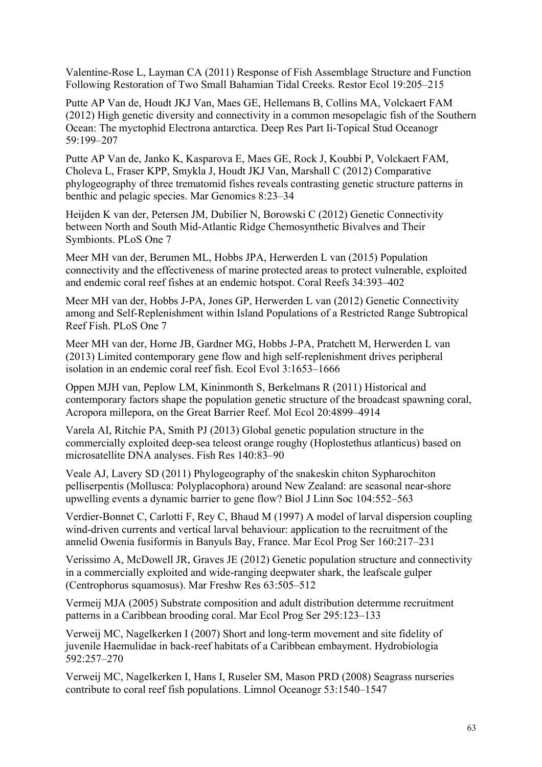Valentine-Rose L, Layman CA (2011) Response of Fish Assemblage Structure and Function Following Restoration of Two Small Bahamian Tidal Creeks. Restor Ecol 19:205–215

Putte AP Van de, Houdt JKJ Van, Maes GE, Hellemans B, Collins MA, Volckaert FAM (2012) High genetic diversity and connectivity in a common mesopelagic fish of the Southern Ocean: The myctophid Electrona antarctica. Deep Res Part Ii-Topical Stud Oceanogr 59:199–207

Putte AP Van de, Janko K, Kasparova E, Maes GE, Rock J, Koubbi P, Volckaert FAM, Choleva L, Fraser KPP, Smykla J, Houdt JKJ Van, Marshall C (2012) Comparative phylogeography of three trematomid fishes reveals contrasting genetic structure patterns in benthic and pelagic species. Mar Genomics 8:23–34

Heijden K van der, Petersen JM, Dubilier N, Borowski C (2012) Genetic Connectivity between North and South Mid-Atlantic Ridge Chemosynthetic Bivalves and Their Symbionts. PLoS One 7

Meer MH van der, Berumen ML, Hobbs JPA, Herwerden L van (2015) Population connectivity and the effectiveness of marine protected areas to protect vulnerable, exploited and endemic coral reef fishes at an endemic hotspot. Coral Reefs 34:393–402

Meer MH van der, Hobbs J-PA, Jones GP, Herwerden L van (2012) Genetic Connectivity among and Self-Replenishment within Island Populations of a Restricted Range Subtropical Reef Fish. PLoS One 7

Meer MH van der, Horne JB, Gardner MG, Hobbs J-PA, Pratchett M, Herwerden L van (2013) Limited contemporary gene flow and high self-replenishment drives peripheral isolation in an endemic coral reef fish. Ecol Evol 3:1653–1666

Oppen MJH van, Peplow LM, Kininmonth S, Berkelmans R (2011) Historical and contemporary factors shape the population genetic structure of the broadcast spawning coral, Acropora millepora, on the Great Barrier Reef. Mol Ecol 20:4899–4914

Varela AI, Ritchie PA, Smith PJ (2013) Global genetic population structure in the commercially exploited deep-sea teleost orange roughy (Hoplostethus atlanticus) based on microsatellite DNA analyses. Fish Res 140:83–90

Veale AJ, Lavery SD (2011) Phylogeography of the snakeskin chiton Sypharochiton pelliserpentis (Mollusca: Polyplacophora) around New Zealand: are seasonal near-shore upwelling events a dynamic barrier to gene flow? Biol J Linn Soc 104:552–563

Verdier-Bonnet C, Carlotti F, Rey C, Bhaud M (1997) A model of larval dispersion coupling wind-driven currents and vertical larval behaviour: application to the recruitment of the annelid Owenia fusiformis in Banyuls Bay, France. Mar Ecol Prog Ser 160:217–231

Verissimo A, McDowell JR, Graves JE (2012) Genetic population structure and connectivity in a commercially exploited and wide-ranging deepwater shark, the leafscale gulper (Centrophorus squamosus). Mar Freshw Res 63:505–512

Vermeij MJA (2005) Substrate composition and adult distribution determme recruitment patterns in a Caribbean brooding coral. Mar Ecol Prog Ser 295:123–133

Verweij MC, Nagelkerken I (2007) Short and long-term movement and site fidelity of juvenile Haemulidae in back-reef habitats of a Caribbean embayment. Hydrobiologia 592:257–270

Verweij MC, Nagelkerken I, Hans I, Ruseler SM, Mason PRD (2008) Seagrass nurseries contribute to coral reef fish populations. Limnol Oceanogr 53:1540–1547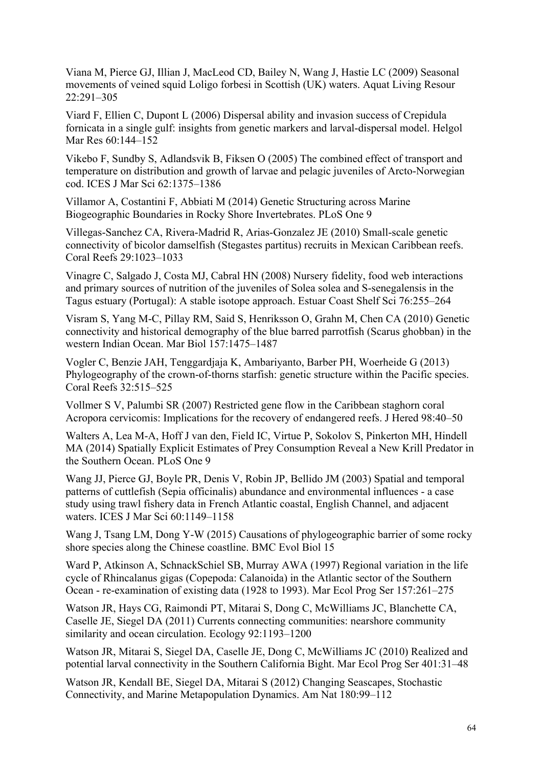Viana M, Pierce GJ, Illian J, MacLeod CD, Bailey N, Wang J, Hastie LC (2009) Seasonal movements of veined squid Loligo forbesi in Scottish (UK) waters. Aquat Living Resour 22:291–305

Viard F, Ellien C, Dupont L (2006) Dispersal ability and invasion success of Crepidula fornicata in a single gulf: insights from genetic markers and larval-dispersal model. Helgol Mar Res 60:144–152

Vikebo F, Sundby S, Adlandsvik B, Fiksen O (2005) The combined effect of transport and temperature on distribution and growth of larvae and pelagic juveniles of Arcto-Norwegian cod. ICES J Mar Sci 62:1375–1386

Villamor A, Costantini F, Abbiati M (2014) Genetic Structuring across Marine Biogeographic Boundaries in Rocky Shore Invertebrates. PLoS One 9

Villegas-Sanchez CA, Rivera-Madrid R, Arias-Gonzalez JE (2010) Small-scale genetic connectivity of bicolor damselfish (Stegastes partitus) recruits in Mexican Caribbean reefs. Coral Reefs 29:1023–1033

Vinagre C, Salgado J, Costa MJ, Cabral HN (2008) Nursery fidelity, food web interactions and primary sources of nutrition of the juveniles of Solea solea and S-senegalensis in the Tagus estuary (Portugal): A stable isotope approach. Estuar Coast Shelf Sci 76:255–264

Visram S, Yang M-C, Pillay RM, Said S, Henriksson O, Grahn M, Chen CA (2010) Genetic connectivity and historical demography of the blue barred parrotfish (Scarus ghobban) in the western Indian Ocean. Mar Biol 157:1475–1487

Vogler C, Benzie JAH, Tenggardjaja K, Ambariyanto, Barber PH, Woerheide G (2013) Phylogeography of the crown-of-thorns starfish: genetic structure within the Pacific species. Coral Reefs 32:515–525

Vollmer S V, Palumbi SR (2007) Restricted gene flow in the Caribbean staghorn coral Acropora cervicomis: Implications for the recovery of endangered reefs. J Hered 98:40–50

Walters A, Lea M-A, Hoff J van den, Field IC, Virtue P, Sokolov S, Pinkerton MH, Hindell MA (2014) Spatially Explicit Estimates of Prey Consumption Reveal a New Krill Predator in the Southern Ocean. PLoS One 9

Wang JJ, Pierce GJ, Boyle PR, Denis V, Robin JP, Bellido JM (2003) Spatial and temporal patterns of cuttlefish (Sepia officinalis) abundance and environmental influences - a case study using trawl fishery data in French Atlantic coastal, English Channel, and adjacent waters. ICES J Mar Sci 60:1149–1158

Wang J, Tsang LM, Dong Y-W (2015) Causations of phylogeographic barrier of some rocky shore species along the Chinese coastline. BMC Evol Biol 15

Ward P, Atkinson A, SchnackSchiel SB, Murray AWA (1997) Regional variation in the life cycle of Rhincalanus gigas (Copepoda: Calanoida) in the Atlantic sector of the Southern Ocean - re-examination of existing data (1928 to 1993). Mar Ecol Prog Ser 157:261–275

Watson JR, Hays CG, Raimondi PT, Mitarai S, Dong C, McWilliams JC, Blanchette CA, Caselle JE, Siegel DA (2011) Currents connecting communities: nearshore community similarity and ocean circulation. Ecology 92:1193–1200

Watson JR, Mitarai S, Siegel DA, Caselle JE, Dong C, McWilliams JC (2010) Realized and potential larval connectivity in the Southern California Bight. Mar Ecol Prog Ser 401:31–48

Watson JR, Kendall BE, Siegel DA, Mitarai S (2012) Changing Seascapes, Stochastic Connectivity, and Marine Metapopulation Dynamics. Am Nat 180:99–112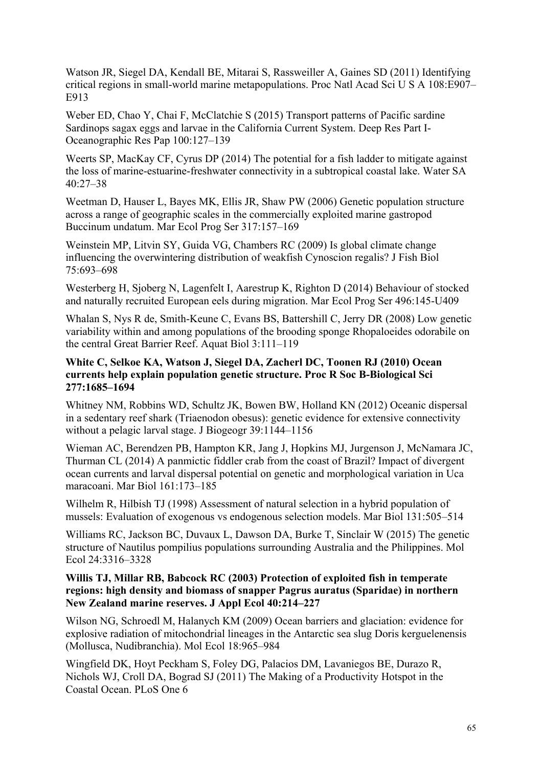Watson JR, Siegel DA, Kendall BE, Mitarai S, Rassweiller A, Gaines SD (2011) Identifying critical regions in small-world marine metapopulations. Proc Natl Acad Sci U S A 108:E907– E913

Weber ED, Chao Y, Chai F, McClatchie S (2015) Transport patterns of Pacific sardine Sardinops sagax eggs and larvae in the California Current System. Deep Res Part I-Oceanographic Res Pap 100:127–139

Weerts SP, MacKay CF, Cyrus DP (2014) The potential for a fish ladder to mitigate against the loss of marine-estuarine-freshwater connectivity in a subtropical coastal lake. Water SA 40:27–38

Weetman D, Hauser L, Bayes MK, Ellis JR, Shaw PW (2006) Genetic population structure across a range of geographic scales in the commercially exploited marine gastropod Buccinum undatum. Mar Ecol Prog Ser 317:157–169

Weinstein MP, Litvin SY, Guida VG, Chambers RC (2009) Is global climate change influencing the overwintering distribution of weakfish Cynoscion regalis? J Fish Biol 75:693–698

Westerberg H, Sjoberg N, Lagenfelt I, Aarestrup K, Righton D (2014) Behaviour of stocked and naturally recruited European eels during migration. Mar Ecol Prog Ser 496:145-U409

Whalan S, Nys R de, Smith-Keune C, Evans BS, Battershill C, Jerry DR (2008) Low genetic variability within and among populations of the brooding sponge Rhopaloeides odorabile on the central Great Barrier Reef. Aquat Biol 3:111–119

#### **White C, Selkoe KA, Watson J, Siegel DA, Zacherl DC, Toonen RJ (2010) Ocean currents help explain population genetic structure. Proc R Soc B-Biological Sci 277:1685–1694**

Whitney NM, Robbins WD, Schultz JK, Bowen BW, Holland KN (2012) Oceanic dispersal in a sedentary reef shark (Triaenodon obesus): genetic evidence for extensive connectivity without a pelagic larval stage. J Biogeogr 39:1144–1156

Wieman AC, Berendzen PB, Hampton KR, Jang J, Hopkins MJ, Jurgenson J, McNamara JC, Thurman CL (2014) A panmictic fiddler crab from the coast of Brazil? Impact of divergent ocean currents and larval dispersal potential on genetic and morphological variation in Uca maracoani. Mar Biol 161:173–185

Wilhelm R, Hilbish TJ (1998) Assessment of natural selection in a hybrid population of mussels: Evaluation of exogenous vs endogenous selection models. Mar Biol 131:505–514

Williams RC, Jackson BC, Duvaux L, Dawson DA, Burke T, Sinclair W (2015) The genetic structure of Nautilus pompilius populations surrounding Australia and the Philippines. Mol Ecol 24:3316–3328

# **Willis TJ, Millar RB, Babcock RC (2003) Protection of exploited fish in temperate regions: high density and biomass of snapper Pagrus auratus (Sparidae) in northern New Zealand marine reserves. J Appl Ecol 40:214–227**

Wilson NG, Schroedl M, Halanych KM (2009) Ocean barriers and glaciation: evidence for explosive radiation of mitochondrial lineages in the Antarctic sea slug Doris kerguelenensis (Mollusca, Nudibranchia). Mol Ecol 18:965–984

Wingfield DK, Hoyt Peckham S, Foley DG, Palacios DM, Lavaniegos BE, Durazo R, Nichols WJ, Croll DA, Bograd SJ (2011) The Making of a Productivity Hotspot in the Coastal Ocean. PLoS One 6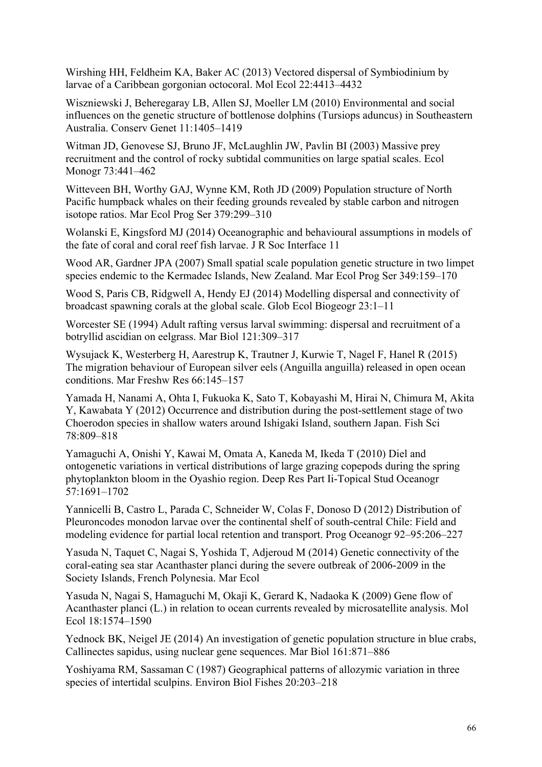Wirshing HH, Feldheim KA, Baker AC (2013) Vectored dispersal of Symbiodinium by larvae of a Caribbean gorgonian octocoral. Mol Ecol 22:4413–4432

Wiszniewski J, Beheregaray LB, Allen SJ, Moeller LM (2010) Environmental and social influences on the genetic structure of bottlenose dolphins (Tursiops aduncus) in Southeastern Australia. Conserv Genet 11:1405–1419

Witman JD, Genovese SJ, Bruno JF, McLaughlin JW, Pavlin BI (2003) Massive prey recruitment and the control of rocky subtidal communities on large spatial scales. Ecol Monogr 73:441–462

Witteveen BH, Worthy GAJ, Wynne KM, Roth JD (2009) Population structure of North Pacific humpback whales on their feeding grounds revealed by stable carbon and nitrogen isotope ratios. Mar Ecol Prog Ser 379:299–310

Wolanski E, Kingsford MJ (2014) Oceanographic and behavioural assumptions in models of the fate of coral and coral reef fish larvae. J R Soc Interface 11

Wood AR, Gardner JPA (2007) Small spatial scale population genetic structure in two limpet species endemic to the Kermadec Islands, New Zealand. Mar Ecol Prog Ser 349:159–170

Wood S, Paris CB, Ridgwell A, Hendy EJ (2014) Modelling dispersal and connectivity of broadcast spawning corals at the global scale. Glob Ecol Biogeogr 23:1–11

Worcester SE (1994) Adult rafting versus larval swimming: dispersal and recruitment of a botryllid ascidian on eelgrass. Mar Biol 121:309–317

Wysujack K, Westerberg H, Aarestrup K, Trautner J, Kurwie T, Nagel F, Hanel R (2015) The migration behaviour of European silver eels (Anguilla anguilla) released in open ocean conditions. Mar Freshw Res 66:145–157

Yamada H, Nanami A, Ohta I, Fukuoka K, Sato T, Kobayashi M, Hirai N, Chimura M, Akita Y, Kawabata Y (2012) Occurrence and distribution during the post-settlement stage of two Choerodon species in shallow waters around Ishigaki Island, southern Japan. Fish Sci 78:809–818

Yamaguchi A, Onishi Y, Kawai M, Omata A, Kaneda M, Ikeda T (2010) Diel and ontogenetic variations in vertical distributions of large grazing copepods during the spring phytoplankton bloom in the Oyashio region. Deep Res Part Ii-Topical Stud Oceanogr 57:1691–1702

Yannicelli B, Castro L, Parada C, Schneider W, Colas F, Donoso D (2012) Distribution of Pleuroncodes monodon larvae over the continental shelf of south-central Chile: Field and modeling evidence for partial local retention and transport. Prog Oceanogr 92–95:206–227

Yasuda N, Taquet C, Nagai S, Yoshida T, Adjeroud M (2014) Genetic connectivity of the coral-eating sea star Acanthaster planci during the severe outbreak of 2006-2009 in the Society Islands, French Polynesia. Mar Ecol

Yasuda N, Nagai S, Hamaguchi M, Okaji K, Gerard K, Nadaoka K (2009) Gene flow of Acanthaster planci (L.) in relation to ocean currents revealed by microsatellite analysis. Mol Ecol 18:1574–1590

Yednock BK, Neigel JE (2014) An investigation of genetic population structure in blue crabs, Callinectes sapidus, using nuclear gene sequences. Mar Biol 161:871–886

Yoshiyama RM, Sassaman C (1987) Geographical patterns of allozymic variation in three species of intertidal sculpins. Environ Biol Fishes 20:203–218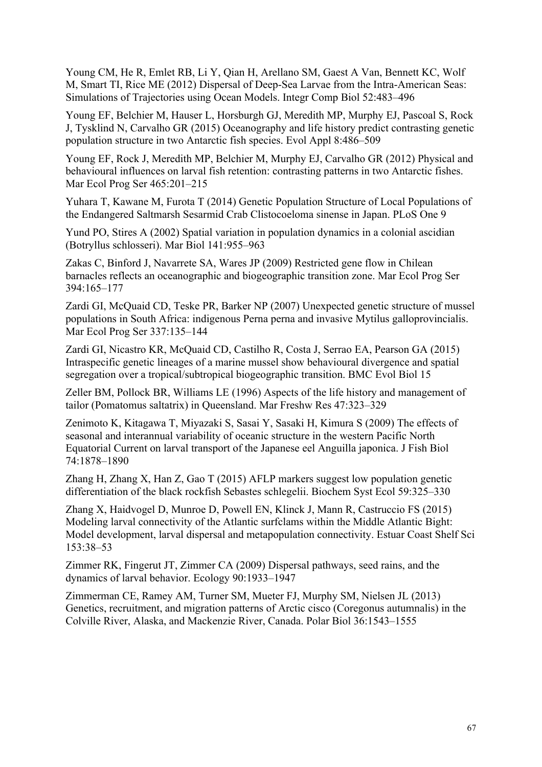Young CM, He R, Emlet RB, Li Y, Qian H, Arellano SM, Gaest A Van, Bennett KC, Wolf M, Smart TI, Rice ME (2012) Dispersal of Deep-Sea Larvae from the Intra-American Seas: Simulations of Trajectories using Ocean Models. Integr Comp Biol 52:483–496

Young EF, Belchier M, Hauser L, Horsburgh GJ, Meredith MP, Murphy EJ, Pascoal S, Rock J, Tysklind N, Carvalho GR (2015) Oceanography and life history predict contrasting genetic population structure in two Antarctic fish species. Evol Appl 8:486–509

Young EF, Rock J, Meredith MP, Belchier M, Murphy EJ, Carvalho GR (2012) Physical and behavioural influences on larval fish retention: contrasting patterns in two Antarctic fishes. Mar Ecol Prog Ser 465:201–215

Yuhara T, Kawane M, Furota T (2014) Genetic Population Structure of Local Populations of the Endangered Saltmarsh Sesarmid Crab Clistocoeloma sinense in Japan. PLoS One 9

Yund PO, Stires A (2002) Spatial variation in population dynamics in a colonial ascidian (Botryllus schlosseri). Mar Biol 141:955–963

Zakas C, Binford J, Navarrete SA, Wares JP (2009) Restricted gene flow in Chilean barnacles reflects an oceanographic and biogeographic transition zone. Mar Ecol Prog Ser 394:165–177

Zardi GI, McQuaid CD, Teske PR, Barker NP (2007) Unexpected genetic structure of mussel populations in South Africa: indigenous Perna perna and invasive Mytilus galloprovincialis. Mar Ecol Prog Ser 337:135–144

Zardi GI, Nicastro KR, McQuaid CD, Castilho R, Costa J, Serrao EA, Pearson GA (2015) Intraspecific genetic lineages of a marine mussel show behavioural divergence and spatial segregation over a tropical/subtropical biogeographic transition. BMC Evol Biol 15

Zeller BM, Pollock BR, Williams LE (1996) Aspects of the life history and management of tailor (Pomatomus saltatrix) in Queensland. Mar Freshw Res 47:323–329

Zenimoto K, Kitagawa T, Miyazaki S, Sasai Y, Sasaki H, Kimura S (2009) The effects of seasonal and interannual variability of oceanic structure in the western Pacific North Equatorial Current on larval transport of the Japanese eel Anguilla japonica. J Fish Biol 74:1878–1890

Zhang H, Zhang X, Han Z, Gao T (2015) AFLP markers suggest low population genetic differentiation of the black rockfish Sebastes schlegelii. Biochem Syst Ecol 59:325–330

Zhang X, Haidvogel D, Munroe D, Powell EN, Klinck J, Mann R, Castruccio FS (2015) Modeling larval connectivity of the Atlantic surfclams within the Middle Atlantic Bight: Model development, larval dispersal and metapopulation connectivity. Estuar Coast Shelf Sci 153:38–53

Zimmer RK, Fingerut JT, Zimmer CA (2009) Dispersal pathways, seed rains, and the dynamics of larval behavior. Ecology 90:1933–1947

Zimmerman CE, Ramey AM, Turner SM, Mueter FJ, Murphy SM, Nielsen JL (2013) Genetics, recruitment, and migration patterns of Arctic cisco (Coregonus autumnalis) in the Colville River, Alaska, and Mackenzie River, Canada. Polar Biol 36:1543–1555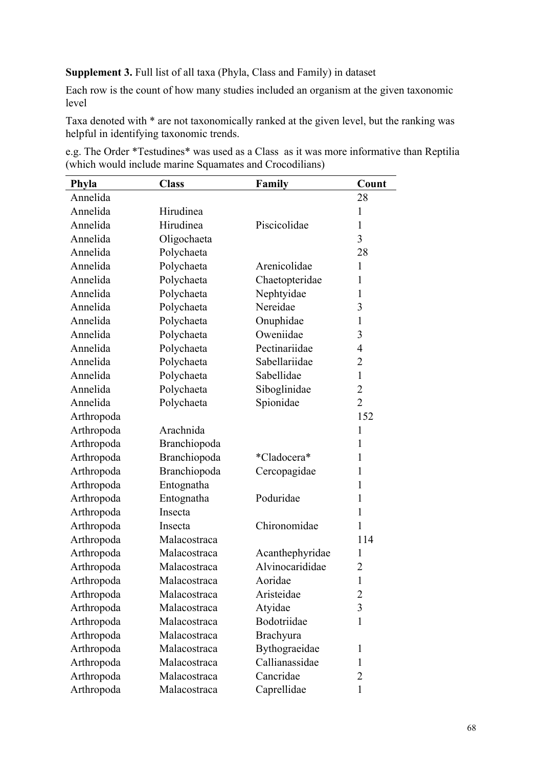**Supplement 3.** Full list of all taxa (Phyla, Class and Family) in dataset

Each row is the count of how many studies included an organism at the given taxonomic level

Taxa denoted with \* are not taxonomically ranked at the given level, but the ranking was helpful in identifying taxonomic trends.

|  | e.g. The Order *Testudines* was used as a Class as it was more informative than Reptilia |  |  |  |
|--|------------------------------------------------------------------------------------------|--|--|--|
|  | (which would include marine Squamates and Crocodilians)                                  |  |  |  |

| Phyla      | <b>Class</b> | Family          | Count          |
|------------|--------------|-----------------|----------------|
| Annelida   |              |                 | 28             |
| Annelida   | Hirudinea    |                 | $\mathbf{1}$   |
| Annelida   | Hirudinea    | Piscicolidae    | $\mathbf{1}$   |
| Annelida   | Oligochaeta  |                 | 3              |
| Annelida   | Polychaeta   |                 | 28             |
| Annelida   | Polychaeta   | Arenicolidae    | $\mathbf{1}$   |
| Annelida   | Polychaeta   | Chaetopteridae  | $\mathbf{1}$   |
| Annelida   | Polychaeta   | Nephtyidae      | $\mathbf{1}$   |
| Annelida   | Polychaeta   | Nereidae        | 3              |
| Annelida   | Polychaeta   | Onuphidae       | $\mathbf{1}$   |
| Annelida   | Polychaeta   | Oweniidae       | 3              |
| Annelida   | Polychaeta   | Pectinariidae   | $\overline{4}$ |
| Annelida   | Polychaeta   | Sabellariidae   | $\overline{2}$ |
| Annelida   | Polychaeta   | Sabellidae      | $\mathbf{1}$   |
| Annelida   | Polychaeta   | Siboglinidae    | $\overline{2}$ |
| Annelida   | Polychaeta   | Spionidae       | $\overline{2}$ |
| Arthropoda |              |                 | 152            |
| Arthropoda | Arachnida    |                 | 1              |
| Arthropoda | Branchiopoda |                 | $\mathbf{1}$   |
| Arthropoda | Branchiopoda | *Cladocera*     | $\mathbf{1}$   |
| Arthropoda | Branchiopoda | Cercopagidae    | $\mathbf{1}$   |
| Arthropoda | Entognatha   |                 | $\mathbf{1}$   |
| Arthropoda | Entognatha   | Poduridae       | $\mathbf{1}$   |
| Arthropoda | Insecta      |                 | $\mathbf{1}$   |
| Arthropoda | Insecta      | Chironomidae    | 1              |
| Arthropoda | Malacostraca |                 | 114            |
| Arthropoda | Malacostraca | Acanthephyridae | $\mathbf{1}$   |
| Arthropoda | Malacostraca | Alvinocarididae | $\overline{2}$ |
| Arthropoda | Malacostraca | Aoridae         | 1              |
| Arthropoda | Malacostraca | Aristeidae      | $\overline{2}$ |
| Arthropoda | Malacostraca | Atyidae         | 3              |
| Arthropoda | Malacostraca | Bodotriidae     | $\mathbf{1}$   |
| Arthropoda | Malacostraca | Brachyura       |                |
| Arthropoda | Malacostraca | Bythograeidae   | $\mathbf{1}$   |
| Arthropoda | Malacostraca | Callianassidae  | $\mathbf{1}$   |
| Arthropoda | Malacostraca | Cancridae       | $\overline{2}$ |
| Arthropoda | Malacostraca | Caprellidae     | $\mathbf{1}$   |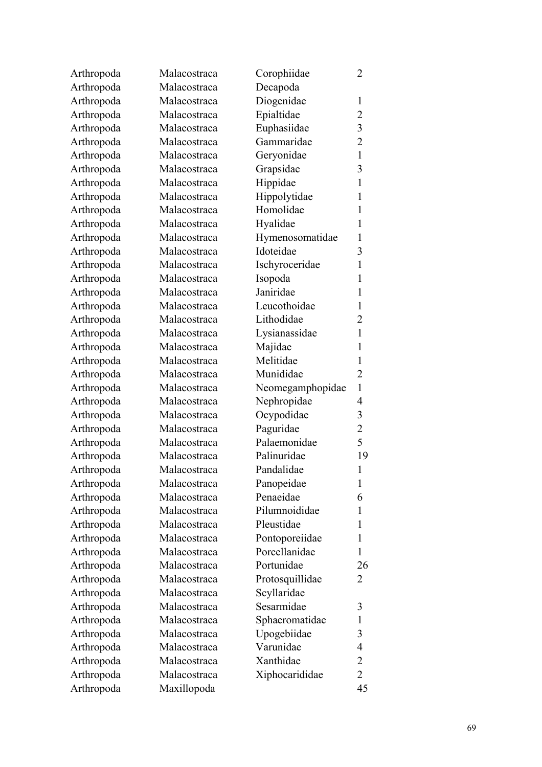| Arthropoda | Malacostraca | Corophiidae             | $\overline{2}$ |
|------------|--------------|-------------------------|----------------|
| Arthropoda | Malacostraca | Decapoda                |                |
| Arthropoda | Malacostraca | Diogenidae              | 1              |
| Arthropoda | Malacostraca | Epialtidae              | $\overline{2}$ |
| Arthropoda | Malacostraca | Euphasiidae             | 3              |
| Arthropoda | Malacostraca | Gammaridae              | $\overline{2}$ |
| Arthropoda | Malacostraca | Geryonidae              | $\mathbf{1}$   |
| Arthropoda | Malacostraca | Grapsidae               | 3              |
| Arthropoda | Malacostraca | Hippidae                | 1              |
| Arthropoda | Malacostraca | Hippolytidae            | 1              |
| Arthropoda | Malacostraca | Homolidae               | 1              |
| Arthropoda | Malacostraca | Hyalidae                | 1              |
| Arthropoda | Malacostraca | Hymenosomatidae         | 1              |
| Arthropoda | Malacostraca | Idoteidae               | 3              |
| Arthropoda | Malacostraca | Ischyroceridae          | 1              |
| Arthropoda | Malacostraca | Isopoda                 | 1              |
| Arthropoda | Malacostraca | Janiridae               | 1              |
| Arthropoda | Malacostraca | Leucothoidae            | 1              |
| Arthropoda | Malacostraca | Lithodidae              | $\overline{2}$ |
| Arthropoda | Malacostraca | Lysianassidae           | 1              |
| Arthropoda | Malacostraca | Majidae                 | 1              |
| Arthropoda | Malacostraca | Melitidae               | 1              |
| Arthropoda | Malacostraca | Munididae               | $\overline{2}$ |
| Arthropoda | Malacostraca | Neomegamphopidae        | $\mathbf{1}$   |
| Arthropoda | Malacostraca | Nephropidae             | 4              |
| Arthropoda | Malacostraca | Ocypodidae              | 3              |
| Arthropoda | Malacostraca | Paguridae               | $\overline{2}$ |
| Arthropoda | Malacostraca | Palaemonidae            | 5              |
| Arthropoda | Malacostraca | Palinuridae             | 19             |
| Arthropoda | Malacostraca | Pandalidae              | $\mathbf{1}$   |
|            | Malacostraca |                         | 1              |
| Arthropoda | Malacostraca | Panopeidae<br>Penaeidae |                |
| Arthropoda |              | Pilumnoididae           | 6              |
| Arthropoda | Malacostraca |                         | 1              |
| Arthropoda | Malacostraca | Pleustidae              | 1              |
| Arthropoda | Malacostraca | Pontoporeiidae          | 1              |
| Arthropoda | Malacostraca | Porcellanidae           | 1              |
| Arthropoda | Malacostraca | Portunidae              | 26             |
| Arthropoda | Malacostraca | Protosquillidae         | 2              |
| Arthropoda | Malacostraca | Scyllaridae             |                |
| Arthropoda | Malacostraca | Sesarmidae              | 3              |
| Arthropoda | Malacostraca | Sphaeromatidae          | 1              |
| Arthropoda | Malacostraca | Upogebiidae             | 3              |
| Arthropoda | Malacostraca | Varunidae               | 4              |
| Arthropoda | Malacostraca | Xanthidae               | $\overline{2}$ |
| Arthropoda | Malacostraca | Xiphocarididae          | $\overline{2}$ |
| Arthropoda | Maxillopoda  |                         | 45             |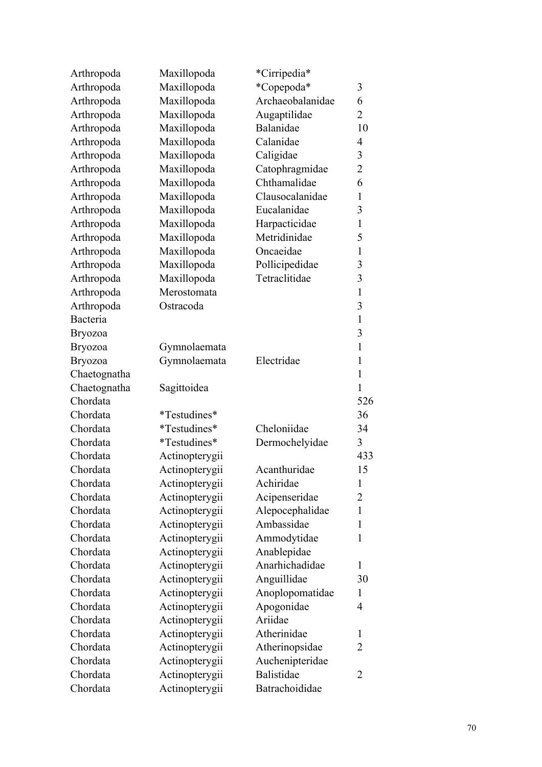| Arthropoda     | Maxillopoda    | *Cirripedia*     |                |
|----------------|----------------|------------------|----------------|
| Arthropoda     | Maxillopoda    | *Copepoda*       | 3              |
| Arthropoda     | Maxillopoda    | Archaeobalanidae | 6              |
| Arthropoda     | Maxillopoda    | Augaptilidae     | $\overline{2}$ |
| Arthropoda     | Maxillopoda    | Balanidae        | 10             |
| Arthropoda     | Maxillopoda    | Calanidae        | $\overline{4}$ |
| Arthropoda     | Maxillopoda    | Caligidae        | 3              |
| Arthropoda     | Maxillopoda    | Catophragmidae   | $\overline{2}$ |
| Arthropoda     | Maxillopoda    | Chthamalidae     | 6              |
| Arthropoda     | Maxillopoda    | Clausocalanidae  | $\mathbf{1}$   |
| Arthropoda     | Maxillopoda    | Eucalanidae      | 3              |
| Arthropoda     | Maxillopoda    | Harpacticidae    | $\mathbf{1}$   |
| Arthropoda     | Maxillopoda    | Metridinidae     | 5              |
| Arthropoda     | Maxillopoda    | Oncaeidae        | $\mathbf{1}$   |
| Arthropoda     | Maxillopoda    | Pollicipedidae   | 3              |
| Arthropoda     | Maxillopoda    | Tetraclitidae    | 3              |
| Arthropoda     | Merostomata    |                  | $\mathbf{1}$   |
| Arthropoda     | Ostracoda      |                  | 3              |
| Bacteria       |                |                  | $\mathbf{1}$   |
| <b>Bryozoa</b> |                |                  | 3              |
| <b>Bryozoa</b> | Gymnolaemata   |                  | $\mathbf{1}$   |
| <b>Bryozoa</b> | Gymnolaemata   | Electridae       | $\mathbf{1}$   |
| Chaetognatha   |                |                  | $\mathbf{1}$   |
| Chaetognatha   | Sagittoidea    |                  | $\mathbf{1}$   |
| Chordata       |                |                  | 526            |
| Chordata       | *Testudines*   |                  | 36             |
| Chordata       | *Testudines*   | Cheloniidae      | 34             |
| Chordata       | *Testudines*   | Dermochelyidae   | 3              |
| Chordata       | Actinopterygii |                  | 433            |
| Chordata       | Actinopterygii | Acanthuridae     | 15             |
| Chordata       | Actinopterygii | Achiridae        | 1              |
| Chordata       | Actinopterygii | Acipenseridae    | $\overline{2}$ |
| Chordata       | Actinopterygii | Alepocephalidae  | 1              |
| Chordata       | Actinopterygii | Ambassidae       | 1              |
| Chordata       | Actinopterygii | Ammodytidae      | 1              |
| Chordata       | Actinopterygii | Anablepidae      |                |
| Chordata       | Actinopterygii | Anarhichadidae   | $\mathbf{1}$   |
| Chordata       | Actinopterygii | Anguillidae      | 30             |
| Chordata       | Actinopterygii | Anoplopomatidae  | 1              |
| Chordata       | Actinopterygii | Apogonidae       | $\overline{4}$ |
| Chordata       | Actinopterygii | Ariidae          |                |
| Chordata       | Actinopterygii | Atherinidae      | 1              |
| Chordata       | Actinopterygii | Atherinopsidae   | 2              |
| Chordata       | Actinopterygii | Auchenipteridae  |                |
| Chordata       | Actinopterygii | Balistidae       | 2              |
| Chordata       | Actinopterygii | Batrachoididae   |                |
|                |                |                  |                |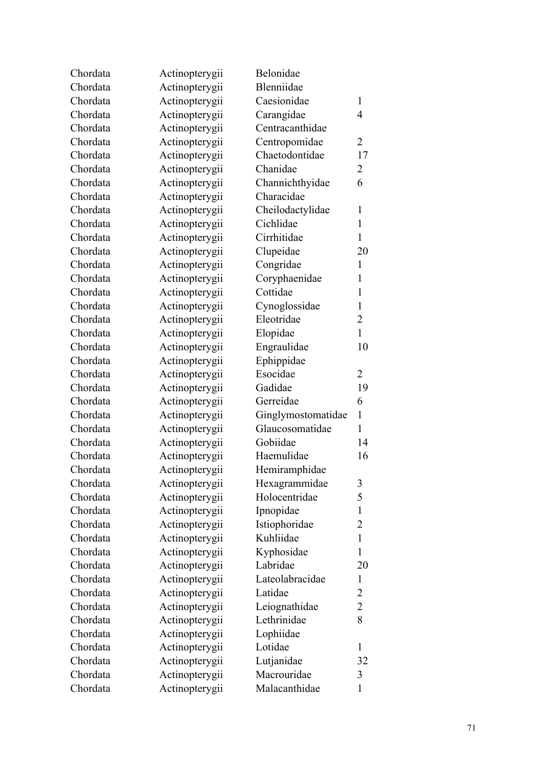| Chordata | Actinopterygii | Belonidae          |                |
|----------|----------------|--------------------|----------------|
| Chordata | Actinopterygii | Blenniidae         |                |
| Chordata | Actinopterygii | Caesionidae        | 1              |
| Chordata | Actinopterygii | Carangidae         | $\overline{4}$ |
| Chordata | Actinopterygii | Centracanthidae    |                |
| Chordata | Actinopterygii | Centropomidae      | $\overline{2}$ |
| Chordata | Actinopterygii | Chaetodontidae     | 17             |
| Chordata | Actinopterygii | Chanidae           | $\overline{2}$ |
| Chordata | Actinopterygii | Channichthyidae    | 6              |
| Chordata | Actinopterygii | Characidae         |                |
| Chordata | Actinopterygii | Cheilodactylidae   | 1              |
| Chordata | Actinopterygii | Cichlidae          | $\mathbf{1}$   |
| Chordata | Actinopterygii | Cirrhitidae        | $\mathbf{1}$   |
| Chordata | Actinopterygii | Clupeidae          | 20             |
| Chordata | Actinopterygii | Congridae          | 1              |
| Chordata | Actinopterygii | Coryphaenidae      | $\mathbf{1}$   |
| Chordata | Actinopterygii | Cottidae           | $\mathbf{1}$   |
| Chordata | Actinopterygii | Cynoglossidae      | $\mathbf{1}$   |
| Chordata | Actinopterygii | Eleotridae         | $\overline{2}$ |
| Chordata | Actinopterygii | Elopidae           | $\mathbf{1}$   |
| Chordata | Actinopterygii | Engraulidae        | 10             |
| Chordata | Actinopterygii | Ephippidae         |                |
| Chordata | Actinopterygii | Esocidae           | $\overline{2}$ |
| Chordata | Actinopterygii | Gadidae            | 19             |
| Chordata | Actinopterygii | Gerreidae          | 6              |
| Chordata | Actinopterygii | Ginglymostomatidae | $\mathbf{1}$   |
| Chordata | Actinopterygii | Glaucosomatidae    | $\mathbf{1}$   |
| Chordata | Actinopterygii | Gobiidae           | 14             |
| Chordata | Actinopterygii | Haemulidae         | 16             |
| Chordata | Actinopterygii | Hemiramphidae      |                |
| Chordata | Actinopterygii | Hexagrammidae      | 3              |
| Chordata | Actinopterygii | Holocentridae      | 5              |
| Chordata | Actinopterygii | Ipnopidae          | $\mathbf{1}$   |
| Chordata | Actinopterygii | Istiophoridae      | $\overline{2}$ |
| Chordata | Actinopterygii | Kuhliidae          | $\mathbf{1}$   |
| Chordata | Actinopterygii | Kyphosidae         | $\mathbf{1}$   |
| Chordata | Actinopterygii | Labridae           | 20             |
| Chordata | Actinopterygii | Lateolabracidae    | $\mathbf{1}$   |
| Chordata | Actinopterygii | Latidae            | $\overline{2}$ |
| Chordata | Actinopterygii | Leiognathidae      | $\overline{2}$ |
| Chordata | Actinopterygii | Lethrinidae        | 8              |
| Chordata | Actinopterygii | Lophiidae          |                |
| Chordata | Actinopterygii | Lotidae            | 1              |
| Chordata | Actinopterygii | Lutjanidae         | 32             |
| Chordata | Actinopterygii | Macrouridae        | 3              |
| Chordata | Actinopterygii | Malacanthidae      | $\mathbf{1}$   |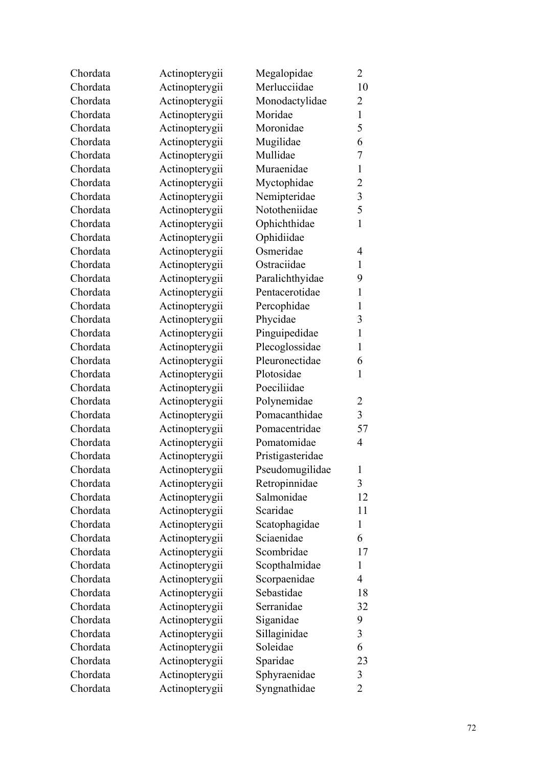| Chordata | Actinopterygii | Megalopidae      | $\overline{2}$          |
|----------|----------------|------------------|-------------------------|
| Chordata | Actinopterygii | Merlucciidae     | 10                      |
| Chordata | Actinopterygii | Monodactylidae   | $\overline{2}$          |
| Chordata | Actinopterygii | Moridae          | $\mathbf{1}$            |
| Chordata | Actinopterygii | Moronidae        | 5                       |
| Chordata | Actinopterygii | Mugilidae        | 6                       |
| Chordata | Actinopterygii | Mullidae         | $\overline{7}$          |
| Chordata | Actinopterygii | Muraenidae       | $\mathbf{1}$            |
| Chordata | Actinopterygii | Myctophidae      | $\overline{2}$          |
| Chordata | Actinopterygii | Nemipteridae     | $\overline{\mathbf{3}}$ |
| Chordata | Actinopterygii | Nototheniidae    | 5                       |
| Chordata | Actinopterygii | Ophichthidae     | $\mathbf{1}$            |
| Chordata | Actinopterygii | Ophidiidae       |                         |
| Chordata | Actinopterygii | Osmeridae        | $\overline{4}$          |
| Chordata | Actinopterygii | Ostraciidae      | $\mathbf{1}$            |
| Chordata | Actinopterygii | Paralichthyidae  | 9                       |
| Chordata | Actinopterygii | Pentacerotidae   | $\mathbf{1}$            |
| Chordata | Actinopterygii | Percophidae      | $\mathbf{1}$            |
| Chordata | Actinopterygii | Phycidae         | 3                       |
| Chordata | Actinopterygii | Pinguipedidae    | $\mathbf{1}$            |
| Chordata | Actinopterygii | Plecoglossidae   | $\mathbf{1}$            |
| Chordata | Actinopterygii | Pleuronectidae   | 6                       |
| Chordata | Actinopterygii | Plotosidae       | $\mathbf{1}$            |
| Chordata | Actinopterygii | Poeciliidae      |                         |
| Chordata | Actinopterygii | Polynemidae      | 2                       |
| Chordata | Actinopterygii | Pomacanthidae    | 3                       |
| Chordata | Actinopterygii | Pomacentridae    | 57                      |
| Chordata | Actinopterygii | Pomatomidae      | $\overline{4}$          |
| Chordata | Actinopterygii | Pristigasteridae |                         |
| Chordata | Actinopterygii | Pseudomugilidae  | 1                       |
| Chordata | Actinopterygii | Retropinnidae    | 3                       |
| Chordata | Actinopterygii | Salmonidae       | 12                      |
| Chordata | Actinopterygii | Scaridae         | 11                      |
| Chordata | Actinopterygii | Scatophagidae    | 1                       |
| Chordata | Actinopterygii | Sciaenidae       | 6                       |
| Chordata | Actinopterygii | Scombridae       | 17                      |
| Chordata | Actinopterygii | Scopthalmidae    | 1                       |
| Chordata | Actinopterygii | Scorpaenidae     | $\overline{4}$          |
| Chordata | Actinopterygii | Sebastidae       | 18                      |
| Chordata | Actinopterygii | Serranidae       | 32                      |
| Chordata | Actinopterygii | Siganidae        | 9                       |
| Chordata | Actinopterygii | Sillaginidae     | 3                       |
| Chordata | Actinopterygii | Soleidae         | 6                       |
| Chordata | Actinopterygii | Sparidae         | 23                      |
| Chordata | Actinopterygii | Sphyraenidae     | 3                       |
| Chordata | Actinopterygii | Syngnathidae     | $\overline{2}$          |
|          |                |                  |                         |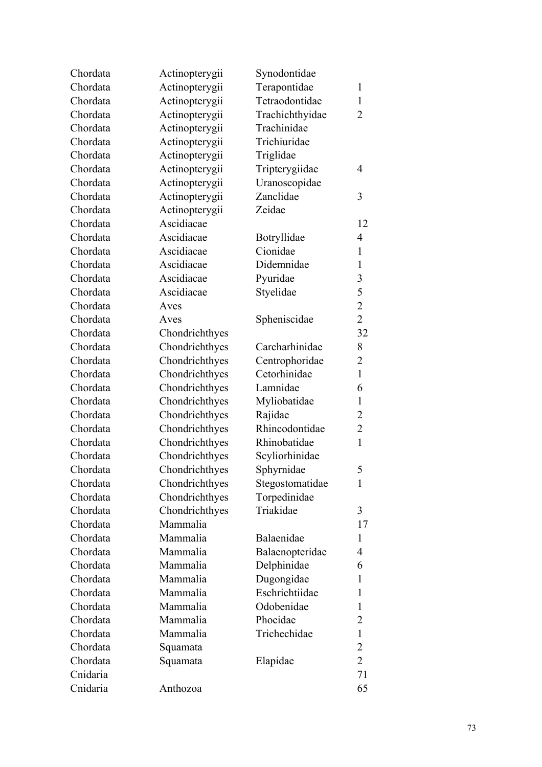| Chordata | Actinopterygii | Synodontidae    |                         |
|----------|----------------|-----------------|-------------------------|
| Chordata | Actinopterygii | Terapontidae    | 1                       |
| Chordata | Actinopterygii | Tetraodontidae  | $\mathbf{1}$            |
| Chordata | Actinopterygii | Trachichthyidae | $\overline{2}$          |
| Chordata | Actinopterygii | Trachinidae     |                         |
| Chordata | Actinopterygii | Trichiuridae    |                         |
| Chordata | Actinopterygii | Triglidae       |                         |
| Chordata | Actinopterygii | Tripterygiidae  | 4                       |
| Chordata | Actinopterygii | Uranoscopidae   |                         |
| Chordata | Actinopterygii | Zanclidae       | 3                       |
| Chordata | Actinopterygii | Zeidae          |                         |
| Chordata | Ascidiacae     |                 | 12                      |
| Chordata | Ascidiacae     | Botryllidae     | $\overline{4}$          |
| Chordata | Ascidiacae     | Cionidae        | $\mathbf{1}$            |
| Chordata | Ascidiacae     | Didemnidae      | $\mathbf{1}$            |
| Chordata | Ascidiacae     | Pyuridae        | $\overline{\mathbf{3}}$ |
| Chordata | Ascidiacae     | Styelidae       | 5                       |
| Chordata | Aves           |                 | $\overline{2}$          |
| Chordata | Aves           | Spheniscidae    | $\overline{2}$          |
| Chordata | Chondrichthyes |                 | 32                      |
| Chordata | Chondrichthyes | Carcharhinidae  | 8                       |
| Chordata | Chondrichthyes | Centrophoridae  | $\overline{c}$          |
| Chordata | Chondrichthyes | Cetorhinidae    | $\mathbf{1}$            |
| Chordata | Chondrichthyes | Lamnidae        | 6                       |
| Chordata | Chondrichthyes | Myliobatidae    | $\mathbf{1}$            |
| Chordata | Chondrichthyes | Rajidae         | $\overline{c}$          |
| Chordata | Chondrichthyes | Rhincodontidae  | $\overline{2}$          |
| Chordata | Chondrichthyes | Rhinobatidae    | $\mathbf{1}$            |
| Chordata | Chondrichthyes | Scyliorhinidae  |                         |
| Chordata | Chondrichthyes | Sphyrnidae      | 5                       |
| Chordata | Chondrichthyes | Stegostomatidae | 1                       |
| Chordata | Chondrichthyes | Torpedinidae    |                         |
| Chordata | Chondrichthyes | Triakidae       | 3                       |
| Chordata | Mammalia       |                 | 17                      |
| Chordata | Mammalia       | Balaenidae      | 1                       |
| Chordata | Mammalia       | Balaenopteridae | 4                       |
| Chordata | Mammalia       | Delphinidae     | 6                       |
| Chordata | Mammalia       | Dugongidae      | 1                       |
| Chordata | Mammalia       | Eschrichtiidae  | 1                       |
| Chordata | Mammalia       | Odobenidae      | 1                       |
| Chordata | Mammalia       | Phocidae        | $\overline{2}$          |
| Chordata | Mammalia       | Trichechidae    | $\mathbf{1}$            |
| Chordata | Squamata       |                 | $\overline{2}$          |
| Chordata | Squamata       | Elapidae        | $\overline{2}$          |
| Cnidaria |                |                 | 71                      |
| Cnidaria | Anthozoa       |                 | 65                      |
|          |                |                 |                         |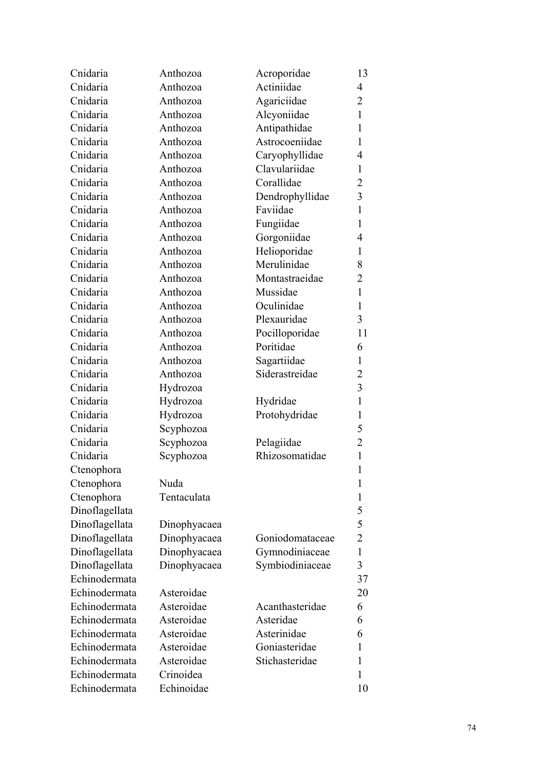| Cnidaria       | Anthozoa     | Acroporidae     | 13           |
|----------------|--------------|-----------------|--------------|
| Cnidaria       | Anthozoa     | Actiniidae      | 4            |
| Cnidaria       | Anthozoa     | Agariciidae     | 2            |
| Cnidaria       | Anthozoa     | Alcyoniidae     | $\mathbf{1}$ |
| Cnidaria       | Anthozoa     | Antipathidae    | 1            |
| Cnidaria       | Anthozoa     | Astrocoeniidae  | 1            |
| Cnidaria       | Anthozoa     | Caryophyllidae  | 4            |
| Cnidaria       | Anthozoa     | Clavulariidae   | 1            |
| Cnidaria       | Anthozoa     | Corallidae      | 2            |
| Cnidaria       | Anthozoa     | Dendrophyllidae | 3            |
| Cnidaria       | Anthozoa     | Faviidae        | $\mathbf{1}$ |
| Cnidaria       | Anthozoa     | Fungiidae       | 1            |
| Cnidaria       | Anthozoa     | Gorgoniidae     | 4            |
| Cnidaria       | Anthozoa     | Helioporidae    | 1            |
| Cnidaria       | Anthozoa     | Merulinidae     | 8            |
| Cnidaria       | Anthozoa     | Montastraeidae  | 2            |
| Cnidaria       | Anthozoa     | Mussidae        | $\mathbf{1}$ |
| Cnidaria       | Anthozoa     | Oculinidae      | 1            |
| Cnidaria       | Anthozoa     | Plexauridae     | 3            |
| Cnidaria       | Anthozoa     | Pocilloporidae  | 11           |
| Cnidaria       | Anthozoa     | Poritidae       | 6            |
| Cnidaria       | Anthozoa     | Sagartiidae     | $\mathbf{1}$ |
| Cnidaria       | Anthozoa     | Siderastreidae  | 2            |
| Cnidaria       | Hydrozoa     |                 | 3            |
| Cnidaria       | Hydrozoa     | Hydridae        | 1            |
| Cnidaria       | Hydrozoa     | Protohydridae   | 1            |
| Cnidaria       | Scyphozoa    |                 | 5            |
| Cnidaria       | Scyphozoa    | Pelagiidae      | 2            |
| Cnidaria       | Scyphozoa    | Rhizosomatidae  | $\mathbf{1}$ |
| Ctenophora     |              |                 | $\mathbf{1}$ |
| Ctenophora     | Nuda         |                 | 1            |
| Ctenophora     | Tentaculata  |                 | 1            |
| Dinoflagellata |              |                 | 5            |
| Dinoflagellata | Dinophyacaea |                 | 5            |
| Dinoflagellata | Dinophyacaea | Goniodomataceae | 2            |
| Dinoflagellata | Dinophyacaea | Gymnodiniaceae  | $\mathbf{1}$ |
| Dinoflagellata | Dinophyacaea | Symbiodiniaceae | 3            |
| Echinodermata  |              |                 | 37           |
| Echinodermata  | Asteroidae   |                 | 20           |
| Echinodermata  | Asteroidae   | Acanthasteridae | 6            |
| Echinodermata  | Asteroidae   | Asteridae       | 6            |
| Echinodermata  | Asteroidae   | Asterinidae     | 6            |
| Echinodermata  | Asteroidae   | Goniasteridae   | 1            |
| Echinodermata  | Asteroidae   | Stichasteridae  | 1            |
| Echinodermata  | Crinoidea    |                 | 1            |
| Echinodermata  | Echinoidae   |                 | 10           |
|                |              |                 |              |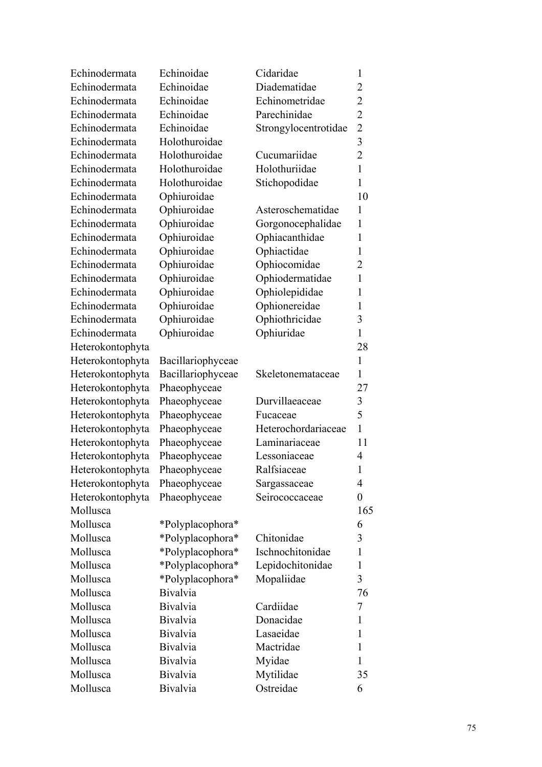| Echinodermata    | Echinoidae        | Cidaridae            | $\mathbf{1}$            |
|------------------|-------------------|----------------------|-------------------------|
| Echinodermata    | Echinoidae        | Diadematidae         | 2                       |
| Echinodermata    | Echinoidae        | Echinometridae       | $\overline{c}$          |
| Echinodermata    | Echinoidae        | Parechinidae         | $\overline{2}$          |
| Echinodermata    | Echinoidae        | Strongylocentrotidae | $\overline{2}$          |
| Echinodermata    | Holothuroidae     |                      | $\overline{\mathbf{3}}$ |
| Echinodermata    | Holothuroidae     | Cucumariidae         | $\overline{2}$          |
| Echinodermata    | Holothuroidae     | Holothuriidae        | $\mathbf{1}$            |
| Echinodermata    | Holothuroidae     | Stichopodidae        | $\mathbf{1}$            |
| Echinodermata    | Ophiuroidae       |                      | 10                      |
| Echinodermata    | Ophiuroidae       | Asteroschematidae    | $\mathbf{1}$            |
| Echinodermata    | Ophiuroidae       | Gorgonocephalidae    | 1                       |
| Echinodermata    | Ophiuroidae       | Ophiacanthidae       | 1                       |
| Echinodermata    | Ophiuroidae       | Ophiactidae          | $\mathbf{1}$            |
| Echinodermata    | Ophiuroidae       | Ophiocomidae         | 2                       |
| Echinodermata    | Ophiuroidae       | Ophiodermatidae      | $\mathbf{1}$            |
| Echinodermata    | Ophiuroidae       | Ophiolepididae       | 1                       |
| Echinodermata    | Ophiuroidae       | Ophionereidae        | $\mathbf{1}$            |
| Echinodermata    | Ophiuroidae       | Ophiothricidae       | 3                       |
| Echinodermata    | Ophiuroidae       | Ophiuridae           | $\mathbf{1}$            |
| Heterokontophyta |                   |                      | 28                      |
| Heterokontophyta | Bacillariophyceae |                      | $\mathbf{1}$            |
| Heterokontophyta | Bacillariophyceae | Skeletonemataceae    | $\mathbf{1}$            |
| Heterokontophyta | Phaeophyceae      |                      | 27                      |
| Heterokontophyta | Phaeophyceae      | Durvillaeaceae       | 3                       |
| Heterokontophyta | Phaeophyceae      | Fucaceae             | 5                       |
| Heterokontophyta | Phaeophyceae      | Heterochordariaceae  | $\mathbf{1}$            |
| Heterokontophyta | Phaeophyceae      | Laminariaceae        | 11                      |
| Heterokontophyta | Phaeophyceae      | Lessoniaceae         | 4                       |
| Heterokontophyta | Phaeophyceae      | Ralfsiaceae          | 1                       |
| Heterokontophyta | Phaeophyceae      | Sargassaceae         | 4                       |
| Heterokontophyta | Phaeophyceae      | Seirococcaceae       | $\boldsymbol{0}$        |
| Mollusca         |                   |                      | 165                     |
| Mollusca         | *Polyplacophora*  |                      | 6                       |
| Mollusca         | *Polyplacophora*  | Chitonidae           | 3                       |
| Mollusca         | *Polyplacophora*  | Ischnochitonidae     | $\mathbf{1}$            |
| Mollusca         | *Polyplacophora*  | Lepidochitonidae     | 1                       |
| Mollusca         | *Polyplacophora*  | Mopaliidae           | 3                       |
| Mollusca         | <b>Bivalvia</b>   |                      | 76                      |
| Mollusca         | <b>Bivalvia</b>   | Cardiidae            | 7                       |
| Mollusca         | <b>Bivalvia</b>   | Donacidae            | 1                       |
| Mollusca         | <b>Bivalvia</b>   | Lasaeidae            | 1                       |
| Mollusca         | <b>Bivalvia</b>   | Mactridae            | 1                       |
| Mollusca         | <b>Bivalvia</b>   | Myidae               | 1                       |
| Mollusca         | <b>Bivalvia</b>   | Mytilidae            | 35                      |
| Mollusca         | <b>Bivalvia</b>   | Ostreidae            | 6                       |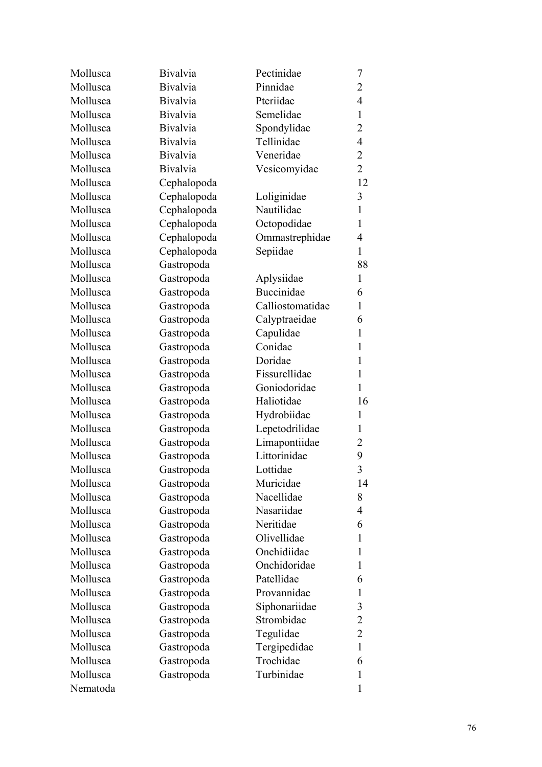| Pinnidae<br><b>Bivalvia</b><br>$\overline{2}$<br>Pteriidae<br>$\overline{4}$<br><b>Bivalvia</b><br><b>Bivalvia</b><br>Semelidae<br>$\mathbf{1}$<br><b>Bivalvia</b><br>Spondylidae<br>$\overline{2}$<br>Tellinidae<br>$\overline{4}$<br><b>Bivalvia</b><br><b>Bivalvia</b><br>Veneridae<br>$\overline{2}$<br>$\overline{2}$<br><b>Bivalvia</b><br>Vesicomyidae<br>Cephalopoda<br>12<br>$\overline{3}$<br>Cephalopoda<br>Loliginidae<br>$\mathbf{1}$<br>Cephalopoda<br>Nautilidae<br>Octopodidae<br>Cephalopoda<br>$\mathbf{1}$<br>Cephalopoda<br>Ommastrephidae<br>4<br>Cephalopoda<br>Sepiidae<br>$\mathbf{1}$<br>Gastropoda<br>88<br>Gastropoda<br>$\mathbf{1}$<br>Aplysiidae<br><b>Buccinidae</b><br>Gastropoda<br>6<br>Mollusca<br>Calliostomatidae<br>$\mathbf{1}$<br>Gastropoda<br>Mollusca<br>Gastropoda<br>Calyptraeidae<br>6<br>Mollusca<br>$\mathbf{1}$<br>Gastropoda<br>Capulidae<br>Conidae<br>Mollusca<br>Gastropoda<br>$\mathbf{1}$<br>Doridae<br>Mollusca<br>$\mathbf{1}$<br>Gastropoda<br>Mollusca<br>Fissurellidae<br>Gastropoda<br>$\mathbf{1}$<br>Mollusca<br>Goniodoridae<br>$\mathbf{1}$<br>Gastropoda<br>Mollusca<br>Haliotidae<br>Gastropoda<br>16<br>Hydrobiidae<br>$\mathbf{1}$<br>Gastropoda<br>Lepetodrilidae<br>Gastropoda<br>$\mathbf{1}$<br>Limapontiidae<br>Gastropoda<br>2<br>Littorinidae<br>Gastropoda<br>9<br>3<br>Lottidae<br>Gastropoda<br>Muricidae<br>14<br>Gastropoda<br>Nacellidae<br>Gastropoda<br>8<br>Nasariidae<br>Gastropoda<br>4<br>Neritidae<br>Gastropoda<br>6<br>Olivellidae<br>Gastropoda<br>1<br>Onchidiidae<br>Gastropoda<br>1<br>Onchidoridae<br>Gastropoda<br>1<br>Patellidae<br>Gastropoda<br>6<br>Provannidae<br>Gastropoda<br>$\mathbf{1}$<br>Siphonariidae<br>Gastropoda<br>3<br>Strombidae<br>2<br>Gastropoda<br>$\overline{2}$<br>Gastropoda<br>Tegulidae<br>Tergipedidae<br>$\mathbf{1}$<br>Gastropoda<br>Trochidae<br>Gastropoda<br>6<br>Turbinidae<br>Gastropoda<br>$\mathbf{1}$<br>1 | Mollusca | <b>Bivalvia</b> | Pectinidae | 7 |
|------------------------------------------------------------------------------------------------------------------------------------------------------------------------------------------------------------------------------------------------------------------------------------------------------------------------------------------------------------------------------------------------------------------------------------------------------------------------------------------------------------------------------------------------------------------------------------------------------------------------------------------------------------------------------------------------------------------------------------------------------------------------------------------------------------------------------------------------------------------------------------------------------------------------------------------------------------------------------------------------------------------------------------------------------------------------------------------------------------------------------------------------------------------------------------------------------------------------------------------------------------------------------------------------------------------------------------------------------------------------------------------------------------------------------------------------------------------------------------------------------------------------------------------------------------------------------------------------------------------------------------------------------------------------------------------------------------------------------------------------------------------------------------------------------------------------------------------------------------------------------------------------------------------------------------------------------|----------|-----------------|------------|---|
|                                                                                                                                                                                                                                                                                                                                                                                                                                                                                                                                                                                                                                                                                                                                                                                                                                                                                                                                                                                                                                                                                                                                                                                                                                                                                                                                                                                                                                                                                                                                                                                                                                                                                                                                                                                                                                                                                                                                                      | Mollusca |                 |            |   |
|                                                                                                                                                                                                                                                                                                                                                                                                                                                                                                                                                                                                                                                                                                                                                                                                                                                                                                                                                                                                                                                                                                                                                                                                                                                                                                                                                                                                                                                                                                                                                                                                                                                                                                                                                                                                                                                                                                                                                      | Mollusca |                 |            |   |
|                                                                                                                                                                                                                                                                                                                                                                                                                                                                                                                                                                                                                                                                                                                                                                                                                                                                                                                                                                                                                                                                                                                                                                                                                                                                                                                                                                                                                                                                                                                                                                                                                                                                                                                                                                                                                                                                                                                                                      | Mollusca |                 |            |   |
|                                                                                                                                                                                                                                                                                                                                                                                                                                                                                                                                                                                                                                                                                                                                                                                                                                                                                                                                                                                                                                                                                                                                                                                                                                                                                                                                                                                                                                                                                                                                                                                                                                                                                                                                                                                                                                                                                                                                                      | Mollusca |                 |            |   |
|                                                                                                                                                                                                                                                                                                                                                                                                                                                                                                                                                                                                                                                                                                                                                                                                                                                                                                                                                                                                                                                                                                                                                                                                                                                                                                                                                                                                                                                                                                                                                                                                                                                                                                                                                                                                                                                                                                                                                      | Mollusca |                 |            |   |
|                                                                                                                                                                                                                                                                                                                                                                                                                                                                                                                                                                                                                                                                                                                                                                                                                                                                                                                                                                                                                                                                                                                                                                                                                                                                                                                                                                                                                                                                                                                                                                                                                                                                                                                                                                                                                                                                                                                                                      | Mollusca |                 |            |   |
|                                                                                                                                                                                                                                                                                                                                                                                                                                                                                                                                                                                                                                                                                                                                                                                                                                                                                                                                                                                                                                                                                                                                                                                                                                                                                                                                                                                                                                                                                                                                                                                                                                                                                                                                                                                                                                                                                                                                                      | Mollusca |                 |            |   |
|                                                                                                                                                                                                                                                                                                                                                                                                                                                                                                                                                                                                                                                                                                                                                                                                                                                                                                                                                                                                                                                                                                                                                                                                                                                                                                                                                                                                                                                                                                                                                                                                                                                                                                                                                                                                                                                                                                                                                      | Mollusca |                 |            |   |
|                                                                                                                                                                                                                                                                                                                                                                                                                                                                                                                                                                                                                                                                                                                                                                                                                                                                                                                                                                                                                                                                                                                                                                                                                                                                                                                                                                                                                                                                                                                                                                                                                                                                                                                                                                                                                                                                                                                                                      | Mollusca |                 |            |   |
|                                                                                                                                                                                                                                                                                                                                                                                                                                                                                                                                                                                                                                                                                                                                                                                                                                                                                                                                                                                                                                                                                                                                                                                                                                                                                                                                                                                                                                                                                                                                                                                                                                                                                                                                                                                                                                                                                                                                                      | Mollusca |                 |            |   |
|                                                                                                                                                                                                                                                                                                                                                                                                                                                                                                                                                                                                                                                                                                                                                                                                                                                                                                                                                                                                                                                                                                                                                                                                                                                                                                                                                                                                                                                                                                                                                                                                                                                                                                                                                                                                                                                                                                                                                      | Mollusca |                 |            |   |
|                                                                                                                                                                                                                                                                                                                                                                                                                                                                                                                                                                                                                                                                                                                                                                                                                                                                                                                                                                                                                                                                                                                                                                                                                                                                                                                                                                                                                                                                                                                                                                                                                                                                                                                                                                                                                                                                                                                                                      | Mollusca |                 |            |   |
|                                                                                                                                                                                                                                                                                                                                                                                                                                                                                                                                                                                                                                                                                                                                                                                                                                                                                                                                                                                                                                                                                                                                                                                                                                                                                                                                                                                                                                                                                                                                                                                                                                                                                                                                                                                                                                                                                                                                                      | Mollusca |                 |            |   |
|                                                                                                                                                                                                                                                                                                                                                                                                                                                                                                                                                                                                                                                                                                                                                                                                                                                                                                                                                                                                                                                                                                                                                                                                                                                                                                                                                                                                                                                                                                                                                                                                                                                                                                                                                                                                                                                                                                                                                      | Mollusca |                 |            |   |
|                                                                                                                                                                                                                                                                                                                                                                                                                                                                                                                                                                                                                                                                                                                                                                                                                                                                                                                                                                                                                                                                                                                                                                                                                                                                                                                                                                                                                                                                                                                                                                                                                                                                                                                                                                                                                                                                                                                                                      | Mollusca |                 |            |   |
|                                                                                                                                                                                                                                                                                                                                                                                                                                                                                                                                                                                                                                                                                                                                                                                                                                                                                                                                                                                                                                                                                                                                                                                                                                                                                                                                                                                                                                                                                                                                                                                                                                                                                                                                                                                                                                                                                                                                                      | Mollusca |                 |            |   |
|                                                                                                                                                                                                                                                                                                                                                                                                                                                                                                                                                                                                                                                                                                                                                                                                                                                                                                                                                                                                                                                                                                                                                                                                                                                                                                                                                                                                                                                                                                                                                                                                                                                                                                                                                                                                                                                                                                                                                      |          |                 |            |   |
|                                                                                                                                                                                                                                                                                                                                                                                                                                                                                                                                                                                                                                                                                                                                                                                                                                                                                                                                                                                                                                                                                                                                                                                                                                                                                                                                                                                                                                                                                                                                                                                                                                                                                                                                                                                                                                                                                                                                                      |          |                 |            |   |
|                                                                                                                                                                                                                                                                                                                                                                                                                                                                                                                                                                                                                                                                                                                                                                                                                                                                                                                                                                                                                                                                                                                                                                                                                                                                                                                                                                                                                                                                                                                                                                                                                                                                                                                                                                                                                                                                                                                                                      |          |                 |            |   |
|                                                                                                                                                                                                                                                                                                                                                                                                                                                                                                                                                                                                                                                                                                                                                                                                                                                                                                                                                                                                                                                                                                                                                                                                                                                                                                                                                                                                                                                                                                                                                                                                                                                                                                                                                                                                                                                                                                                                                      |          |                 |            |   |
|                                                                                                                                                                                                                                                                                                                                                                                                                                                                                                                                                                                                                                                                                                                                                                                                                                                                                                                                                                                                                                                                                                                                                                                                                                                                                                                                                                                                                                                                                                                                                                                                                                                                                                                                                                                                                                                                                                                                                      |          |                 |            |   |
|                                                                                                                                                                                                                                                                                                                                                                                                                                                                                                                                                                                                                                                                                                                                                                                                                                                                                                                                                                                                                                                                                                                                                                                                                                                                                                                                                                                                                                                                                                                                                                                                                                                                                                                                                                                                                                                                                                                                                      |          |                 |            |   |
|                                                                                                                                                                                                                                                                                                                                                                                                                                                                                                                                                                                                                                                                                                                                                                                                                                                                                                                                                                                                                                                                                                                                                                                                                                                                                                                                                                                                                                                                                                                                                                                                                                                                                                                                                                                                                                                                                                                                                      |          |                 |            |   |
|                                                                                                                                                                                                                                                                                                                                                                                                                                                                                                                                                                                                                                                                                                                                                                                                                                                                                                                                                                                                                                                                                                                                                                                                                                                                                                                                                                                                                                                                                                                                                                                                                                                                                                                                                                                                                                                                                                                                                      |          |                 |            |   |
|                                                                                                                                                                                                                                                                                                                                                                                                                                                                                                                                                                                                                                                                                                                                                                                                                                                                                                                                                                                                                                                                                                                                                                                                                                                                                                                                                                                                                                                                                                                                                                                                                                                                                                                                                                                                                                                                                                                                                      | Mollusca |                 |            |   |
|                                                                                                                                                                                                                                                                                                                                                                                                                                                                                                                                                                                                                                                                                                                                                                                                                                                                                                                                                                                                                                                                                                                                                                                                                                                                                                                                                                                                                                                                                                                                                                                                                                                                                                                                                                                                                                                                                                                                                      | Mollusca |                 |            |   |
|                                                                                                                                                                                                                                                                                                                                                                                                                                                                                                                                                                                                                                                                                                                                                                                                                                                                                                                                                                                                                                                                                                                                                                                                                                                                                                                                                                                                                                                                                                                                                                                                                                                                                                                                                                                                                                                                                                                                                      | Mollusca |                 |            |   |
|                                                                                                                                                                                                                                                                                                                                                                                                                                                                                                                                                                                                                                                                                                                                                                                                                                                                                                                                                                                                                                                                                                                                                                                                                                                                                                                                                                                                                                                                                                                                                                                                                                                                                                                                                                                                                                                                                                                                                      | Mollusca |                 |            |   |
|                                                                                                                                                                                                                                                                                                                                                                                                                                                                                                                                                                                                                                                                                                                                                                                                                                                                                                                                                                                                                                                                                                                                                                                                                                                                                                                                                                                                                                                                                                                                                                                                                                                                                                                                                                                                                                                                                                                                                      | Mollusca |                 |            |   |
|                                                                                                                                                                                                                                                                                                                                                                                                                                                                                                                                                                                                                                                                                                                                                                                                                                                                                                                                                                                                                                                                                                                                                                                                                                                                                                                                                                                                                                                                                                                                                                                                                                                                                                                                                                                                                                                                                                                                                      | Mollusca |                 |            |   |
|                                                                                                                                                                                                                                                                                                                                                                                                                                                                                                                                                                                                                                                                                                                                                                                                                                                                                                                                                                                                                                                                                                                                                                                                                                                                                                                                                                                                                                                                                                                                                                                                                                                                                                                                                                                                                                                                                                                                                      | Mollusca |                 |            |   |
|                                                                                                                                                                                                                                                                                                                                                                                                                                                                                                                                                                                                                                                                                                                                                                                                                                                                                                                                                                                                                                                                                                                                                                                                                                                                                                                                                                                                                                                                                                                                                                                                                                                                                                                                                                                                                                                                                                                                                      | Mollusca |                 |            |   |
|                                                                                                                                                                                                                                                                                                                                                                                                                                                                                                                                                                                                                                                                                                                                                                                                                                                                                                                                                                                                                                                                                                                                                                                                                                                                                                                                                                                                                                                                                                                                                                                                                                                                                                                                                                                                                                                                                                                                                      | Mollusca |                 |            |   |
|                                                                                                                                                                                                                                                                                                                                                                                                                                                                                                                                                                                                                                                                                                                                                                                                                                                                                                                                                                                                                                                                                                                                                                                                                                                                                                                                                                                                                                                                                                                                                                                                                                                                                                                                                                                                                                                                                                                                                      | Mollusca |                 |            |   |
|                                                                                                                                                                                                                                                                                                                                                                                                                                                                                                                                                                                                                                                                                                                                                                                                                                                                                                                                                                                                                                                                                                                                                                                                                                                                                                                                                                                                                                                                                                                                                                                                                                                                                                                                                                                                                                                                                                                                                      | Mollusca |                 |            |   |
|                                                                                                                                                                                                                                                                                                                                                                                                                                                                                                                                                                                                                                                                                                                                                                                                                                                                                                                                                                                                                                                                                                                                                                                                                                                                                                                                                                                                                                                                                                                                                                                                                                                                                                                                                                                                                                                                                                                                                      | Mollusca |                 |            |   |
|                                                                                                                                                                                                                                                                                                                                                                                                                                                                                                                                                                                                                                                                                                                                                                                                                                                                                                                                                                                                                                                                                                                                                                                                                                                                                                                                                                                                                                                                                                                                                                                                                                                                                                                                                                                                                                                                                                                                                      | Mollusca |                 |            |   |
|                                                                                                                                                                                                                                                                                                                                                                                                                                                                                                                                                                                                                                                                                                                                                                                                                                                                                                                                                                                                                                                                                                                                                                                                                                                                                                                                                                                                                                                                                                                                                                                                                                                                                                                                                                                                                                                                                                                                                      | Mollusca |                 |            |   |
|                                                                                                                                                                                                                                                                                                                                                                                                                                                                                                                                                                                                                                                                                                                                                                                                                                                                                                                                                                                                                                                                                                                                                                                                                                                                                                                                                                                                                                                                                                                                                                                                                                                                                                                                                                                                                                                                                                                                                      | Mollusca |                 |            |   |
|                                                                                                                                                                                                                                                                                                                                                                                                                                                                                                                                                                                                                                                                                                                                                                                                                                                                                                                                                                                                                                                                                                                                                                                                                                                                                                                                                                                                                                                                                                                                                                                                                                                                                                                                                                                                                                                                                                                                                      | Mollusca |                 |            |   |
|                                                                                                                                                                                                                                                                                                                                                                                                                                                                                                                                                                                                                                                                                                                                                                                                                                                                                                                                                                                                                                                                                                                                                                                                                                                                                                                                                                                                                                                                                                                                                                                                                                                                                                                                                                                                                                                                                                                                                      | Mollusca |                 |            |   |
|                                                                                                                                                                                                                                                                                                                                                                                                                                                                                                                                                                                                                                                                                                                                                                                                                                                                                                                                                                                                                                                                                                                                                                                                                                                                                                                                                                                                                                                                                                                                                                                                                                                                                                                                                                                                                                                                                                                                                      | Mollusca |                 |            |   |
|                                                                                                                                                                                                                                                                                                                                                                                                                                                                                                                                                                                                                                                                                                                                                                                                                                                                                                                                                                                                                                                                                                                                                                                                                                                                                                                                                                                                                                                                                                                                                                                                                                                                                                                                                                                                                                                                                                                                                      | Mollusca |                 |            |   |
|                                                                                                                                                                                                                                                                                                                                                                                                                                                                                                                                                                                                                                                                                                                                                                                                                                                                                                                                                                                                                                                                                                                                                                                                                                                                                                                                                                                                                                                                                                                                                                                                                                                                                                                                                                                                                                                                                                                                                      | Mollusca |                 |            |   |
|                                                                                                                                                                                                                                                                                                                                                                                                                                                                                                                                                                                                                                                                                                                                                                                                                                                                                                                                                                                                                                                                                                                                                                                                                                                                                                                                                                                                                                                                                                                                                                                                                                                                                                                                                                                                                                                                                                                                                      | Nematoda |                 |            |   |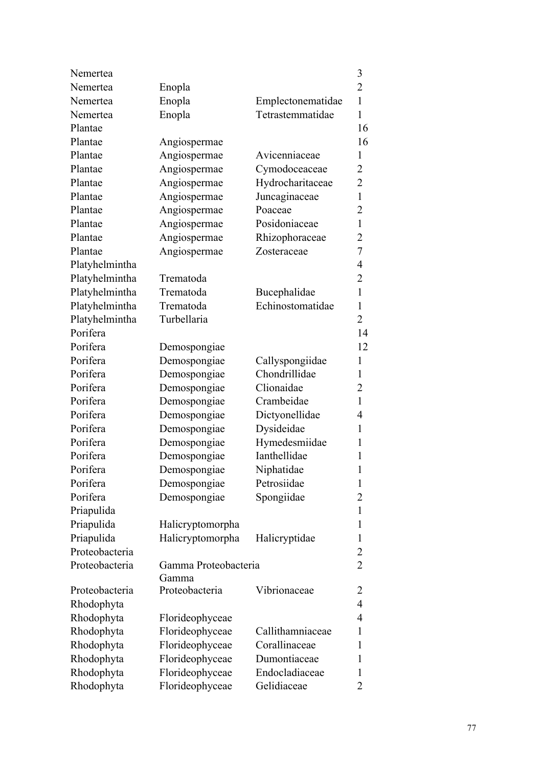| Nemertea       |                      |                   | 3                        |
|----------------|----------------------|-------------------|--------------------------|
| Nemertea       | Enopla               |                   | $\overline{2}$           |
| Nemertea       | Enopla               | Emplectonematidae | $\mathbf{1}$             |
| Nemertea       | Enopla               | Tetrastemmatidae  | $\mathbf{1}$             |
| Plantae        |                      |                   | 16                       |
| Plantae        | Angiospermae         |                   | 16                       |
| Plantae        | Angiospermae         | Avicenniaceae     | 1                        |
| Plantae        | Angiospermae         | Cymodoceaceae     | 2                        |
| Plantae        | Angiospermae         | Hydrocharitaceae  | 2                        |
| Plantae        | Angiospermae         | Juncaginaceae     | $\mathbf{1}$             |
| Plantae        | Angiospermae         | Poaceae           | $\overline{2}$           |
| Plantae        | Angiospermae         | Posidoniaceae     | $\mathbf{1}$             |
| Plantae        | Angiospermae         | Rhizophoraceae    | 2                        |
| Plantae        | Angiospermae         | Zosteraceae       | 7                        |
| Platyhelmintha |                      |                   | 4                        |
| Platyhelmintha | Trematoda            |                   | $\overline{2}$           |
| Platyhelmintha | Trematoda            | Bucephalidae      | 1                        |
| Platyhelmintha | Trematoda            | Echinostomatidae  | 1                        |
| Platyhelmintha | Turbellaria          |                   | 2                        |
| Porifera       |                      |                   | 14                       |
| Porifera       | Demospongiae         |                   | 12                       |
| Porifera       | Demospongiae         | Callyspongiidae   | $\mathbf{1}$             |
| Porifera       | Demospongiae         | Chondrillidae     | 1                        |
| Porifera       | Demospongiae         | Clionaidae        | 2                        |
| Porifera       | Demospongiae         | Crambeidae        | $\mathbf{1}$             |
| Porifera       | Demospongiae         | Dictyonellidae    | 4                        |
| Porifera       | Demospongiae         | Dysideidae        | $\mathbf{1}$             |
| Porifera       | Demospongiae         | Hymedesmiidae     | 1                        |
| Porifera       | Demospongiae         | Ianthellidae      | 1                        |
| Porifera       | Demospongiae         | Niphatidae        | 1                        |
| Porifera       | Demospongiae         | Petrosiidae       | 1                        |
| Porifera       | Demospongiae         | Spongiidae        | 2                        |
| Priapulida     |                      |                   | 1                        |
| Priapulida     | Halicryptomorpha     |                   | 1                        |
| Priapulida     | Halicryptomorpha     | Halicryptidae     | 1                        |
| Proteobacteria |                      |                   | $\overline{2}$           |
| Proteobacteria | Gamma Proteobacteria |                   | $\overline{2}$           |
|                | Gamma                |                   |                          |
| Proteobacteria | Proteobacteria       | Vibrionaceae      | 2                        |
| Rhodophyta     |                      |                   | $\overline{\mathcal{A}}$ |
| Rhodophyta     | Florideophyceae      |                   | 4                        |
| Rhodophyta     | Florideophyceae      | Callithamniaceae  | 1                        |
| Rhodophyta     | Florideophyceae      | Corallinaceae     | 1                        |
| Rhodophyta     | Florideophyceae      | Dumontiaceae      | 1                        |
|                |                      |                   |                          |
| Rhodophyta     | Florideophyceae      | Endocladiaceae    | 1                        |
| Rhodophyta     | Florideophyceae      | Gelidiaceae       | $\overline{2}$           |